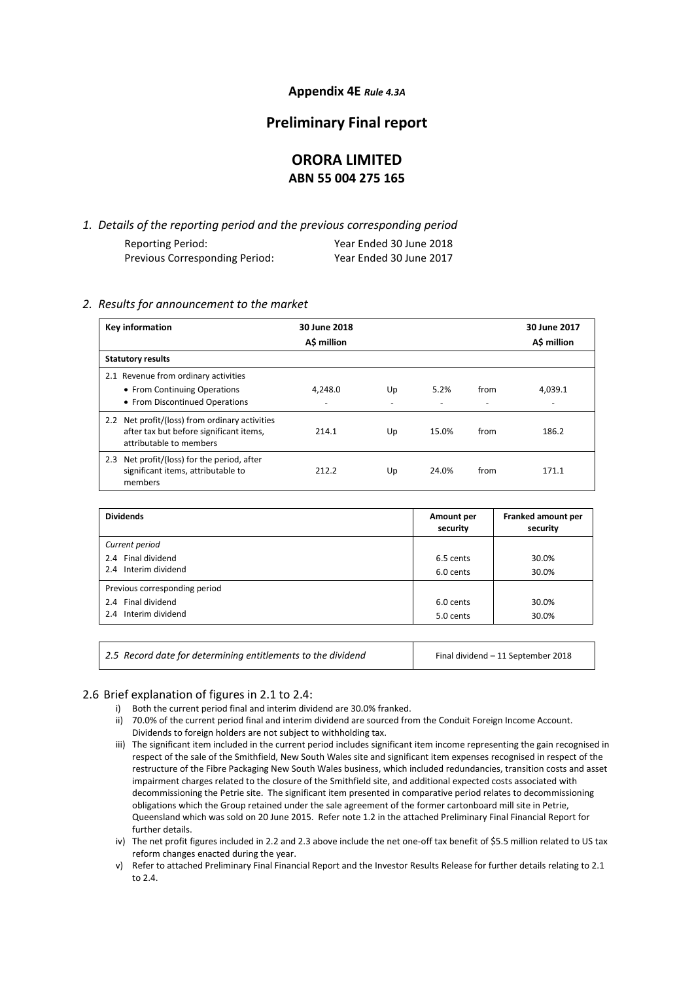## **Appendix 4E** *Rule 4.3A*

## **Preliminary Final report**

## **ORORA LIMITED ABN 55 004 275 165**

*1. Details of the reporting period and the previous corresponding period* Reporting Period: Year Ended 30 June 2018 Previous Corresponding Period: Year Ended 30 June 2017

### *2. Results for announcement to the market*

| Key information                                                                                                      | 30 June 2018<br>A\$ million |    |       |      | 30 June 2017<br>A\$ million |
|----------------------------------------------------------------------------------------------------------------------|-----------------------------|----|-------|------|-----------------------------|
| <b>Statutory results</b>                                                                                             |                             |    |       |      |                             |
| 2.1 Revenue from ordinary activities                                                                                 |                             |    |       |      |                             |
| • From Continuing Operations                                                                                         | 4,248.0                     | Up | 5.2%  | from | 4.039.1                     |
| • From Discontinued Operations                                                                                       | ٠                           |    |       |      |                             |
| 2.2 Net profit/(loss) from ordinary activities<br>after tax but before significant items,<br>attributable to members | 214.1                       | Up | 15.0% | from | 186.2                       |
| 2.3 Net profit/(loss) for the period, after<br>significant items, attributable to<br>members                         | 212.2                       | Up | 24.0% | from | 171.1                       |

| <b>Dividends</b>              | Amount per<br>security | Franked amount per<br>security |
|-------------------------------|------------------------|--------------------------------|
| Current period                |                        |                                |
| 2.4 Final dividend            | 6.5 cents              | 30.0%                          |
| 2.4 Interim dividend          | 6.0 cents              | 30.0%                          |
| Previous corresponding period |                        |                                |
| 2.4 Final dividend            | 6.0 cents              | 30.0%                          |
| 2.4 Interim dividend          | 5.0 cents              | 30.0%                          |
|                               |                        |                                |

| 2.5 Record date for determining entitlements to the dividend | Final dividend - 11 September 2018 |
|--------------------------------------------------------------|------------------------------------|
|--------------------------------------------------------------|------------------------------------|

## 2.6 Brief explanation of figures in 2.1 to 2.4:

- i) Both the current period final and interim dividend are 30.0% franked.
- ii) 70.0% of the current period final and interim dividend are sourced from the Conduit Foreign Income Account. Dividends to foreign holders are not subject to withholding tax.
- iii) The significant item included in the current period includes significant item income representing the gain recognised in respect of the sale of the Smithfield, New South Wales site and significant item expenses recognised in respect of the restructure of the Fibre Packaging New South Wales business, which included redundancies, transition costs and asset impairment charges related to the closure of the Smithfield site, and additional expected costs associated with decommissioning the Petrie site. The significant item presented in comparative period relates to decommissioning obligations which the Group retained under the sale agreement of the former cartonboard mill site in Petrie, Queensland which was sold on 20 June 2015. Refer note 1.2 in the attached Preliminary Final Financial Report for further details.

iv) The net profit figures included in 2.2 and 2.3 above include the net one-off tax benefit of \$5.5 million related to US tax reform changes enacted during the year.

v) Refer to attached Preliminary Final Financial Report and the Investor Results Release for further details relating to 2.1 to 2.4.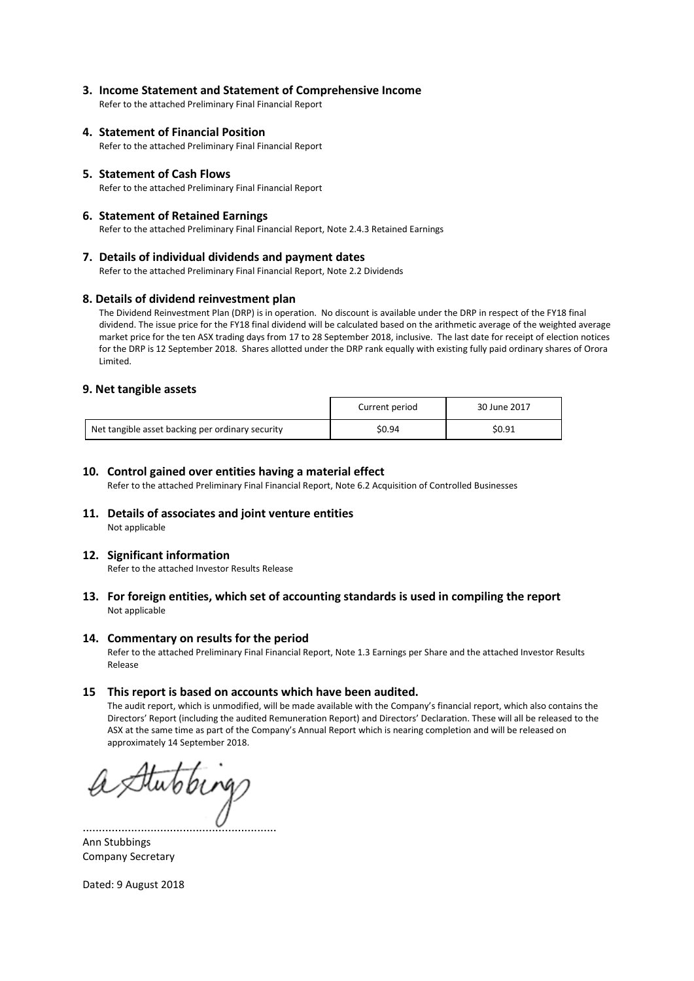## **3. Income Statement and Statement of Comprehensive Income**

Refer to the attached Preliminary Final Financial Report

## **4. Statement of Financial Position**

Refer to the attached Preliminary Final Financial Report

### **5. Statement of Cash Flows**

Refer to the attached Preliminary Final Financial Report

### **6. Statement of Retained Earnings**

Refer to the attached Preliminary Final Financial Report, Note 2.4.3 Retained Earnings

### **7. Details of individual dividends and payment dates**

Refer to the attached Preliminary Final Financial Report, Note 2.2 Dividends

### **8. Details of dividend reinvestment plan**

The Dividend Reinvestment Plan (DRP) is in operation. No discount is available under the DRP in respect of the FY18 final dividend. The issue price for the FY18 final dividend will be calculated based on the arithmetic average of the weighted average market price for the ten ASX trading days from 17 to 28 September 2018, inclusive. The last date for receipt of election notices for the DRP is 12 September 2018. Shares allotted under the DRP rank equally with existing fully paid ordinary shares of Orora Limited.

### **9. Net tangible assets**

|                                                  | Current period | 30 June 2017 |
|--------------------------------------------------|----------------|--------------|
| Net tangible asset backing per ordinary security | \$0.94         | \$0.91       |

### **10. Control gained over entities having a material effect**

Refer to the attached Preliminary Final Financial Report, Note 6.2 Acquisition of Controlled Businesses

### **11. Details of associates and joint venture entities**  Not applicable

### **12. Significant information**

Refer to the attached Investor Results Release

### **13. For foreign entities, which set of accounting standards is used in compiling the report** Not applicable

### **14. Commentary on results for the period**

Refer to the attached Preliminary Final Financial Report, Note 1.3 Earnings per Share and the attached Investor Results Release

### **15 This report is based on accounts which have been audited.**

The audit report, which is unmodified, will be made available with the Company's financial report, which also contains the Directors' Report (including the audited Remuneration Report) and Directors' Declaration. These will all be released to the ASX at the same time as part of the Company's Annual Report which is nearing completion and will be released on approximately 14 September 2018.

Hutobing

............................................................ Ann Stubbings Company Secretary

Dated: 9 August 2018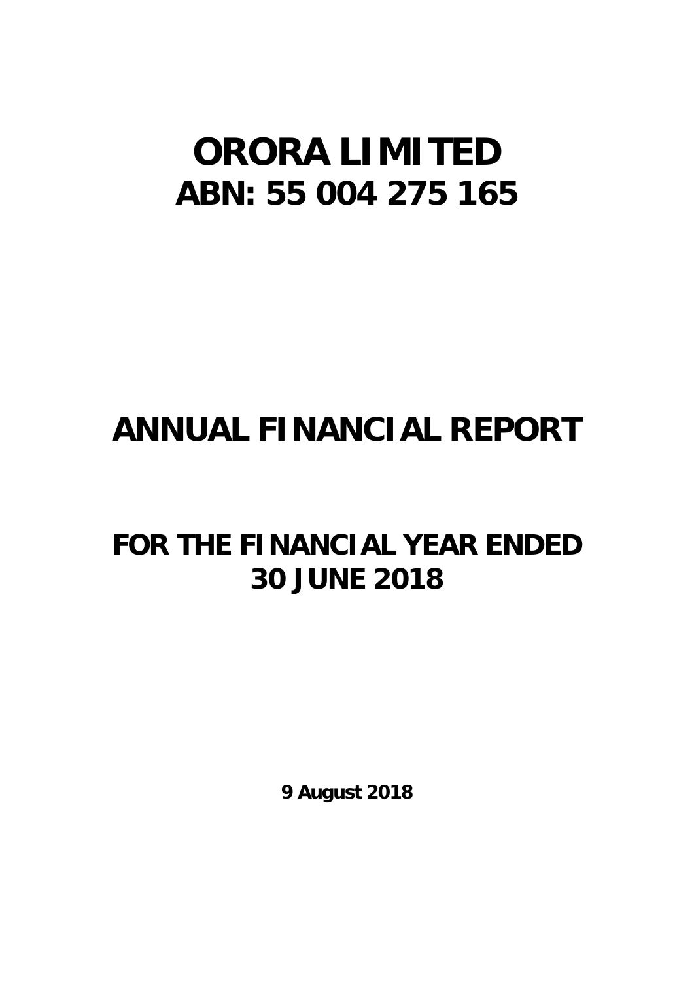# **ORORA LIMITED ABN: 55 004 275 165**

# **ANNUAL FINANCIAL REPORT**

# **FOR THE FINANCIAL YEAR ENDED 30 JUNE 2018**

**9 August 2018**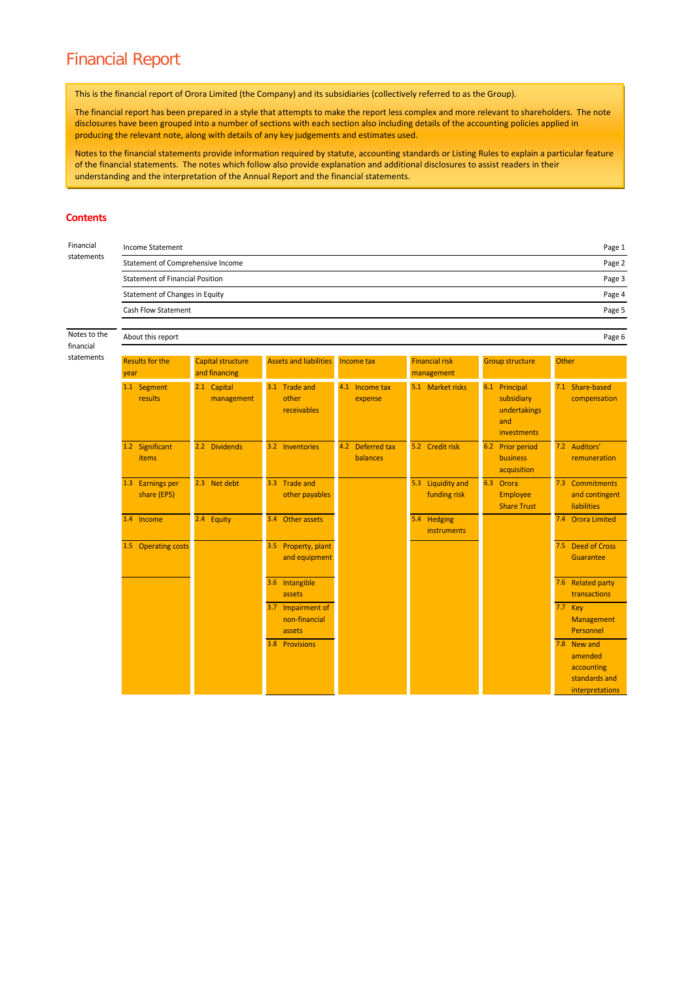## Financial Report

This is the financial report of Orora Limited (the Company) and its subsidiaries (collectively referred to as the Group).

The financial report has been prepared in a style that attempts to make the report less complex and more relevant to shareholders. The note disclosures have been grouped into a number of sections with each section also including details of the accounting policies applied in producing the relevant note, along with details of any key judgements and estimates used.

Notes to the financial statements provide information required by statute, accounting standards or Listing Rules to explain a particular feature of the financial statements. The notes which follow also provide explanation and additional disclosures to assist readers in their understanding and the interpretation of the Annual Report and the financial statements.

#### **Contents**

| Financial                 | <b>Income Statement</b>                         |                                                       |                                              |                                     |                                     |                                                                   | Page 1                                                                   |  |  |  |
|---------------------------|-------------------------------------------------|-------------------------------------------------------|----------------------------------------------|-------------------------------------|-------------------------------------|-------------------------------------------------------------------|--------------------------------------------------------------------------|--|--|--|
| statements                |                                                 | Statement of Comprehensive Income<br>Page 2<br>Page 3 |                                              |                                     |                                     |                                                                   |                                                                          |  |  |  |
|                           | <b>Statement of Financial Position</b>          |                                                       |                                              |                                     |                                     |                                                                   |                                                                          |  |  |  |
|                           | <b>Statement of Changes in Equity</b><br>Page 4 |                                                       |                                              |                                     |                                     |                                                                   |                                                                          |  |  |  |
|                           | <b>Cash Flow Statement</b>                      |                                                       |                                              |                                     |                                     |                                                                   | Page 5                                                                   |  |  |  |
| Notes to the<br>financial | About this report                               |                                                       |                                              |                                     |                                     |                                                                   | Page 6                                                                   |  |  |  |
| statements                | <b>Results for the</b><br>year                  | <b>Capital structure</b><br>and financing             | <b>Assets and liabilities</b>                | Income tax                          | <b>Financial risk</b><br>management | <b>Group structure</b>                                            | Other                                                                    |  |  |  |
|                           | 1.1 Segment<br>results                          | 2.1 Capital<br>management                             | 3.1 Trade and<br>other<br><b>receivables</b> | 4.1 Income tax<br>expense           | 5.1 Market risks                    | 6.1 Principal<br>subsidiary<br>undertakings<br>and<br>investments | 7.1 Share-based<br>compensation                                          |  |  |  |
|                           | 1.2 Significant<br>items                        | 2.2 Dividends                                         | 3.2 Inventories                              | 4.2 Deferred tax<br><b>balances</b> | 5.2 Credit risk                     | 6.2 Prior period<br><b>business</b><br>acquisition                | 7.2 Auditors'<br>remuneration                                            |  |  |  |
|                           | 1.3 Earnings per<br>share (EPS)                 | 2.3 Net debt                                          | 3.3 Trade and<br>other payables              |                                     | 5.3 Liquidity and<br>funding risk   | 6.3 Orora<br><b>Employee</b><br><b>Share Trust</b>                | 7.3 Commitments<br>and contingent<br><b>liabilities</b>                  |  |  |  |
|                           | 1.4 Income                                      | 2.4 Equity                                            | 3.4 Other assets                             |                                     | 5.4 Hedging<br>instruments          |                                                                   | 7.4 Orora Limited                                                        |  |  |  |
|                           | 1.5 Operating costs                             |                                                       | 3.5 Property, plant<br>and equipment         |                                     |                                     |                                                                   | 7.5 Deed of Cross<br>Guarantee                                           |  |  |  |
|                           |                                                 |                                                       | 3.6 Intangible<br>assets                     |                                     |                                     |                                                                   | 7.6 Related party<br>transactions                                        |  |  |  |
|                           |                                                 |                                                       | 3.7 Impairment of<br>non-financial<br>assets |                                     |                                     |                                                                   | 7.7 Key<br>Management<br>Personnel                                       |  |  |  |
|                           |                                                 |                                                       | 3.8 Provisions                               |                                     |                                     |                                                                   | 7.8 New and<br>amended<br>accounting<br>standards and<br>interpretations |  |  |  |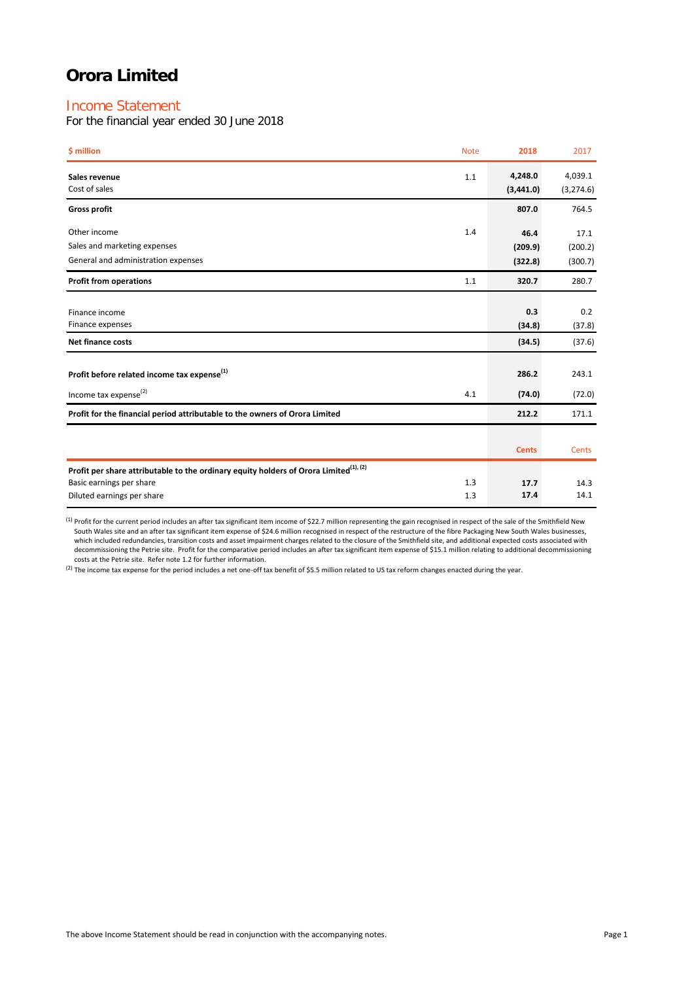## Income Statement

For the financial year ended 30 June 2018

| \$ million                                                                                        | <b>Note</b> | 2018                 | 2017                  |
|---------------------------------------------------------------------------------------------------|-------------|----------------------|-----------------------|
| Sales revenue<br>Cost of sales                                                                    | 1.1         | 4,248.0<br>(3,441.0) | 4,039.1<br>(3, 274.6) |
| <b>Gross profit</b>                                                                               |             | 807.0                | 764.5                 |
| Other income                                                                                      | 1.4         | 46.4                 | 17.1                  |
| Sales and marketing expenses                                                                      |             | (209.9)              | (200.2)               |
| General and administration expenses                                                               |             | (322.8)              | (300.7)               |
| <b>Profit from operations</b>                                                                     | 1.1         | 320.7                | 280.7                 |
|                                                                                                   |             |                      |                       |
| Finance income                                                                                    |             | 0.3                  | 0.2                   |
| Finance expenses                                                                                  |             | (34.8)               | (37.8)                |
| <b>Net finance costs</b>                                                                          |             | (34.5)               | (37.6)                |
| Profit before related income tax expense <sup>(1)</sup>                                           |             | 286.2                | 243.1                 |
|                                                                                                   |             |                      |                       |
| Income tax expense <sup>(2)</sup>                                                                 | 4.1         | (74.0)               | (72.0)                |
| Profit for the financial period attributable to the owners of Orora Limited                       |             | 212.2                | 171.1                 |
|                                                                                                   |             |                      |                       |
|                                                                                                   |             | <b>Cents</b>         | Cents                 |
| Profit per share attributable to the ordinary equity holders of Orora Limited <sup>(1), (2)</sup> |             |                      |                       |
| Basic earnings per share                                                                          | 1.3         | 17.7                 | 14.3                  |
| Diluted earnings per share                                                                        | 1.3         | 17.4                 | 14.1                  |

 $^{(1)}$  Profit for the current period includes an after tax significant item income of \$22.7 million representing the gain recognised in respect of the sale of the Smithfield New South Wales site and an after tax significant item expense of \$24.6 million recognised in respect of the restructure of the fibre Packaging New South Wales businesses,<br>which included redundancies, transition costs and asse decommissioning the Petrie site. Profit for the comparative period includes an after tax significant item expense of \$15.1 million relating to additional decommissioning<br>costs at the Petrie site. Refer note 1.2 for further

 $^{(2)}$  The income tax expense for the period includes a net one-off tax benefit of \$5.5 million related to US tax reform changes enacted during the year.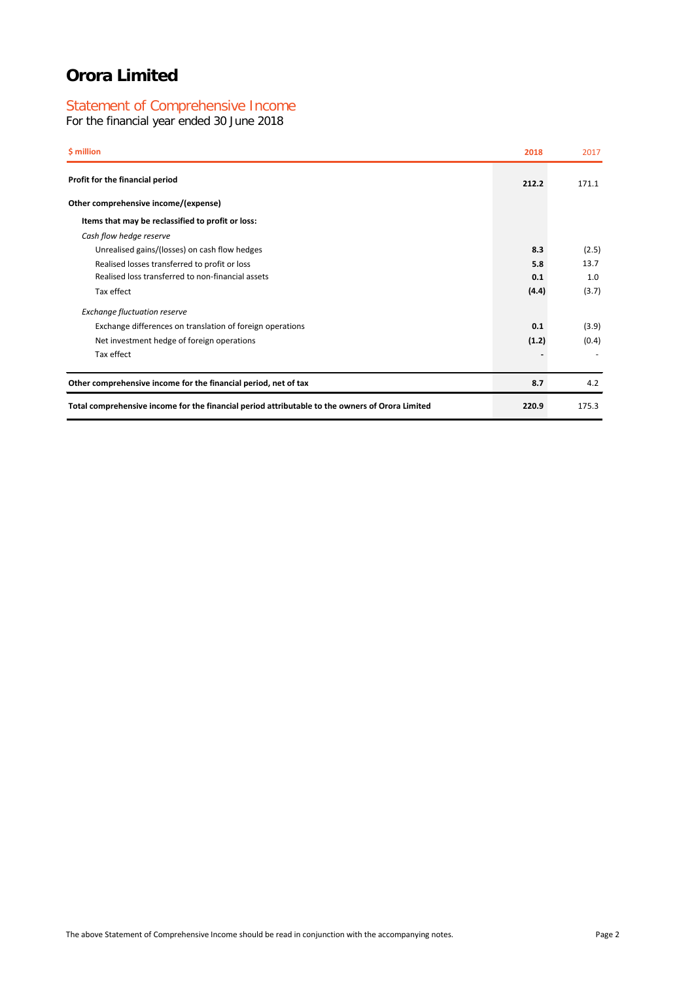## Statement of Comprehensive Income

For the financial year ended 30 June 2018

| \$ million                                                                                      | 2018  | 2017  |
|-------------------------------------------------------------------------------------------------|-------|-------|
| Profit for the financial period                                                                 | 212.2 | 171.1 |
| Other comprehensive income/(expense)                                                            |       |       |
| Items that may be reclassified to profit or loss:                                               |       |       |
| Cash flow hedge reserve                                                                         |       |       |
| Unrealised gains/(losses) on cash flow hedges                                                   | 8.3   | (2.5) |
| Realised losses transferred to profit or loss                                                   | 5.8   | 13.7  |
| Realised loss transferred to non-financial assets                                               | 0.1   | 1.0   |
| Tax effect                                                                                      | (4.4) | (3.7) |
| <b>Exchange fluctuation reserve</b>                                                             |       |       |
| Exchange differences on translation of foreign operations                                       | 0.1   | (3.9) |
| Net investment hedge of foreign operations                                                      | (1.2) | (0.4) |
| Tax effect                                                                                      |       |       |
| Other comprehensive income for the financial period, net of tax                                 | 8.7   | 4.2   |
| Total comprehensive income for the financial period attributable to the owners of Orora Limited | 220.9 | 175.3 |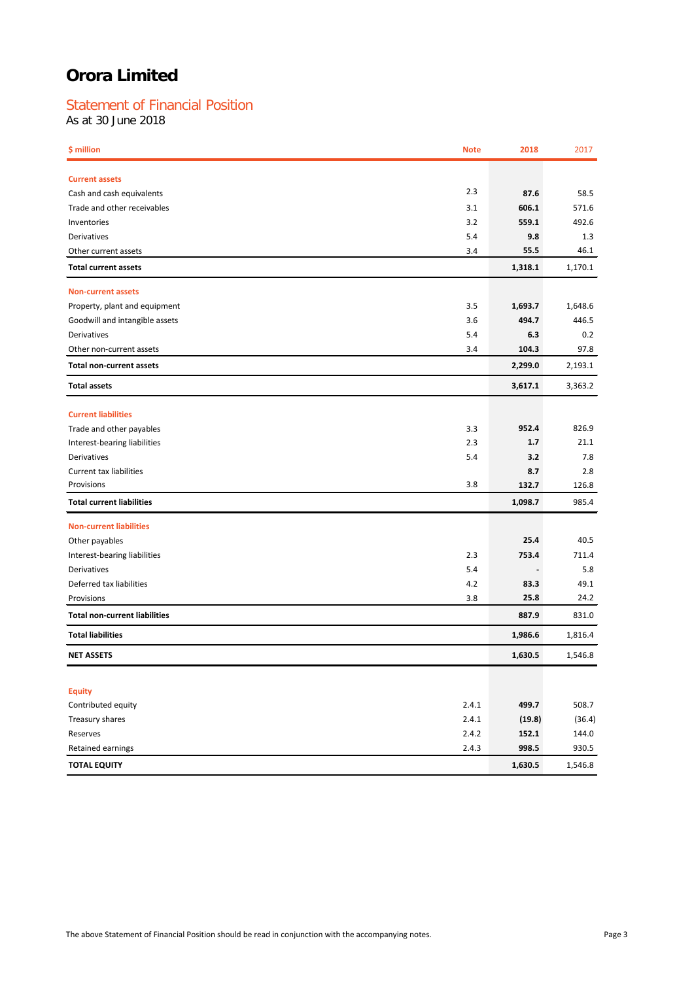## Statement of Financial Position

As at 30 June 2018

| \$ million                           | <b>Note</b> | 2018    | 2017    |
|--------------------------------------|-------------|---------|---------|
| <b>Current assets</b>                |             |         |         |
| Cash and cash equivalents            | 2.3         | 87.6    | 58.5    |
| Trade and other receivables          | 3.1         | 606.1   | 571.6   |
| Inventories                          | 3.2         | 559.1   | 492.6   |
| Derivatives                          | 5.4         | 9.8     | 1.3     |
| Other current assets                 | 3.4         | 55.5    | 46.1    |
| <b>Total current assets</b>          |             | 1,318.1 | 1,170.1 |
| <b>Non-current assets</b>            |             |         |         |
| Property, plant and equipment        | 3.5         | 1,693.7 | 1,648.6 |
| Goodwill and intangible assets       | 3.6         | 494.7   | 446.5   |
| Derivatives                          | 5.4         | 6.3     | 0.2     |
| Other non-current assets             | 3.4         | 104.3   | 97.8    |
| <b>Total non-current assets</b>      |             | 2,299.0 | 2,193.1 |
| <b>Total assets</b>                  |             | 3,617.1 | 3,363.2 |
| <b>Current liabilities</b>           |             |         |         |
| Trade and other payables             | 3.3         | 952.4   | 826.9   |
| Interest-bearing liabilities         | 2.3         | 1.7     | 21.1    |
| Derivatives                          | 5.4         | 3.2     | 7.8     |
| Current tax liabilities              |             | 8.7     | 2.8     |
| Provisions                           | 3.8         | 132.7   | 126.8   |
| <b>Total current liabilities</b>     |             | 1,098.7 | 985.4   |
| <b>Non-current liabilities</b>       |             |         |         |
| Other payables                       |             | 25.4    | 40.5    |
| Interest-bearing liabilities         | 2.3         | 753.4   | 711.4   |
| Derivatives                          | 5.4         |         | 5.8     |
| Deferred tax liabilities             | 4.2         | 83.3    | 49.1    |
| Provisions                           | 3.8         | 25.8    | 24.2    |
| <b>Total non-current liabilities</b> |             | 887.9   | 831.0   |
| <b>Total liabilities</b>             |             | 1,986.6 | 1,816.4 |
| <b>NET ASSETS</b>                    |             | 1,630.5 | 1,546.8 |
|                                      |             |         |         |
| <b>Equity</b>                        |             |         |         |
| Contributed equity                   | 2.4.1       | 499.7   | 508.7   |
| Treasury shares                      | 2.4.1       | (19.8)  | (36.4)  |
| Reserves                             | 2.4.2       | 152.1   | 144.0   |
| Retained earnings                    | 2.4.3       | 998.5   | 930.5   |
| <b>TOTAL EQUITY</b>                  |             | 1,630.5 | 1,546.8 |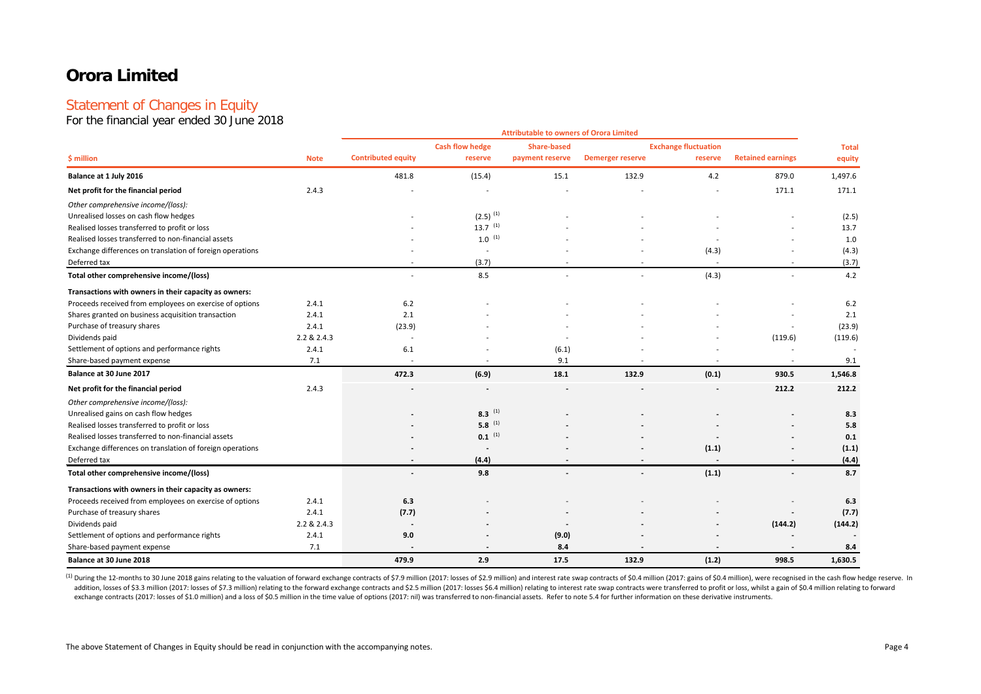## Statement of Changes in Equity

For the financial year ended 30 June 2018

|                                                           |             |                           |                        | <b>Attributable to owners of Orora Limited</b> |                         |                             |                          |              |
|-----------------------------------------------------------|-------------|---------------------------|------------------------|------------------------------------------------|-------------------------|-----------------------------|--------------------------|--------------|
|                                                           |             |                           | <b>Cash flow hedge</b> | <b>Share-based</b>                             |                         | <b>Exchange fluctuation</b> |                          | <b>Total</b> |
| \$ million                                                | <b>Note</b> | <b>Contributed equity</b> | reserve                | payment reserve                                | <b>Demerger reserve</b> | reserve                     | <b>Retained earnings</b> | equity       |
| Balance at 1 July 2016                                    |             | 481.8                     | (15.4)                 | 15.1                                           | 132.9                   | 4.2                         | 879.0                    | 1,497.6      |
| Net profit for the financial period                       | 2.4.3       |                           |                        |                                                |                         |                             | 171.1                    | 171.1        |
| Other comprehensive income/(loss):                        |             |                           |                        |                                                |                         |                             |                          |              |
| Unrealised losses on cash flow hedges                     |             |                           | $(2.5)$ <sup>(1)</sup> |                                                |                         |                             |                          | (2.5)        |
| Realised losses transferred to profit or loss             |             |                           | $13.7^{(1)}$           |                                                |                         |                             |                          | 13.7         |
| Realised losses transferred to non-financial assets       |             |                           | $1.0^{(1)}$            |                                                |                         |                             |                          | 1.0          |
| Exchange differences on translation of foreign operations |             |                           |                        |                                                |                         | (4.3)                       |                          | (4.3)        |
| Deferred tax                                              |             |                           | (3.7)                  |                                                |                         | $\overline{\phantom{a}}$    |                          | (3.7)        |
| Total other comprehensive income/(loss)                   |             | $\overline{\phantom{a}}$  | 8.5                    |                                                | $\sim$                  | (4.3)                       |                          | 4.2          |
| Transactions with owners in their capacity as owners:     |             |                           |                        |                                                |                         |                             |                          |              |
| Proceeds received from employees on exercise of options   | 2.4.1       | 6.2                       |                        |                                                |                         |                             |                          | 6.2          |
| Shares granted on business acquisition transaction        | 2.4.1       | 2.1                       |                        |                                                |                         |                             |                          | 2.1          |
| Purchase of treasury shares                               | 2.4.1       | (23.9)                    |                        |                                                |                         |                             |                          | (23.9)       |
| Dividends paid                                            | 2.2 & 2.4.3 | $\overline{a}$            |                        |                                                |                         |                             | (119.6)                  | (119.6)      |
| Settlement of options and performance rights              | 2.4.1       | 6.1                       |                        | (6.1)                                          |                         |                             |                          |              |
| Share-based payment expense                               | 7.1         |                           |                        | 9.1                                            |                         |                             |                          | 9.1          |
| Balance at 30 June 2017                                   |             | 472.3                     | (6.9)                  | 18.1                                           | 132.9                   | (0.1)                       | 930.5                    | 1,546.8      |
| Net profit for the financial period                       | 2.4.3       |                           |                        |                                                |                         |                             | 212.2                    | 212.2        |
| Other comprehensive income/(loss):                        |             |                           |                        |                                                |                         |                             |                          |              |
| Unrealised gains on cash flow hedges                      |             |                           | $8.3$ <sup>(1)</sup>   |                                                |                         |                             |                          | 8.3          |
| Realised losses transferred to profit or loss             |             |                           | $5.8^{(1)}$            |                                                |                         |                             |                          | 5.8          |
| Realised losses transferred to non-financial assets       |             |                           | $0.1$ <sup>(1)</sup>   |                                                |                         |                             |                          | 0.1          |
| Exchange differences on translation of foreign operations |             |                           |                        |                                                |                         | (1.1)                       |                          | (1.1)        |
| Deferred tax                                              |             |                           | (4.4)                  |                                                |                         | $\overline{\phantom{a}}$    |                          | (4.4)        |
| Total other comprehensive income/(loss)                   |             |                           | 9.8                    |                                                |                         | (1.1)                       |                          | 8.7          |
| Transactions with owners in their capacity as owners:     |             |                           |                        |                                                |                         |                             |                          |              |
| Proceeds received from employees on exercise of options   | 2.4.1       | 6.3                       |                        |                                                |                         |                             |                          | 6.3          |
| Purchase of treasury shares                               | 2.4.1       | (7.7)                     |                        |                                                |                         |                             |                          | (7.7)        |
| Dividends paid                                            | 2.2 & 2.4.3 | $\overline{\phantom{a}}$  |                        |                                                |                         |                             | (144.2)                  | (144.2)      |
| Settlement of options and performance rights              | 2.4.1       | 9.0                       |                        | (9.0)                                          |                         |                             |                          |              |
| Share-based payment expense                               | 7.1         |                           |                        | 8.4                                            |                         |                             |                          | 8.4          |
| Balance at 30 June 2018                                   |             | 479.9                     | 2.9                    | 17.5                                           | 132.9                   | (1.2)                       | 998.5                    | 1.630.5      |

(1) During the 12-months to 30 June 2018 gains relating to the valuation of forward exchange contracts of \$7.9 million (2017: losses of \$2.9 million) and interest rate swap contracts of \$0.4 million (2017: gains of \$0.4 mi addition, losses of \$3.3 million (2017: losses of \$7.3 million) relating to the forward exchange contracts and \$2.5 million (2017: losses \$6.4 million) relating to forward exchange contracts and \$2.5 million (2017: losses exchange contracts (2017: losses of \$1.0 million) and a loss of \$0.5 million in the time value of options (2017: nil) was transferred to non-financial assets. Refer to note 5.4 for further information on these derivative i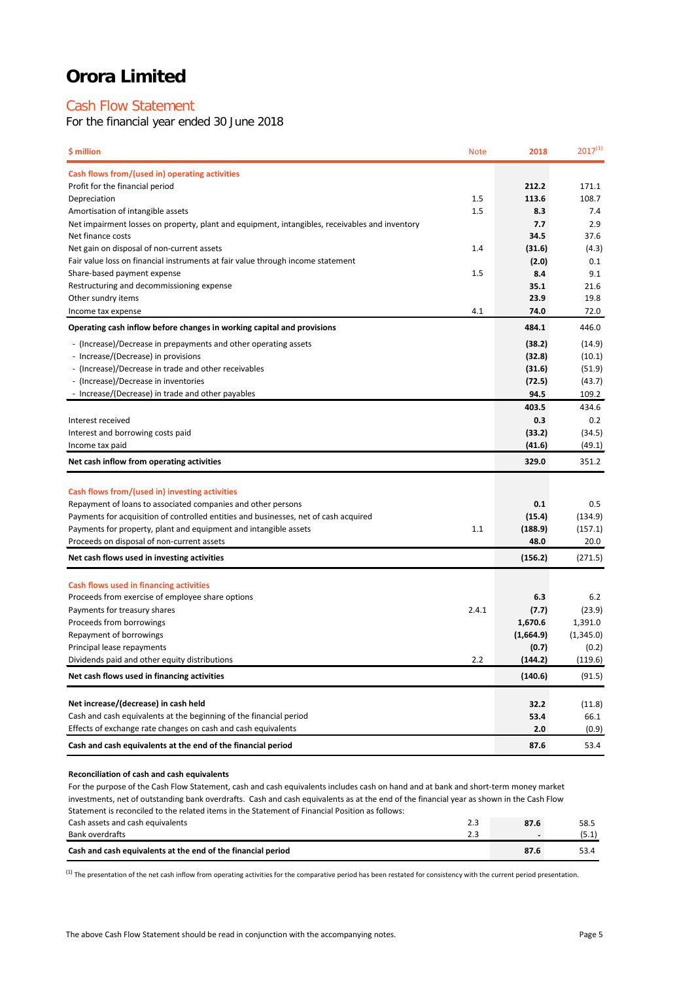## Cash Flow Statement

For the financial year ended 30 June 2018

| \$ million                                                                                                     | <b>Note</b> | 2018      | $2017^{(1)}$ |
|----------------------------------------------------------------------------------------------------------------|-------------|-----------|--------------|
| Cash flows from/(used in) operating activities                                                                 |             |           |              |
| Profit for the financial period                                                                                |             | 212.2     | 171.1        |
| Depreciation                                                                                                   | 1.5         | 113.6     | 108.7        |
| Amortisation of intangible assets                                                                              | 1.5         | 8.3       | 7.4          |
| Net impairment losses on property, plant and equipment, intangibles, receivables and inventory                 |             | 7.7       | 2.9          |
| Net finance costs                                                                                              |             | 34.5      | 37.6         |
| Net gain on disposal of non-current assets                                                                     | 1.4         | (31.6)    | (4.3)        |
| Fair value loss on financial instruments at fair value through income statement                                |             | (2.0)     | 0.1          |
| Share-based payment expense                                                                                    | 1.5         | 8.4       | 9.1          |
| Restructuring and decommissioning expense                                                                      |             | 35.1      | 21.6         |
| Other sundry items                                                                                             |             | 23.9      | 19.8         |
| Income tax expense                                                                                             | 4.1         | 74.0      | 72.0         |
| Operating cash inflow before changes in working capital and provisions                                         |             | 484.1     | 446.0        |
| - (Increase)/Decrease in prepayments and other operating assets                                                |             | (38.2)    | (14.9)       |
| - Increase/(Decrease) in provisions                                                                            |             | (32.8)    | (10.1)       |
| - (Increase)/Decrease in trade and other receivables                                                           |             | (31.6)    | (51.9)       |
| - (Increase)/Decrease in inventories                                                                           |             | (72.5)    | (43.7)       |
| - Increase/(Decrease) in trade and other payables                                                              |             | 94.5      | 109.2        |
|                                                                                                                |             | 403.5     | 434.6        |
| Interest received                                                                                              |             | 0.3       | 0.2          |
| Interest and borrowing costs paid                                                                              |             | (33.2)    | (34.5)       |
| Income tax paid                                                                                                |             | (41.6)    | (49.1)       |
| Net cash inflow from operating activities                                                                      |             | 329.0     | 351.2        |
|                                                                                                                |             |           |              |
| Cash flows from/(used in) investing activities<br>Repayment of loans to associated companies and other persons |             | 0.1       | 0.5          |
| Payments for acquisition of controlled entities and businesses, net of cash acquired                           |             | (15.4)    | (134.9)      |
| Payments for property, plant and equipment and intangible assets                                               | 1.1         | (188.9)   | (157.1)      |
| Proceeds on disposal of non-current assets                                                                     |             | 48.0      | 20.0         |
| Net cash flows used in investing activities                                                                    |             | (156.2)   | (271.5)      |
|                                                                                                                |             |           |              |
| Cash flows used in financing activities                                                                        |             |           |              |
| Proceeds from exercise of employee share options                                                               |             | 6.3       | 6.2          |
| Payments for treasury shares                                                                                   | 2.4.1       | (7.7)     | (23.9)       |
| Proceeds from borrowings                                                                                       |             | 1,670.6   | 1,391.0      |
| Repayment of borrowings                                                                                        |             | (1,664.9) | (1,345.0)    |
| Principal lease repayments                                                                                     |             | (0.7)     | (0.2)        |
| Dividends paid and other equity distributions                                                                  | 2.2         | (144.2)   | (119.6)      |
| Net cash flows used in financing activities                                                                    |             | (140.6)   | (91.5)       |
|                                                                                                                |             |           |              |
| Net increase/(decrease) in cash held                                                                           |             | 32.2      | (11.8)       |
| Cash and cash equivalents at the beginning of the financial period                                             |             | 53.4      | 66.1         |
| Effects of exchange rate changes on cash and cash equivalents                                                  |             | 2.0       | (0.9)        |
| Cash and cash equivalents at the end of the financial period                                                   |             | 87.6      | 53.4         |

#### **Reconciliation of cash and cash equivalents**

Cash assets and cash equivalents 2.3 **87.6** 58.5 Bank overdrafts 2.3 **-** (5.1) For the purpose of the Cash Flow Statement, cash and cash equivalents includes cash on hand and at bank and short-term money market investments, net of outstanding bank overdrafts. Cash and cash equivalents as at the end of the financial year as shown in the Cash Flow Statement is reconciled to the related items in the Statement of Financial Position as follows:

| Bank overdrafts                                              | <u>.</u><br>__ | . |
|--------------------------------------------------------------|----------------|---|
| Cash and cash equivalents at the end of the financial period |                |   |
|                                                              |                |   |

 $^{(1)}$  The presentation of the net cash inflow from operating activities for the comparative period has been restated for consistency with the current period presentation.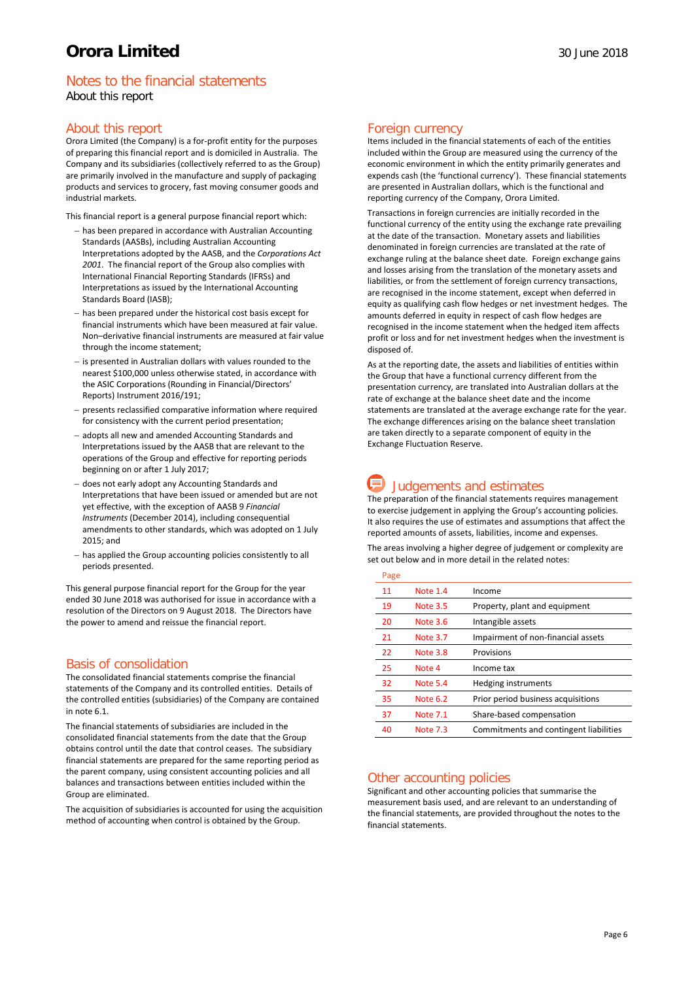## Notes to the financial statements About this report

## About this report

Orora Limited (the Company) is a for-profit entity for the purposes of preparing this financial report and is domiciled in Australia. The Company and its subsidiaries (collectively referred to as the Group) are primarily involved in the manufacture and supply of packaging products and services to grocery, fast moving consumer goods and industrial markets.

This financial report is a general purpose financial report which:

- − has been prepared in accordance with Australian Accounting Standards (AASBs), including Australian Accounting Interpretations adopted by the AASB, and the *Corporations Act 2001*. The financial report of the Group also complies with International Financial Reporting Standards (IFRSs) and Interpretations as issued by the International Accounting Standards Board (IASB);
- has been prepared under the historical cost basis except for financial instruments which have been measured at fair value. Non–derivative financial instruments are measured at fair value through the income statement;
- − is presented in Australian dollars with values rounded to the nearest \$100,000 unless otherwise stated, in accordance with the ASIC Corporations (Rounding in Financial/Directors' Reports) Instrument 2016/191;
- − presents reclassified comparative information where required for consistency with the current period presentation;
- − adopts all new and amended Accounting Standards and Interpretations issued by the AASB that are relevant to the operations of the Group and effective for reporting periods beginning on or after 1 July 2017;
- − does not early adopt any Accounting Standards and Interpretations that have been issued or amended but are not yet effective, with the exception of AASB 9 *Financial Instruments* (December 2014), including consequential amendments to other standards, which was adopted on 1 July 2015; and
- − has applied the Group accounting policies consistently to all periods presented.

This general purpose financial report for the Group for the year ended 30 June 2018 was authorised for issue in accordance with a resolution of the Directors on 9 August 2018. The Directors have the power to amend and reissue the financial report.

## Basis of consolidation

The consolidated financial statements comprise the financial statements of the Company and its controlled entities. Details of the controlled entities (subsidiaries) of the Company are contained in note 6.1.

The financial statements of subsidiaries are included in the consolidated financial statements from the date that the Group obtains control until the date that control ceases. The subsidiary financial statements are prepared for the same reporting period as the parent company, using consistent accounting policies and all balances and transactions between entities included within the Group are eliminated.

The acquisition of subsidiaries is accounted for using the acquisition method of accounting when control is obtained by the Group.

### Foreign currency

Items included in the financial statements of each of the entities included within the Group are measured using the currency of the economic environment in which the entity primarily generates and expends cash (the 'functional currency'). These financial statements are presented in Australian dollars, which is the functional and reporting currency of the Company, Orora Limited.

Transactions in foreign currencies are initially recorded in the functional currency of the entity using the exchange rate prevailing at the date of the transaction. Monetary assets and liabilities denominated in foreign currencies are translated at the rate of exchange ruling at the balance sheet date. Foreign exchange gains and losses arising from the translation of the monetary assets and liabilities, or from the settlement of foreign currency transactions, are recognised in the income statement, except when deferred in equity as qualifying cash flow hedges or net investment hedges. The amounts deferred in equity in respect of cash flow hedges are recognised in the income statement when the hedged item affects profit or loss and for net investment hedges when the investment is disposed of.

As at the reporting date, the assets and liabilities of entities within the Group that have a functional currency different from the presentation currency, are translated into Australian dollars at the rate of exchange at the balance sheet date and the income statements are translated at the average exchange rate for the year. The exchange differences arising on the balance sheet translation are taken directly to a separate component of equity in the Exchange Fluctuation Reserve.

## **Judgements and estimates**

The preparation of the financial statements requires management to exercise judgement in applying the Group's accounting policies. It also requires the use of estimates and assumptions that affect the reported amounts of assets, liabilities, income and expenses.

The areas involving a higher degree of judgement or complexity are set out below and in more detail in the related notes:

| Page |                 |                                        |
|------|-----------------|----------------------------------------|
| 11   | Note 1.4        | Income                                 |
| 19   | <b>Note 3.5</b> | Property, plant and equipment          |
| 20   | Note 3.6        | Intangible assets                      |
| 21   | Note 3.7        | Impairment of non-financial assets     |
| 22   | Note 3.8        | Provisions                             |
| 25   | Note 4          | Income tax                             |
| 32   | Note 5.4        | Hedging instruments                    |
| 35   | Note 6.2        | Prior period business acquisitions     |
| 37   | <b>Note 7.1</b> | Share-based compensation               |
| 40   | Note 7.3        | Commitments and contingent liabilities |

## Other accounting policies

Significant and other accounting policies that summarise the measurement basis used, and are relevant to an understanding of the financial statements, are provided throughout the notes to the financial statements.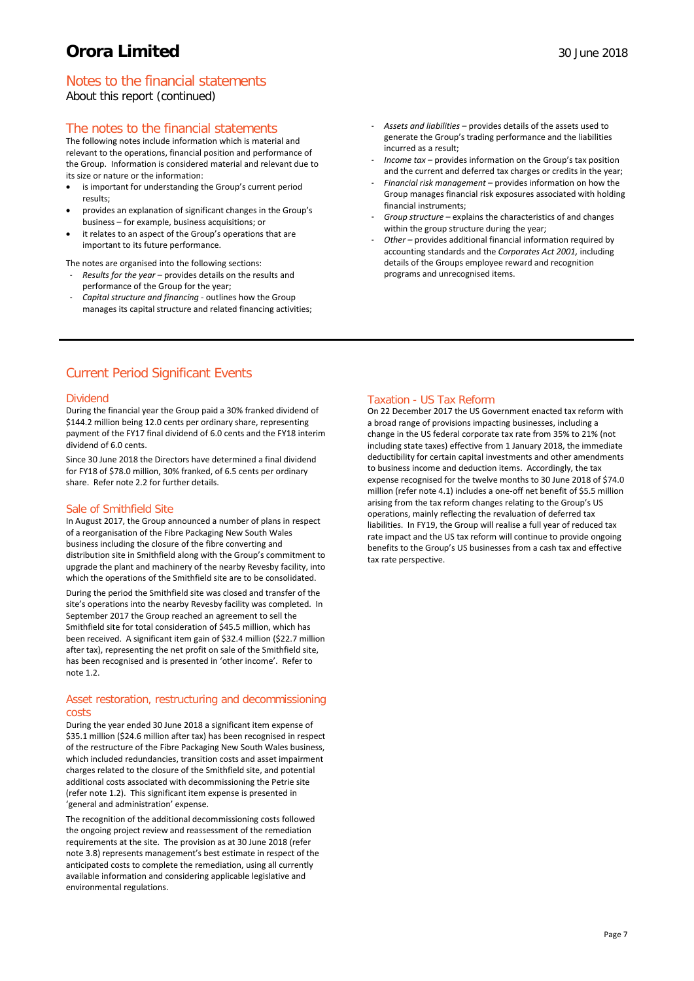## Notes to the financial statements

About this report (continued)

## The notes to the financial statements

The following notes include information which is material and relevant to the operations, financial position and performance of the Group. Information is considered material and relevant due to its size or nature or the information:

- is important for understanding the Group's current period results;
- provides an explanation of significant changes in the Group's business – for example, business acquisitions; or
- it relates to an aspect of the Group's operations that are important to its future performance.
- The notes are organised into the following sections: - *Results for the year* – provides details on the results and
- performance of the Group for the year; - *Capital structure and financing -* outlines how the Group manages its capital structure and related financing activities;
- *Assets and liabilities* provides details of the assets used to generate the Group's trading performance and the liabilities incurred as a result;
- *Income tax* provides information on the Group's tax position and the current and deferred tax charges or credits in the year;
- *Financial risk management* provides information on how the Group manages financial risk exposures associated with holding financial instruments;
- *Group structure* explains the characteristics of and changes within the group structure during the year;
- *Other –* provides additional financial information required by accounting standards and the *Corporates Act 2001,* including details of the Groups employee reward and recognition programs and unrecognised items.

## Current Period Significant Events

### Dividend

During the financial year the Group paid a 30% franked dividend of \$144.2 million being 12.0 cents per ordinary share, representing payment of the FY17 final dividend of 6.0 cents and the FY18 interim dividend of 6.0 cents.

Since 30 June 2018 the Directors have determined a final dividend for FY18 of \$78.0 million, 30% franked, of 6.5 cents per ordinary share. Refer note 2.2 for further details.

#### Sale of Smithfield Site

In August 2017, the Group announced a number of plans in respect of a reorganisation of the Fibre Packaging New South Wales business including the closure of the fibre converting and distribution site in Smithfield along with the Group's commitment to upgrade the plant and machinery of the nearby Revesby facility, into which the operations of the Smithfield site are to be consolidated.

During the period the Smithfield site was closed and transfer of the site's operations into the nearby Revesby facility was completed. In September 2017 the Group reached an agreement to sell the Smithfield site for total consideration of \$45.5 million, which has been received. A significant item gain of \$32.4 million (\$22.7 million after tax), representing the net profit on sale of the Smithfield site, has been recognised and is presented in 'other income'. Refer to note 1.2.

### Asset restoration, restructuring and decommissioning costs

During the year ended 30 June 2018 a significant item expense of \$35.1 million (\$24.6 million after tax) has been recognised in respect of the restructure of the Fibre Packaging New South Wales business, which included redundancies, transition costs and asset impairment charges related to the closure of the Smithfield site, and potential additional costs associated with decommissioning the Petrie site (refer note 1.2). This significant item expense is presented in 'general and administration' expense.

The recognition of the additional decommissioning costs followed the ongoing project review and reassessment of the remediation requirements at the site. The provision as at 30 June 2018 (refer note 3.8) represents management's best estimate in respect of the anticipated costs to complete the remediation, using all currently available information and considering applicable legislative and environmental regulations.

## Taxation - US Tax Reform

On 22 December 2017 the US Government enacted tax reform with a broad range of provisions impacting businesses, including a change in the US federal corporate tax rate from 35% to 21% (not including state taxes) effective from 1 January 2018, the immediate deductibility for certain capital investments and other amendments to business income and deduction items. Accordingly, the tax expense recognised for the twelve months to 30 June 2018 of \$74.0 million (refer note 4.1) includes a one-off net benefit of \$5.5 million arising from the tax reform changes relating to the Group's US operations, mainly reflecting the revaluation of deferred tax liabilities. In FY19, the Group will realise a full year of reduced tax rate impact and the US tax reform will continue to provide ongoing benefits to the Group's US businesses from a cash tax and effective tax rate perspective.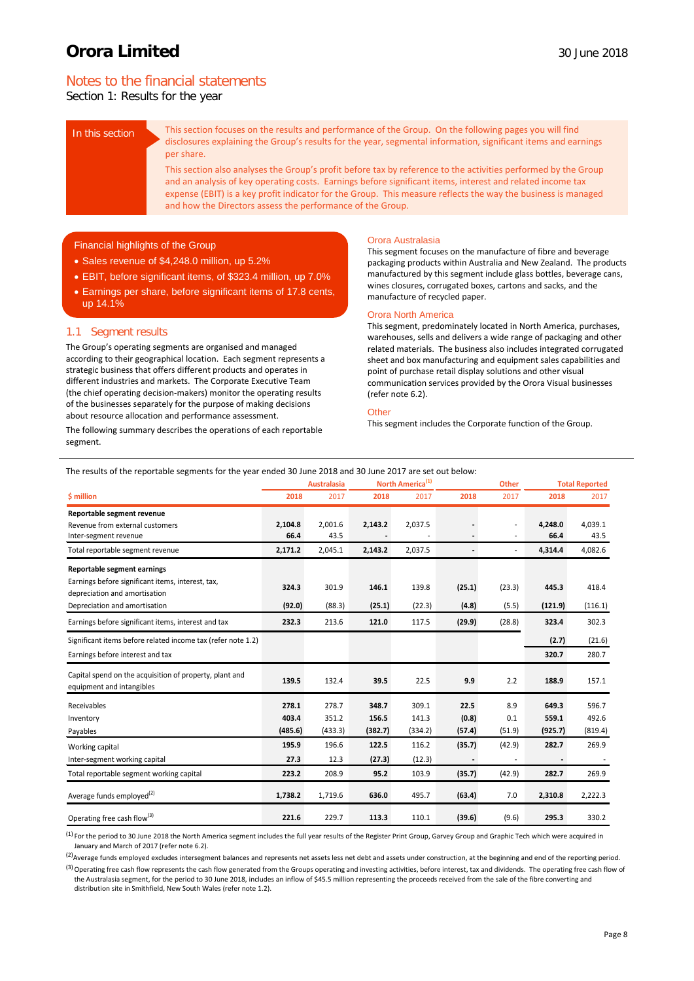## Notes to the financial statements

Section 1: Results for the year

In this section This section focuses on the results and performance of the Group. On the following pages you will find disclosures explaining the Group's results for the year, segmental information, significant items and earnings per share.

> This section also analyses the Group's profit before tax by reference to the activities performed by the Group and an analysis of key operating costs. Earnings before significant items, interest and related income tax expense (EBIT) is a key profit indicator for the Group. This measure reflects the way the business is managed and how the Directors assess the performance of the Group.

### Financial highlights of the Group

- Sales revenue of \$4,248.0 million, up 5.2%
- EBIT, before significant items, of \$323.4 million, up 7.0%
- Earnings per share, before significant items of 17.8 cents, up 14.1%

### 1.1 Segment results

The Group's operating segments are organised and managed according to their geographical location. Each segment represents a strategic business that offers different products and operates in different industries and markets. The Corporate Executive Team (the chief operating decision-makers) monitor the operating results of the businesses separately for the purpose of making decisions about resource allocation and performance assessment.

The following summary describes the operations of each reportable segment.

#### Orora Australasia

This segment focuses on the manufacture of fibre and beverage packaging products within Australia and New Zealand. The products manufactured by this segment include glass bottles, beverage cans, wines closures, corrugated boxes, cartons and sacks, and the manufacture of recycled paper.

#### Orora North America

This segment, predominately located in North America, purchases, warehouses, sells and delivers a wide range of packaging and other related materials. The business also includes integrated corrugated sheet and box manufacturing and equipment sales capabilities and point of purchase retail display solutions and other visual communication services provided by the Orora Visual businesses (refer note 6.2).

#### **Other**

This segment includes the Corporate function of the Group.

| The results of the reportable segments for the year ended 30 June 2018 and 30 June 2017 are set out below: |  |
|------------------------------------------------------------------------------------------------------------|--|
|                                                                                                            |  |

|                                                                                                                                                    |                           | North America <sup>(1)</sup><br><b>Australasia</b><br><b>Other</b> |                           |                           |                         | <b>Total Reported</b> |                           |                           |  |
|----------------------------------------------------------------------------------------------------------------------------------------------------|---------------------------|--------------------------------------------------------------------|---------------------------|---------------------------|-------------------------|-----------------------|---------------------------|---------------------------|--|
| \$ million                                                                                                                                         | 2018                      | 2017                                                               | 2018                      | 2017                      | 2018                    | 2017                  | 2018                      | 2017                      |  |
| Reportable segment revenue<br>Revenue from external customers<br>Inter-segment revenue                                                             | 2,104.8<br>66.4           | 2,001.6<br>43.5                                                    | 2,143.2                   | 2,037.5                   |                         | ٠                     | 4,248.0<br>66.4           | 4,039.1<br>43.5           |  |
| Total reportable segment revenue                                                                                                                   | 2,171.2                   | 2,045.1                                                            | 2,143.2                   | 2,037.5                   |                         |                       | 4,314.4                   | 4,082.6                   |  |
| Reportable segment earnings<br>Earnings before significant items, interest, tax,<br>depreciation and amortisation<br>Depreciation and amortisation | 324.3<br>(92.0)           | 301.9<br>(88.3)                                                    | 146.1<br>(25.1)           | 139.8<br>(22.3)           | (25.1)<br>(4.8)         | (23.3)<br>(5.5)       | 445.3<br>(121.9)          | 418.4<br>(116.1)          |  |
| Earnings before significant items, interest and tax                                                                                                | 232.3                     | 213.6                                                              | 121.0                     | 117.5                     | (29.9)                  | (28.8)                | 323.4                     | 302.3                     |  |
| Significant items before related income tax (refer note 1.2)<br>Earnings before interest and tax                                                   |                           |                                                                    |                           |                           |                         |                       | (2.7)<br>320.7            | (21.6)<br>280.7           |  |
| Capital spend on the acquisition of property, plant and<br>equipment and intangibles                                                               | 139.5                     | 132.4                                                              | 39.5                      | 22.5                      | 9.9                     | 2.2                   | 188.9                     | 157.1                     |  |
| Receivables<br>Inventory<br>Payables                                                                                                               | 278.1<br>403.4<br>(485.6) | 278.7<br>351.2<br>(433.3)                                          | 348.7<br>156.5<br>(382.7) | 309.1<br>141.3<br>(334.2) | 22.5<br>(0.8)<br>(57.4) | 8.9<br>0.1<br>(51.9)  | 649.3<br>559.1<br>(925.7) | 596.7<br>492.6<br>(819.4) |  |
| Working capital<br>Inter-segment working capital                                                                                                   | 195.9<br>27.3             | 196.6<br>12.3                                                      | 122.5<br>(27.3)           | 116.2<br>(12.3)           | (35.7)                  | (42.9)                | 282.7                     | 269.9                     |  |
| Total reportable segment working capital                                                                                                           | 223.2                     | 208.9                                                              | 95.2                      | 103.9                     | (35.7)                  | (42.9)                | 282.7                     | 269.9                     |  |
| Average funds employed <sup>(2)</sup>                                                                                                              | 1,738.2                   | 1,719.6                                                            | 636.0                     | 495.7                     | (63.4)                  | 7.0                   | 2,310.8                   | 2,222.3                   |  |
| Operating free cash flow <sup>(3)</sup>                                                                                                            | 221.6                     | 229.7                                                              | 113.3                     | 110.1                     | (39.6)                  | (9.6)                 | 295.3                     | 330.2                     |  |

 $^{(1)}$  For the period to 30 June 2018 the North America segment includes the full year results of the Register Print Group, Garvey Group and Graphic Tech which were acquired in January and March of 2017 (refer note 6.2).

<sup>(2)</sup>Average funds employed excludes intersegment balances and represents net assets less net debt and assets under construction, at the beginning and end of the reporting period.

<sup>(3)</sup> Operating free cash flow represents the cash flow generated from the Groups operating and investing activities, before interest, tax and dividends. The operating free cash flow of the Australasia segment, for the period to 30 June 2018, includes an inflow of \$45.5 million representing the proceeds received from the sale of the fibre converting and distribution site in Smithfield, New South Wales (refer note 1.2).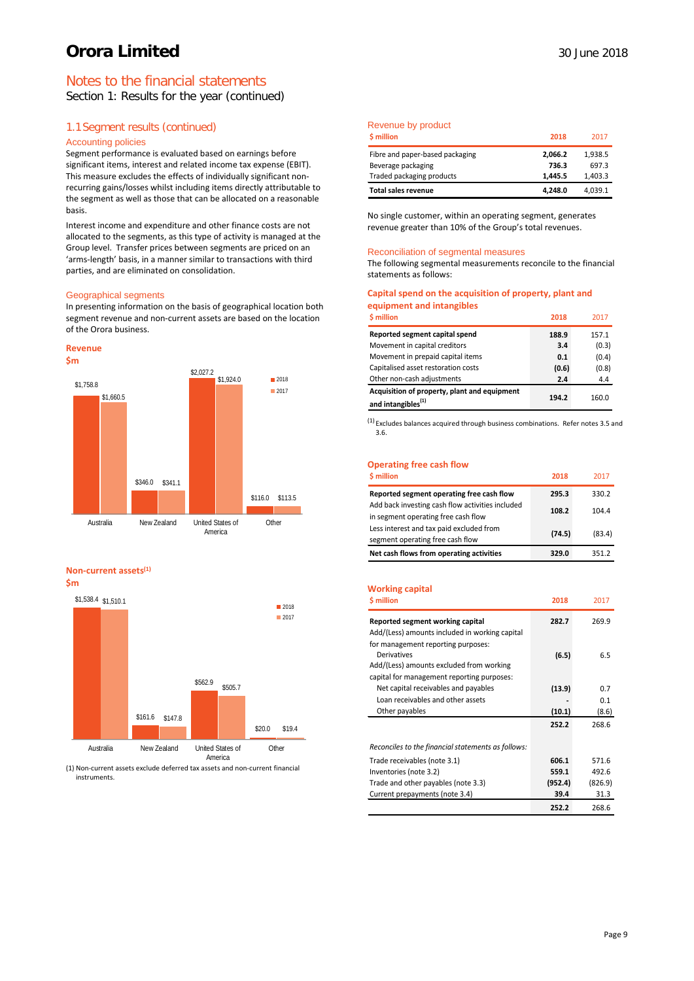## Notes to the financial statements

Section 1: Results for the year (continued)

## 1.1Segment results (continued)

#### Accounting policies

Segment performance is evaluated based on earnings before significant items, interest and related income tax expense (EBIT). This measure excludes the effects of individually significant nonrecurring gains/losses whilst including items directly attributable to the segment as well as those that can be allocated on a reasonable basis.

Interest income and expenditure and other finance costs are not allocated to the segments, as this type of activity is managed at the Group level. Transfer prices between segments are priced on an 'arms-length' basis, in a manner similar to transactions with third parties, and are eliminated on consolidation.

#### Geographical segments

In presenting information on the basis of geographical location both segment revenue and non-current assets are based on the location of the Orora business.



#### **Non-current assets(1)**

**\$m**



(1) Non-current assets exclude deferred tax assets and non-current financial instruments.

### Revenue by product

| \$ million                      | 2018    | 2017    |
|---------------------------------|---------|---------|
| Fibre and paper-based packaging | 2,066.2 | 1,938.5 |
| Beverage packaging              | 736.3   | 697.3   |
| Traded packaging products       | 1.445.5 | 1,403.3 |
| <b>Total sales revenue</b>      | 4,248.0 | 4,039.1 |

No single customer, within an operating segment, generates revenue greater than 10% of the Group's total revenues.

#### Reconciliation of segmental measures

The following segmental measurements reconcile to the financial statements as follows:

#### **Capital spend on the acquisition of property, plant and equipment and intangibles**

| \$ million                                                                     | 2018  | 2017  |
|--------------------------------------------------------------------------------|-------|-------|
| Reported segment capital spend                                                 | 188.9 | 157.1 |
| Movement in capital creditors                                                  | 3.4   | (0.3) |
| Movement in prepaid capital items                                              | 0.1   | (0.4) |
| Capitalised asset restoration costs                                            | (0.6) | (0.8) |
| Other non-cash adjustments                                                     | 2.4   | 4.4   |
| Acquisition of property, plant and equipment<br>and intangibles <sup>(1)</sup> | 194.2 | 160.0 |

 $(1)$  Excludes balances acquired through business combinations. Refer notes 3.5 and 3.6.

### **Operating free cash flow**

| <b>S</b> million                                                                        | 2018   | 2017   |
|-----------------------------------------------------------------------------------------|--------|--------|
| Reported segment operating free cash flow                                               | 295.3  | 330.2  |
| Add back investing cash flow activities included<br>in segment operating free cash flow | 108.2  | 104.4  |
| Less interest and tax paid excluded from<br>segment operating free cash flow            | (74.5) | (83.4) |
| Net cash flows from operating activities                                                | 329.0  | 351.2  |

#### **Working capital**

| <b>S</b> million                                                                                                         | 2018    | 2017    |
|--------------------------------------------------------------------------------------------------------------------------|---------|---------|
| Reported segment working capital<br>Add/(Less) amounts included in working capital<br>for management reporting purposes: | 282.7   | 269.9   |
| Derivatives<br>Add/(Less) amounts excluded from working<br>capital for management reporting purposes:                    | (6.5)   | 6.5     |
| Net capital receivables and payables                                                                                     | (13.9)  | 0.7     |
| Loan receivables and other assets                                                                                        |         | 0.1     |
| Other payables                                                                                                           | (10.1)  | (8.6)   |
|                                                                                                                          | 252.2   | 268.6   |
| Reconciles to the financial statements as follows:                                                                       |         |         |
| Trade receivables (note 3.1)                                                                                             | 606.1   | 571.6   |
| Inventories (note 3.2)                                                                                                   | 559.1   | 492.6   |
| Trade and other payables (note 3.3)                                                                                      | (952.4) | (826.9) |
| Current prepayments (note 3.4)                                                                                           | 39.4    | 31.3    |
|                                                                                                                          | 252.2   | 268.6   |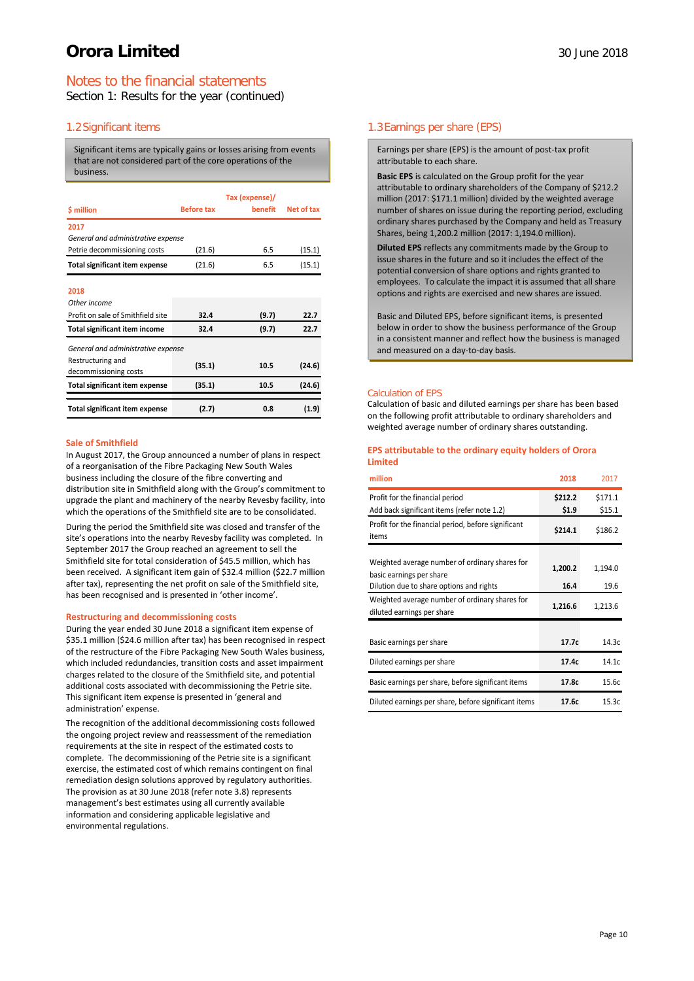## Notes to the financial statements

Section 1: Results for the year (continued)

## 1.2Significant items

Significant items are typically gains or losses arising from events that are not considered part of the core operations of the business.

| \$ million                            | <b>Before tax</b> | Tax (expense)/<br>benefit | Net of tax |
|---------------------------------------|-------------------|---------------------------|------------|
| 2017                                  |                   |                           |            |
| General and administrative expense    |                   |                           |            |
| Petrie decommissioning costs          | (21.6)            | 6.5                       | (15.1)     |
| <b>Total significant item expense</b> | (21.6)            | 6.5                       | (15.1)     |
|                                       |                   |                           |            |
| 2018                                  |                   |                           |            |
| Other income                          |                   |                           |            |
| Profit on sale of Smithfield site     | 32.4              | (9.7)                     | 22.7       |
| <b>Total significant item income</b>  | 32.4              | (9.7)                     | 22.7       |
| General and administrative expense    |                   |                           |            |
| Restructuring and                     |                   |                           |            |
| decommissioning costs                 | (35.1)            | 10.5                      | (24.6)     |
| <b>Total significant item expense</b> | (35.1)            | 10.5                      | (24.6)     |
| <b>Total significant item expense</b> | (2.7)             | 0.8                       | (1.9)      |

#### **Sale of Smithfield**

In August 2017, the Group announced a number of plans in respect of a reorganisation of the Fibre Packaging New South Wales business including the closure of the fibre converting and distribution site in Smithfield along with the Group's commitment to upgrade the plant and machinery of the nearby Revesby facility, into which the operations of the Smithfield site are to be consolidated.

During the period the Smithfield site was closed and transfer of the site's operations into the nearby Revesby facility was completed. In September 2017 the Group reached an agreement to sell the Smithfield site for total consideration of \$45.5 million, which has been received. A significant item gain of \$32.4 million (\$22.7 million after tax), representing the net profit on sale of the Smithfield site, has been recognised and is presented in 'other income'.

#### **Restructuring and decommissioning costs**

During the year ended 30 June 2018 a significant item expense of \$35.1 million (\$24.6 million after tax) has been recognised in respect of the restructure of the Fibre Packaging New South Wales business, which included redundancies, transition costs and asset impairment charges related to the closure of the Smithfield site, and potential additional costs associated with decommissioning the Petrie site. This significant item expense is presented in 'general and administration' expense.

The recognition of the additional decommissioning costs followed the ongoing project review and reassessment of the remediation requirements at the site in respect of the estimated costs to complete. The decommissioning of the Petrie site is a significant exercise, the estimated cost of which remains contingent on final remediation design solutions approved by regulatory authorities. The provision as at 30 June 2018 (refer note 3.8) represents management's best estimates using all currently available information and considering applicable legislative and environmental regulations.

## 1.3Earnings per share (EPS)

Earnings per share (EPS) is the amount of post-tax profit attributable to each share.

**Basic EPS** is calculated on the Group profit for the year attributable to ordinary shareholders of the Company of \$212.2 million (2017: \$171.1 million) divided by the weighted average number of shares on issue during the reporting period, excluding ordinary shares purchased by the Company and held as Treasury Shares, being 1,200.2 million (2017: 1,194.0 million).

**Diluted EPS** reflects any commitments made by the Group to issue shares in the future and so it includes the effect of the potential conversion of share options and rights granted to employees. To calculate the impact it is assumed that all share options and rights are exercised and new shares are issued.

Basic and Diluted EPS, before significant items, is presented below in order to show the business performance of the Group in a consistent manner and reflect how the business is managed and measured on a day-to-day basis.

#### Calculation of EPS

Calculation of basic and diluted earnings per share has been based on the following profit attributable to ordinary shareholders and weighted average number of ordinary shares outstanding.

#### **EPS attributable to the ordinary equity holders of Orora Limited**

| million                                                                                                                | 2018             | 2017              |
|------------------------------------------------------------------------------------------------------------------------|------------------|-------------------|
| Profit for the financial period<br>Add back significant items (refer note 1.2)                                         | \$212.2<br>\$1.9 | \$171.1<br>\$15.1 |
| Profit for the financial period, before significant<br>items                                                           | \$214.1          | \$186.2           |
| Weighted average number of ordinary shares for<br>basic earnings per share<br>Dilution due to share options and rights | 1,200.2<br>16.4  | 1,194.0<br>19.6   |
| Weighted average number of ordinary shares for<br>diluted earnings per share                                           | 1,216.6          | 1,213.6           |
| Basic earnings per share                                                                                               | 17.7c            | 14.3c             |
| Diluted earnings per share                                                                                             | 17.4c            | 14.1c             |
| Basic earnings per share, before significant items                                                                     | 17.8c            | 15.6c             |
| Diluted earnings per share, before significant items                                                                   | 17.6c            | 15.3c             |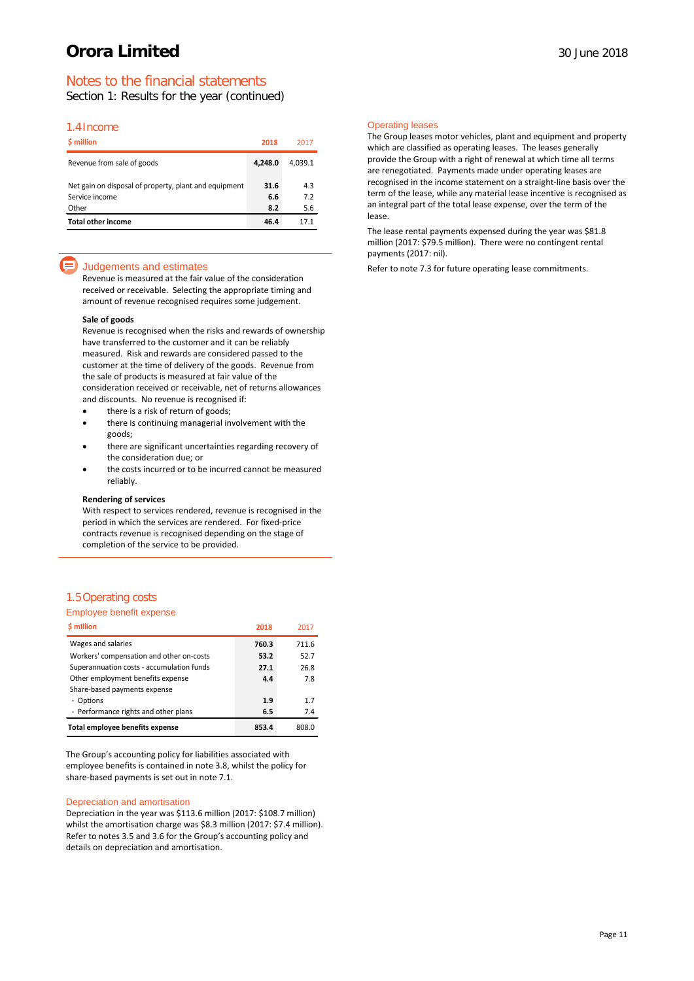## Notes to the financial statements

Section 1: Results for the year (continued)

### 1.4Income

| \$ million                                                                       | 2018               | 2017              |
|----------------------------------------------------------------------------------|--------------------|-------------------|
| Revenue from sale of goods                                                       | 4.248.0            | 4.039.1           |
| Net gain on disposal of property, plant and equipment<br>Service income<br>Other | 31.6<br>6.6<br>8.2 | 4.3<br>7.2<br>5.6 |
| <b>Total other income</b>                                                        | 46.4               | 17.1              |

### Judgements and estimates

Revenue is measured at the fair value of the consideration received or receivable. Selecting the appropriate timing and amount of revenue recognised requires some judgement.

#### **Sale of goods**

Revenue is recognised when the risks and rewards of ownership have transferred to the customer and it can be reliably measured. Risk and rewards are considered passed to the customer at the time of delivery of the goods. Revenue from the sale of products is measured at fair value of the consideration received or receivable, net of returns allowances and discounts. No revenue is recognised if:

- there is a risk of return of goods;
- there is continuing managerial involvement with the goods;
- there are significant uncertainties regarding recovery of the consideration due; or
- the costs incurred or to be incurred cannot be measured reliably.

#### **Rendering of services**

With respect to services rendered, revenue is recognised in the period in which the services are rendered. For fixed-price contracts revenue is recognised depending on the stage of completion of the service to be provided.

#### 1.5Operating costs

| Employee benefit expense                  |       |       |
|-------------------------------------------|-------|-------|
| \$ million                                | 2018  | 2017  |
| Wages and salaries                        | 760.3 | 711.6 |
| Workers' compensation and other on-costs  | 53.2  | 52.7  |
| Superannuation costs - accumulation funds | 27.1  | 26.8  |
| Other employment benefits expense         | 4.4   | 7.8   |
| Share-based payments expense              |       |       |
| - Options                                 | 1.9   | 1.7   |
| - Performance rights and other plans      | 6.5   | 7.4   |
| Total employee benefits expense           | 853.4 | 808.0 |

The Group's accounting policy for liabilities associated with employee benefits is contained in note 3.8, whilst the policy for share-based payments is set out in note 7.1.

#### Depreciation and amortisation

Depreciation in the year was \$113.6 million (2017: \$108.7 million) whilst the amortisation charge was \$8.3 million (2017: \$7.4 million). Refer to notes 3.5 and 3.6 for the Group's accounting policy and details on depreciation and amortisation.

#### Operating leases

The Group leases motor vehicles, plant and equipment and property which are classified as operating leases. The leases generally provide the Group with a right of renewal at which time all terms are renegotiated. Payments made under operating leases are recognised in the income statement on a straight-line basis over the term of the lease, while any material lease incentive is recognised as an integral part of the total lease expense, over the term of the lease.

The lease rental payments expensed during the year was \$81.8 million (2017: \$79.5 million). There were no contingent rental payments (2017: nil).

Refer to note 7.3 for future operating lease commitments.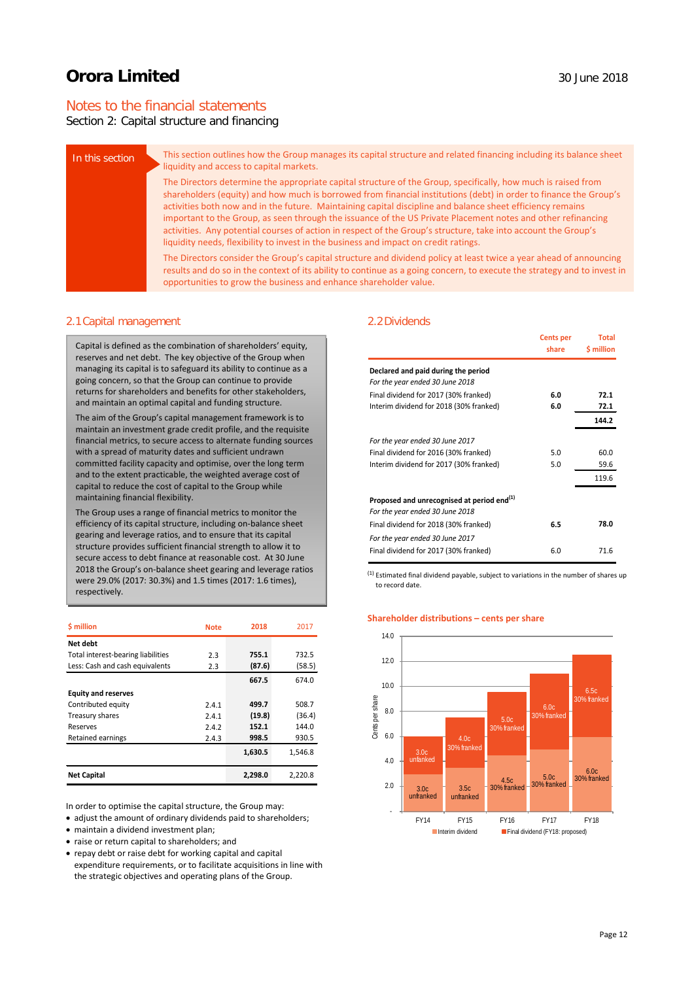## Notes to the financial statements

## Section 2: Capital structure and financing

| In this section | This section outlines how the Group manages its capital structure and related financing including its balance sheet<br>liquidity and access to capital markets.                                                                                                                                                                                                                                                                                                                                                                                                                                                                                                            |
|-----------------|----------------------------------------------------------------------------------------------------------------------------------------------------------------------------------------------------------------------------------------------------------------------------------------------------------------------------------------------------------------------------------------------------------------------------------------------------------------------------------------------------------------------------------------------------------------------------------------------------------------------------------------------------------------------------|
|                 | The Directors determine the appropriate capital structure of the Group, specifically, how much is raised from<br>shareholders (equity) and how much is borrowed from financial institutions (debt) in order to finance the Group's<br>activities both now and in the future. Maintaining capital discipline and balance sheet efficiency remains<br>important to the Group, as seen through the issuance of the US Private Placement notes and other refinancing<br>activities. Any potential courses of action in respect of the Group's structure, take into account the Group's<br>liquidity needs, flexibility to invest in the business and impact on credit ratings. |
|                 | The Directors consider the Group's capital structure and dividend policy at least twice a year ahead of announcing<br>results and do so in the context of its ability to continue as a going concern, to execute the strategy and to invest in<br>opportunities to grow the business and enhance shareholder value.                                                                                                                                                                                                                                                                                                                                                        |

#### 2.1Capital management

Capital is defined as the combination of shareholders' equity, reserves and net debt. The key objective of the Group when managing its capital is to safeguard its ability to continue as a going concern, so that the Group can continue to provide returns for shareholders and benefits for other stakeholders, and maintain an optimal capital and funding structure.

The aim of the Group's capital management framework is to maintain an investment grade credit profile, and the requisite financial metrics, to secure access to alternate funding sources with a spread of maturity dates and sufficient undrawn committed facility capacity and optimise, over the long term and to the extent practicable, the weighted average cost of capital to reduce the cost of capital to the Group while maintaining financial flexibility.

The Group uses a range of financial metrics to monitor the efficiency of its capital structure, including on-balance sheet gearing and leverage ratios, and to ensure that its capital structure provides sufficient financial strength to allow it to secure access to debt finance at reasonable cost. At 30 June 2018 the Group's on-balance sheet gearing and leverage ratios were 29.0% (2017: 30.3%) and 1.5 times (2017: 1.6 times), respectively.

| \$ million                         | <b>Note</b> | 2018    | 2017    |
|------------------------------------|-------------|---------|---------|
| Net debt                           |             |         |         |
| Total interest-bearing liabilities | 2.3         | 755.1   | 732.5   |
| Less: Cash and cash equivalents    | 2.3         | (87.6)  | (58.5)  |
|                                    |             | 667.5   | 674.0   |
| <b>Equity and reserves</b>         |             |         |         |
| Contributed equity                 | 2.4.1       | 499.7   | 508.7   |
| Treasury shares                    | 2.4.1       | (19.8)  | (36.4)  |
| Reserves                           | 2.4.2       | 152.1   | 144.0   |
| <b>Retained earnings</b>           | 2.4.3       | 998.5   | 930.5   |
|                                    |             | 1,630.5 | 1,546.8 |
| <b>Net Capital</b>                 |             | 2,298.0 | 2,220.8 |

In order to optimise the capital structure, the Group may:

• adjust the amount of ordinary dividends paid to shareholders;

- maintain a dividend investment plan;
- raise or return capital to shareholders; and
- repay debt or raise debt for working capital and capital expenditure requirements, or to facilitate acquisitions in line with the strategic objectives and operating plans of the Group.

### 2.2Dividends

|                                                                                           | <b>Cents per</b><br>share | <b>Total</b><br>\$ million |
|-------------------------------------------------------------------------------------------|---------------------------|----------------------------|
| Declared and paid during the period                                                       |                           |                            |
| For the year ended 30 June 2018                                                           |                           |                            |
| Final dividend for 2017 (30% franked)                                                     | 6.0                       | 72.1                       |
| Interim dividend for 2018 (30% franked)                                                   | 6.0                       | 72.1                       |
|                                                                                           |                           | 144.2                      |
| For the year ended 30 June 2017                                                           |                           |                            |
| Final dividend for 2016 (30% franked)                                                     | 5.0                       | 60.0                       |
| Interim dividend for 2017 (30% franked)                                                   | 5.0                       | 59.6                       |
|                                                                                           |                           | 119.6                      |
| Proposed and unrecognised at period end <sup>(1)</sup><br>For the year ended 30 June 2018 |                           |                            |
| Final dividend for 2018 (30% franked)                                                     | 6.5                       | 78.0                       |
| For the year ended 30 June 2017                                                           |                           |                            |
| Final dividend for 2017 (30% franked)                                                     | 6.0                       | 71.6                       |

 $(1)$  Estimated final dividend payable, subject to variations in the number of shares up to record date.

#### **Shareholder distributions – cents per share**

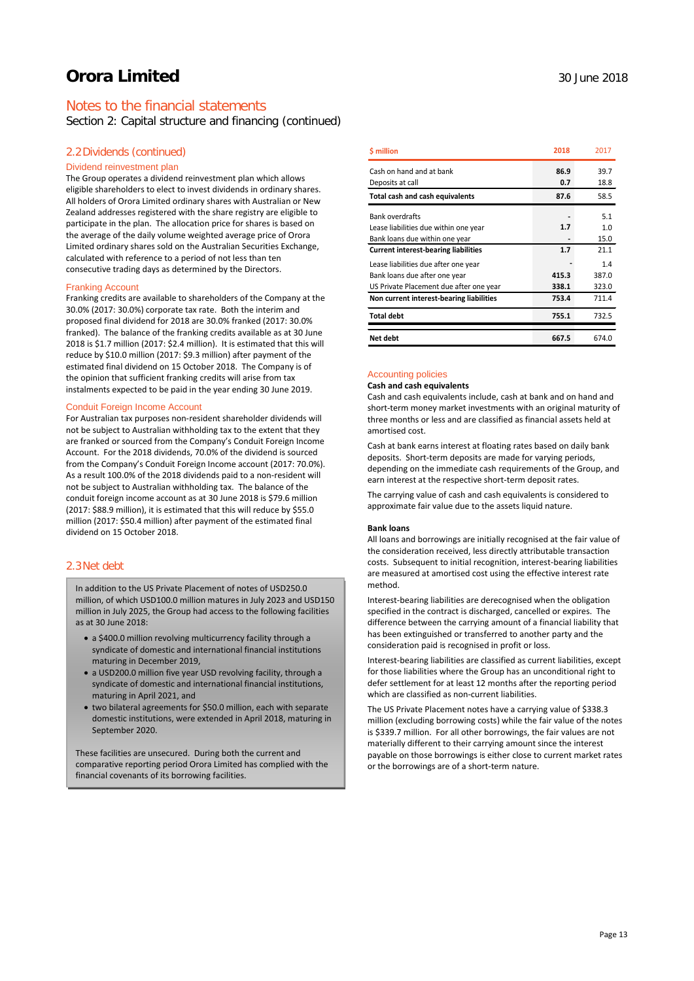## Notes to the financial statements

Section 2: Capital structure and financing (continued)

### 2.2Dividends (continued)

#### Dividend reinvestment plan

The Group operates a dividend reinvestment plan which allows eligible shareholders to elect to invest dividends in ordinary shares. All holders of Orora Limited ordinary shares with Australian or New Zealand addresses registered with the share registry are eligible to participate in the plan. The allocation price for shares is based on the average of the daily volume weighted average price of Orora Limited ordinary shares sold on the Australian Securities Exchange, calculated with reference to a period of not less than ten consecutive trading days as determined by the Directors.

#### Franking Account

Franking credits are available to shareholders of the Company at the 30.0% (2017: 30.0%) corporate tax rate. Both the interim and proposed final dividend for 2018 are 30.0% franked (2017: 30.0% franked). The balance of the franking credits available as at 30 June 2018 is \$1.7 million (2017: \$2.4 million). It is estimated that this will reduce by \$10.0 million (2017: \$9.3 million) after payment of the estimated final dividend on 15 October 2018. The Company is of the opinion that sufficient franking credits will arise from tax instalments expected to be paid in the year ending 30 June 2019.

#### Conduit Foreign Income Account

For Australian tax purposes non-resident shareholder dividends will not be subject to Australian withholding tax to the extent that they are franked or sourced from the Company's Conduit Foreign Income Account. For the 2018 dividends, 70.0% of the dividend is sourced from the Company's Conduit Foreign Income account (2017: 70.0%). As a result 100.0% of the 2018 dividends paid to a non-resident will not be subject to Australian withholding tax. The balance of the conduit foreign income account as at 30 June 2018 is \$79.6 million (2017: \$88.9 million), it is estimated that this will reduce by \$55.0 million (2017: \$50.4 million) after payment of the estimated final dividend on 15 October 2018.

### 2.3Net debt

In addition to the US Private Placement of notes of USD250.0 million, of which USD100.0 million matures in July 2023 and USD150 million in July 2025, the Group had access to the following facilities as at  $30 \text{ lune } 2018$ 

- a \$400.0 million revolving multicurrency facility through a syndicate of domestic and international financial institutions maturing in December 2019,
- a USD200.0 million five year USD revolving facility, through a syndicate of domestic and international financial institutions, maturing in April 2021, and
- two bilateral agreements for \$50.0 million, each with separate domestic institutions, were extended in April 2018, maturing in September 2020.

These facilities are unsecured. During both the current and comparative reporting period Orora Limited has complied with the financial covenants of its borrowing facilities.

| \$ million                                  | 2018  | 2017  |
|---------------------------------------------|-------|-------|
| Cash on hand and at bank                    | 86.9  | 39.7  |
| Deposits at call                            | 0.7   | 18.8  |
| Total cash and cash equivalents             | 87.6  | 58.5  |
| <b>Bank overdrafts</b>                      |       | 5.1   |
| Lease liabilities due within one year       | 1.7   | 1.0   |
| Bank loans due within one year              |       | 15.0  |
| <b>Current interest-bearing liabilities</b> | 1.7   | 21.1  |
| Lease liabilities due after one year        |       | 1.4   |
| Bank loans due after one year               | 415.3 | 387.0 |
| US Private Placement due after one year     | 338.1 | 323.0 |
| Non current interest-bearing liabilities    | 753.4 | 711.4 |
| <b>Total debt</b>                           | 755.1 | 732.5 |
| Net debt                                    | 667.5 | 674.0 |

#### Accounting policies

**Cash and cash equivalents**

Cash and cash equivalents include, cash at bank and on hand and short-term money market investments with an original maturity of three months or less and are classified as financial assets held at amortised cost.

Cash at bank earns interest at floating rates based on daily bank deposits. Short-term deposits are made for varying periods, depending on the immediate cash requirements of the Group, and earn interest at the respective short-term deposit rates.

The carrying value of cash and cash equivalents is considered to approximate fair value due to the assets liquid nature.

#### **Bank loans**

All loans and borrowings are initially recognised at the fair value of the consideration received, less directly attributable transaction costs. Subsequent to initial recognition, interest-bearing liabilities are measured at amortised cost using the effective interest rate method.

Interest-bearing liabilities are derecognised when the obligation specified in the contract is discharged, cancelled or expires. The difference between the carrying amount of a financial liability that has been extinguished or transferred to another party and the consideration paid is recognised in profit or loss.

Interest-bearing liabilities are classified as current liabilities, except for those liabilities where the Group has an unconditional right to defer settlement for at least 12 months after the reporting period which are classified as non-current liabilities.

The US Private Placement notes have a carrying value of \$338.3 million (excluding borrowing costs) while the fair value of the notes is \$339.7 million. For all other borrowings, the fair values are not materially different to their carrying amount since the interest payable on those borrowings is either close to current market rates or the borrowings are of a short-term nature.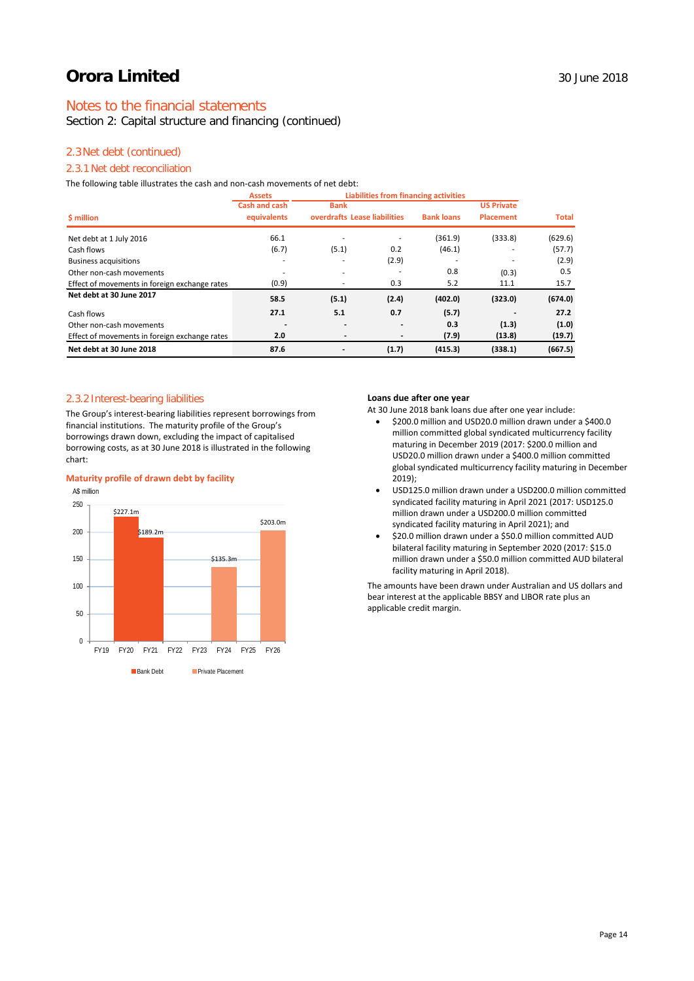## Notes to the financial statements

Section 2: Capital structure and financing (continued)

## 2.3Net debt (continued)

## 2.3.1 Net debt reconciliation

The following table illustrates the cash and non-cash movements of net debt:

|                                               | <b>Assets</b>            | <b>Liabilities from financing activities</b> |                              |                   |                   |              |
|-----------------------------------------------|--------------------------|----------------------------------------------|------------------------------|-------------------|-------------------|--------------|
|                                               | <b>Cash and cash</b>     | <b>Bank</b>                                  |                              |                   | <b>US Private</b> |              |
| \$ million                                    | equivalents              |                                              | overdrafts Lease liabilities | <b>Bank loans</b> | <b>Placement</b>  | <b>Total</b> |
| Net debt at 1 July 2016                       | 66.1                     | ۰                                            |                              | (361.9)           | (333.8)           | (629.6)      |
| Cash flows                                    | (6.7)                    | (5.1)                                        | 0.2                          | (46.1)            |                   | (57.7)       |
| <b>Business acquisitions</b>                  |                          | ۰                                            | (2.9)                        |                   |                   | (2.9)        |
| Other non-cash movements                      |                          | ۰                                            |                              | 0.8               | (0.3)             | 0.5          |
| Effect of movements in foreign exchange rates | (0.9)                    | ۰                                            | 0.3                          | 5.2               | 11.1              | 15.7         |
| Net debt at 30 June 2017                      | 58.5                     | (5.1)                                        | (2.4)                        | (402.0)           | (323.0)           | (674.0)      |
| Cash flows                                    | 27.1                     | 5.1                                          | 0.7                          | (5.7)             |                   | 27.2         |
| Other non-cash movements                      | $\overline{\phantom{a}}$ | $\overline{\phantom{0}}$                     | $\overline{\phantom{a}}$     | 0.3               | (1.3)             | (1.0)        |
| Effect of movements in foreign exchange rates | 2.0                      |                                              |                              | (7.9)             | (13.8)            | (19.7)       |
| Net debt at 30 June 2018                      | 87.6                     | $\overline{a}$                               | (1.7)                        | (415.3)           | (338.1)           | (667.5)      |

#### 2.3.2 Interest-bearing liabilities

The Group's interest-bearing liabilities represent borrowings from financial institutions. The maturity profile of the Group's borrowings drawn down, excluding the impact of capitalised borrowing costs, as at 30 June 2018 is illustrated in the following chart:

### **Maturity profile of drawn debt by facility**



#### **Loans due after one year**

At 30 June 2018 bank loans due after one year include:

- \$200.0 million and USD20.0 million drawn under a \$400.0 million committed global syndicated multicurrency facility maturing in December 2019 (2017: \$200.0 million and USD20.0 million drawn under a \$400.0 million committed global syndicated multicurrency facility maturing in December 2019);
- USD125.0 million drawn under a USD200.0 million committed syndicated facility maturing in April 2021 (2017: USD125.0 million drawn under a USD200.0 million committed syndicated facility maturing in April 2021); and
- \$20.0 million drawn under a \$50.0 million committed AUD bilateral facility maturing in September 2020 (2017: \$15.0 million drawn under a \$50.0 million committed AUD bilateral facility maturing in April 2018).

The amounts have been drawn under Australian and US dollars and bear interest at the applicable BBSY and LIBOR rate plus an applicable credit margin.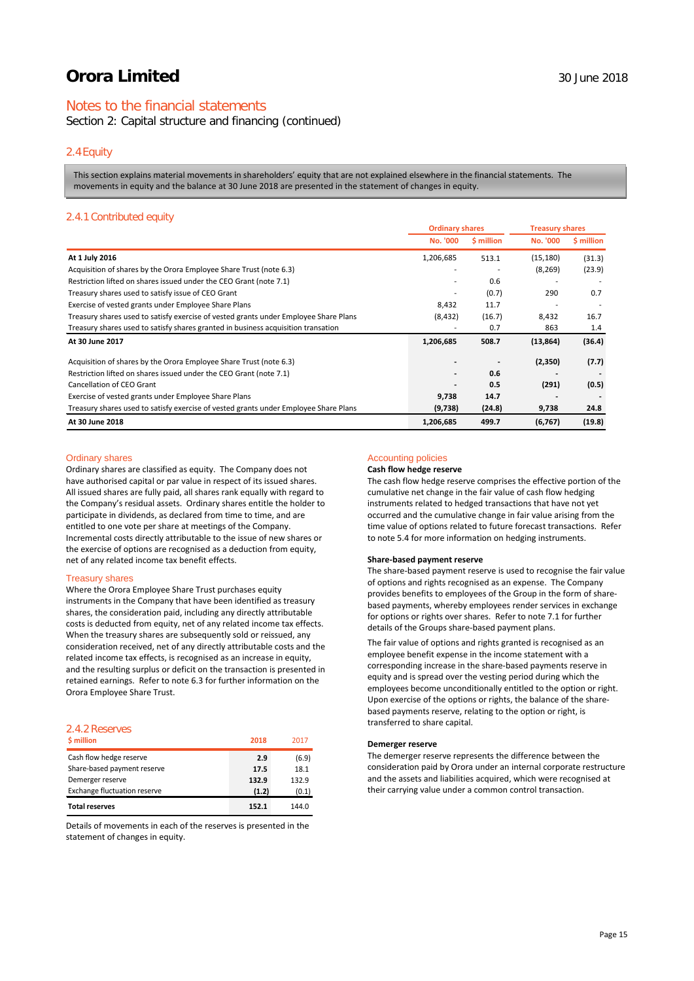## Notes to the financial statements

Section 2: Capital structure and financing (continued)

### 2.4Equity

This section explains material movements in shareholders' equity that are not explained elsewhere in the financial statements. The movements in equity and the balance at 30 June 2018 are presented in the statement of changes in equity.

### 2.4.1 Contributed equity

|                                                                                      | <b>Ordinary shares</b> |            | <b>Treasury shares</b>       |            |
|--------------------------------------------------------------------------------------|------------------------|------------|------------------------------|------------|
|                                                                                      | No. '000               | \$ million | No. '000                     | \$ million |
| At 1 July 2016                                                                       | 1,206,685              | 513.1      | (15, 180)                    | (31.3)     |
| Acquisition of shares by the Orora Employee Share Trust (note 6.3)                   |                        |            | (8, 269)                     | (23.9)     |
| Restriction lifted on shares issued under the CEO Grant (note 7.1)                   |                        | 0.6        |                              |            |
| Treasury shares used to satisfy issue of CEO Grant                                   |                        | (0.7)      | 290                          | 0.7        |
| Exercise of vested grants under Employee Share Plans                                 | 8,432                  | 11.7       |                              |            |
| Treasury shares used to satisfy exercise of vested grants under Employee Share Plans | (8, 432)               | (16.7)     | 8,432                        | 16.7       |
| Treasury shares used to satisfy shares granted in business acquisition transation    |                        | 0.7        | 863                          | 1.4        |
| At 30 June 2017                                                                      | 1,206,685              | 508.7      | (13, 864)                    | (36.4)     |
| Acquisition of shares by the Orora Employee Share Trust (note 6.3)                   |                        |            | (2,350)                      | (7.7)      |
| Restriction lifted on shares issued under the CEO Grant (note 7.1)                   |                        | 0.6        | $\qquad \qquad \blacksquare$ |            |
| Cancellation of CEO Grant                                                            |                        | 0.5        | (291)                        | (0.5)      |
| Exercise of vested grants under Employee Share Plans                                 | 9,738                  | 14.7       |                              |            |
| Treasury shares used to satisfy exercise of vested grants under Employee Share Plans | (9,738)                | (24.8)     | 9,738                        | 24.8       |
| At 30 June 2018                                                                      | 1,206,685              | 499.7      | (6, 767)                     | (19.8)     |

#### Ordinary shares

Ordinary shares are classified as equity. The Company does not have authorised capital or par value in respect of its issued shares. All issued shares are fully paid, all shares rank equally with regard to the Company's residual assets. Ordinary shares entitle the holder to participate in dividends, as declared from time to time, and are entitled to one vote per share at meetings of the Company. Incremental costs directly attributable to the issue of new shares or the exercise of options are recognised as a deduction from equity, net of any related income tax benefit effects.

#### Treasury shares

Where the Orora Employee Share Trust purchases equity instruments in the Company that have been identified as treasury shares, the consideration paid, including any directly attributable costs is deducted from equity, net of any related income tax effects. When the treasury shares are subsequently sold or reissued, any consideration received, net of any directly attributable costs and the related income tax effects, is recognised as an increase in equity, and the resulting surplus or deficit on the transaction is presented in retained earnings. Refer to note 6.3 for further information on the Orora Employee Share Trust.

### 2.4.2 Reserves

| \$ million                          | 2018  | 2017  |
|-------------------------------------|-------|-------|
| Cash flow hedge reserve             | 2.9   | (6.9) |
| Share-based payment reserve         | 17.5  | 18.1  |
| Demerger reserve                    | 132.9 | 132.9 |
| <b>Exchange fluctuation reserve</b> | (1.2) | (0.1) |
| <b>Total reserves</b>               | 152.1 | 144.0 |

Details of movements in each of the reserves is presented in the statement of changes in equity.

## Accounting policies

### **Cash flow hedge reserve**

The cash flow hedge reserve comprises the effective portion of the cumulative net change in the fair value of cash flow hedging instruments related to hedged transactions that have not yet occurred and the cumulative change in fair value arising from the time value of options related to future forecast transactions. Refer to note 5.4 for more information on hedging instruments.

#### **Share-based payment reserve**

The share-based payment reserve is used to recognise the fair value of options and rights recognised as an expense. The Company provides benefits to employees of the Group in the form of sharebased payments, whereby employees render services in exchange for options or rights over shares. Refer to note 7.1 for further details of the Groups share-based payment plans.

The fair value of options and rights granted is recognised as an employee benefit expense in the income statement with a corresponding increase in the share-based payments reserve in equity and is spread over the vesting period during which the employees become unconditionally entitled to the option or right. Upon exercise of the options or rights, the balance of the sharebased payments reserve, relating to the option or right, is transferred to share capital.

#### **Demerger reserve**

The demerger reserve represents the difference between the consideration paid by Orora under an internal corporate restructure and the assets and liabilities acquired, which were recognised at their carrying value under a common control transaction.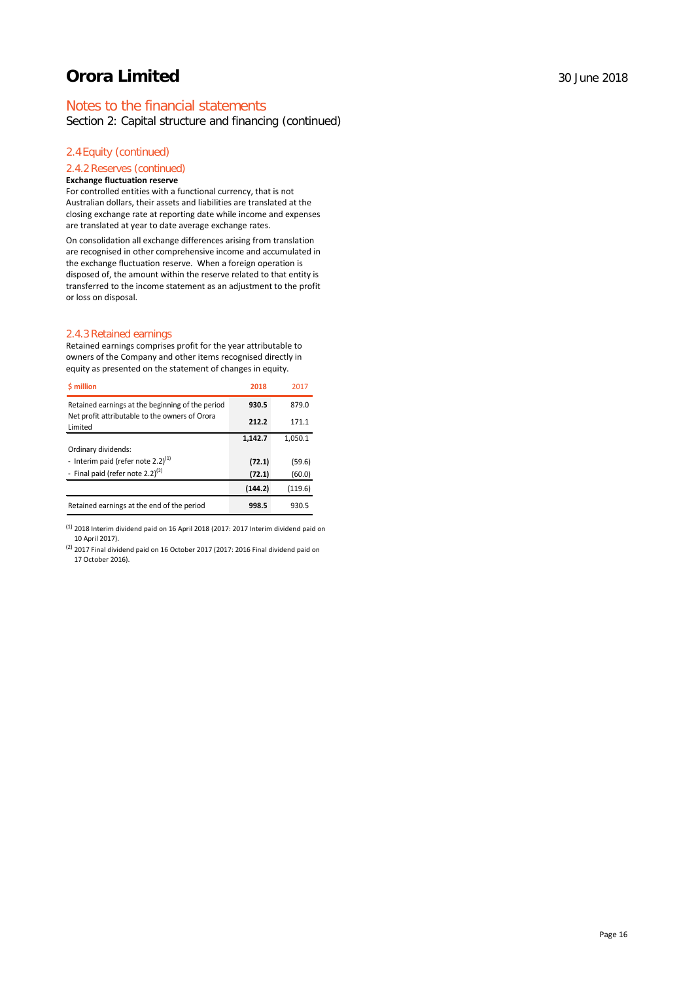## Notes to the financial statements

Section 2: Capital structure and financing (continued)

## 2.4Equity (continued)

## 2.4.2 Reserves (continued)

### **Exchange fluctuation reserve**

For controlled entities with a functional currency, that is not Australian dollars, their assets and liabilities are translated at the closing exchange rate at reporting date while income and expenses are translated at year to date average exchange rates.

On consolidation all exchange differences arising from translation are recognised in other comprehensive income and accumulated in the exchange fluctuation reserve. When a foreign operation is disposed of, the amount within the reserve related to that entity is transferred to the income statement as an adjustment to the profit or loss on disposal.

#### 2.4.3 Retained earnings

Retained earnings comprises profit for the year attributable to owners of the Company and other items recognised directly in equity as presented on the statement of changes in equity.

| <b>S</b> million                                          | 2018    | 2017    |
|-----------------------------------------------------------|---------|---------|
| Retained earnings at the beginning of the period          | 930.5   | 879.0   |
| Net profit attributable to the owners of Orora<br>Limited | 212.2   | 171.1   |
|                                                           | 1,142.7 | 1,050.1 |
| Ordinary dividends:                                       |         |         |
| - Interim paid (refer note 2.2) $(1)$                     | (72.1)  | (59.6)  |
| - Final paid (refer note 2.2) $(2)$                       | (72.1)  | (60.0)  |
|                                                           | (144.2) | (119.6) |
| Retained earnings at the end of the period                | 998.5   | 930.5   |

 $<sup>(1)</sup>$  2018 Interim dividend paid on 16 April 2018 (2017: 2017 Interim dividend paid on</sup> 10 April 2017).

(2) 2017 Final dividend paid on 16 October 2017 (2017: 2016 Final dividend paid on 17 October 2016).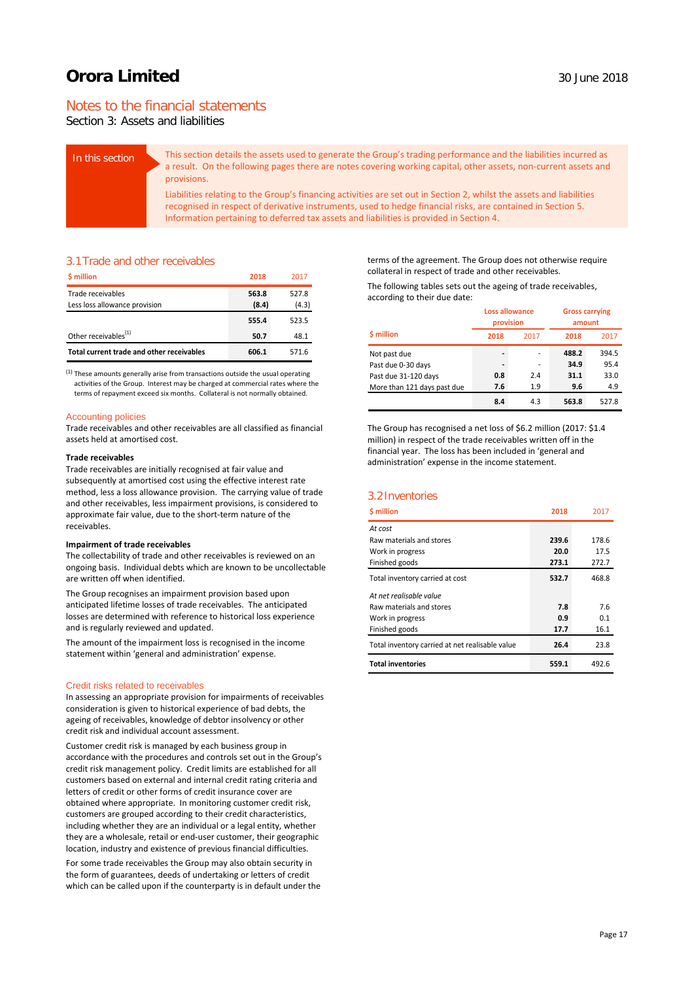## Notes to the financial statements

Section 3: Assets and liabilities

| In this section | This section details the assets used to generate the Group's trading performance and the liabilities incurred as<br>a result. On the following pages there are notes covering working capital, other assets, non-current assets and<br>provisions.                                                                             |
|-----------------|--------------------------------------------------------------------------------------------------------------------------------------------------------------------------------------------------------------------------------------------------------------------------------------------------------------------------------|
|                 | Liabilities relating to the Group's financing activities are set out in Section 2, whilst the assets and liabilities<br>recognised in respect of derivative instruments, used to hedge financial risks, are contained in Section 5.<br>Information pertaining to deferred tax assets and liabilities is provided in Section 4. |

### 3.1Trade and other receivables

| \$ million                                | 2018  | 2017  |
|-------------------------------------------|-------|-------|
| Trade receivables                         | 563.8 | 527.8 |
| Less loss allowance provision             | (8.4) | (4.3) |
|                                           | 555.4 | 523.5 |
| Other receivables <sup>(1)</sup>          | 50.7  | 48.1  |
| Total current trade and other receivables | 606.1 | 571.6 |

 $<sup>(1)</sup>$  These amounts generally arise from transactions outside the usual operating</sup> activities of the Group. Interest may be charged at commercial rates where the terms of repayment exceed six months. Collateral is not normally obtained.

#### Accounting policies

Trade receivables and other receivables are all classified as financial assets held at amortised cost.

#### **Trade receivables**

Trade receivables are initially recognised at fair value and subsequently at amortised cost using the effective interest rate method, less a loss allowance provision. The carrying value of trade and other receivables, less impairment provisions, is considered to approximate fair value, due to the short-term nature of the receivables.

#### **Impairment of trade receivables**

The collectability of trade and other receivables is reviewed on an ongoing basis. Individual debts which are known to be uncollectable are written off when identified.

The Group recognises an impairment provision based upon anticipated lifetime losses of trade receivables. The anticipated losses are determined with reference to historical loss experience and is regularly reviewed and updated.

The amount of the impairment loss is recognised in the income statement within 'general and administration' expense.

#### Credit risks related to receivables

In assessing an appropriate provision for impairments of receivables consideration is given to historical experience of bad debts, the ageing of receivables, knowledge of debtor insolvency or other credit risk and individual account assessment.

Customer credit risk is managed by each business group in accordance with the procedures and controls set out in the Group's credit risk management policy. Credit limits are established for all customers based on external and internal credit rating criteria and letters of credit or other forms of credit insurance cover are obtained where appropriate. In monitoring customer credit risk, customers are grouped according to their credit characteristics, including whether they are an individual or a legal entity, whether they are a wholesale, retail or end-user customer, their geographic location, industry and existence of previous financial difficulties.

For some trade receivables the Group may also obtain security in the form of guarantees, deeds of undertaking or letters of credit which can be called upon if the counterparty is in default under the terms of the agreement. The Group does not otherwise require collateral in respect of trade and other receivables.

The following tables sets out the ageing of trade receivables, according to their due date:

|                             |                              | <b>Loss allowance</b><br>provision |       | <b>Gross carrying</b><br>amount |
|-----------------------------|------------------------------|------------------------------------|-------|---------------------------------|
| <b>S</b> million            | 2018                         | 2017                               | 2018  | 2017                            |
| Not past due                | $\qquad \qquad \blacksquare$ | ۰                                  | 488.2 | 394.5                           |
| Past due 0-30 days          | $\qquad \qquad \blacksquare$ | ۰                                  | 34.9  | 95.4                            |
| Past due 31-120 days        | 0.8                          | 2.4                                | 31.1  | 33.0                            |
| More than 121 days past due | 7.6                          | 1.9                                | 9.6   | 4.9                             |
|                             | 8.4                          | 4.3                                | 563.8 | 527.8                           |

The Group has recognised a net loss of \$6.2 million (2017: \$1.4 million) in respect of the trade receivables written off in the financial year. The loss has been included in 'general and administration' expense in the income statement.

### 3.2Inventories

| <b>S</b> million                                | 2018  | 2017  |
|-------------------------------------------------|-------|-------|
| At cost                                         |       |       |
| Raw materials and stores                        | 239.6 | 178.6 |
| Work in progress                                | 20.0  | 17.5  |
| Finished goods                                  | 273.1 | 272.7 |
| Total inventory carried at cost                 | 532.7 | 468.8 |
| At net realisable value                         |       |       |
| Raw materials and stores                        | 7.8   | 7.6   |
| Work in progress                                | 0.9   | 0.1   |
| Finished goods                                  | 17.7  | 16.1  |
| Total inventory carried at net realisable value | 26.4  | 23.8  |
| <b>Total inventories</b>                        | 559.1 | 492.6 |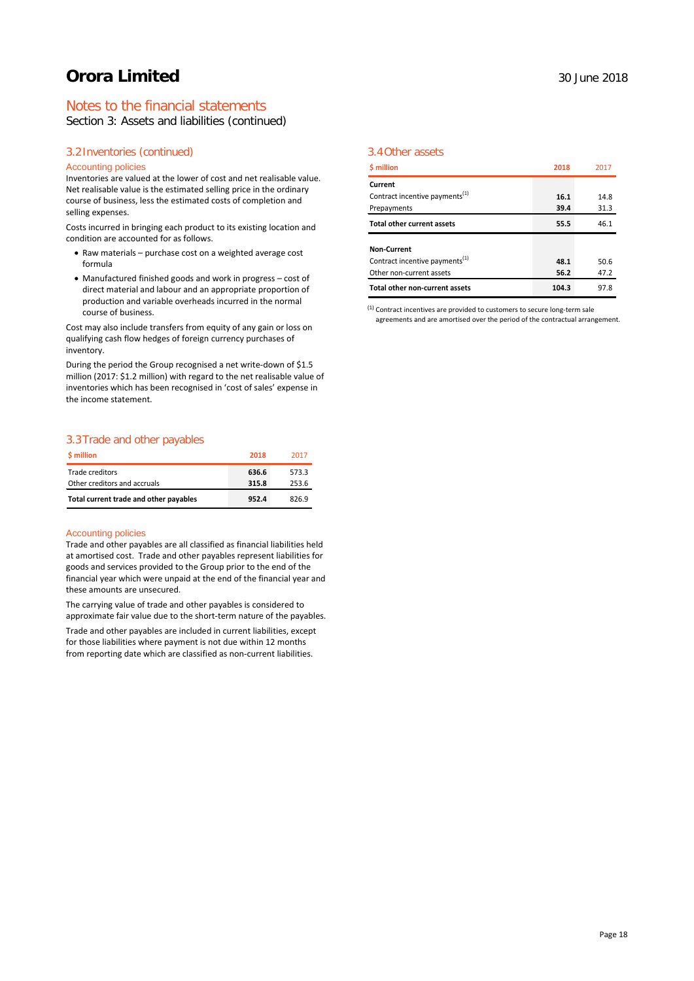## Notes to the financial statements

Section 3: Assets and liabilities (continued)

## 3.2Inventories (continued)

### Accounting policies

Inventories are valued at the lower of cost and net realisable value. Net realisable value is the estimated selling price in the ordinary course of business, less the estimated costs of completion and selling expenses.

Costs incurred in bringing each product to its existing location and condition are accounted for as follows.

- Raw materials purchase cost on a weighted average cost formula
- Manufactured finished goods and work in progress cost of direct material and labour and an appropriate proportion of production and variable overheads incurred in the normal course of business.

Cost may also include transfers from equity of any gain or loss on qualifying cash flow hedges of foreign currency purchases of inventory.

During the period the Group recognised a net write-down of \$1.5 million (2017: \$1.2 million) with regard to the net realisable value of inventories which has been recognised in 'cost of sales' expense in the income statement.

## 3.3Trade and other payables

| \$ million                             | 2018  | 2017  |
|----------------------------------------|-------|-------|
| Trade creditors                        | 636.6 | 573.3 |
| Other creditors and accruals           | 315.8 | 253.6 |
| Total current trade and other payables | 952.4 | 826.9 |

#### Accounting policies

Trade and other payables are all classified as financial liabilities held at amortised cost. Trade and other payables represent liabilities for goods and services provided to the Group prior to the end of the financial year which were unpaid at the end of the financial year and these amounts are unsecured.

The carrying value of trade and other payables is considered to approximate fair value due to the short-term nature of the payables.

Trade and other payables are included in current liabilities, except for those liabilities where payment is not due within 12 months from reporting date which are classified as non-current liabilities.

## 3.4Other assets

| \$ million                                 | 2018  | 2017 |
|--------------------------------------------|-------|------|
| Current                                    |       |      |
| Contract incentive payments <sup>(1)</sup> | 16.1  | 14.8 |
| Prepayments                                | 39.4  | 31.3 |
| <b>Total other current assets</b>          | 55.5  | 46.1 |
| <b>Non-Current</b>                         |       |      |
| Contract incentive payments <sup>(1)</sup> | 48.1  | 50.6 |
| Other non-current assets                   | 56.2  | 47.2 |
| Total other non-current assets             | 104.3 | 97.8 |

 $<sup>(1)</sup>$  Contract incentives are provided to customers to secure long-term sale</sup> agreements and are amortised over the period of the contractual arrangement.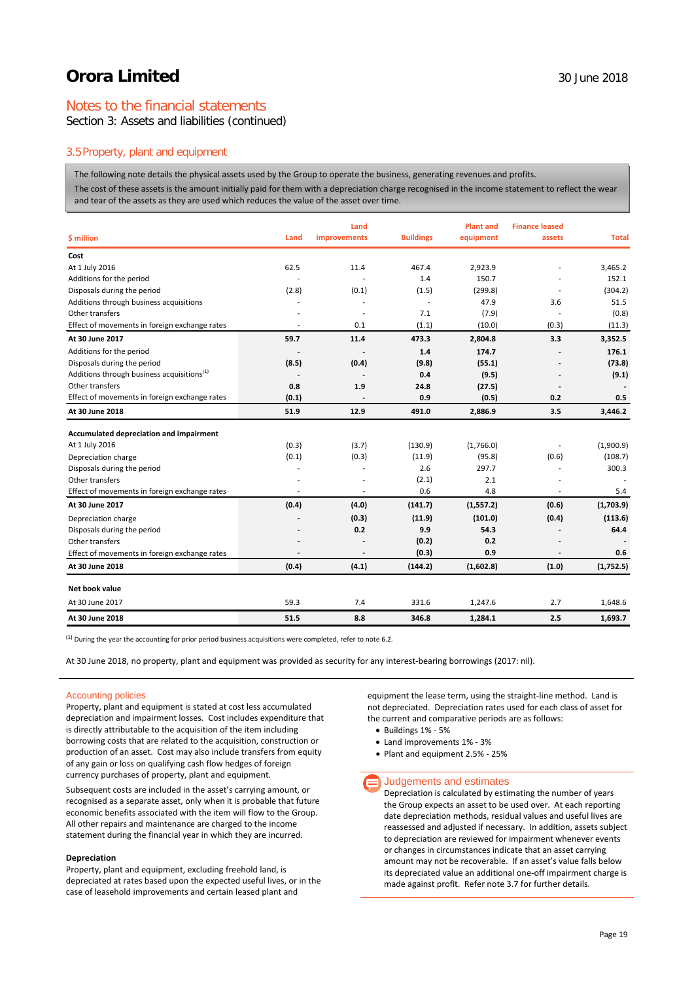## Notes to the financial statements

Section 3: Assets and liabilities (continued)

### 3.5Property, plant and equipment

The following note details the physical assets used by the Group to operate the business, generating revenues and profits.

The cost of these assets is the amount initially paid for them with a depreciation charge recognised in the income statement to reflect the wear and tear of the assets as they are used which reduces the value of the asset over time.

|                                                        |       | Land         |                  | <b>Plant and</b> | <b>Finance leased</b>    |              |
|--------------------------------------------------------|-------|--------------|------------------|------------------|--------------------------|--------------|
| \$ million                                             | Land  | improvements | <b>Buildings</b> | equipment        | assets                   | <b>Total</b> |
| Cost                                                   |       |              |                  |                  |                          |              |
| At 1 July 2016                                         | 62.5  | 11.4         | 467.4            | 2,923.9          |                          | 3,465.2      |
| Additions for the period                               |       |              | 1.4              | 150.7            |                          | 152.1        |
| Disposals during the period                            | (2.8) | (0.1)        | (1.5)            | (299.8)          |                          | (304.2)      |
| Additions through business acquisitions                |       |              |                  | 47.9             | 3.6                      | 51.5         |
| Other transfers                                        |       | ä,           | 7.1              | (7.9)            |                          | (0.8)        |
| Effect of movements in foreign exchange rates          |       | 0.1          | (1.1)            | (10.0)           | (0.3)                    | (11.3)       |
| At 30 June 2017                                        | 59.7  | 11.4         | 473.3            | 2,804.8          | 3.3                      | 3,352.5      |
| Additions for the period                               |       |              | 1.4              | 174.7            |                          | 176.1        |
| Disposals during the period                            | (8.5) | (0.4)        | (9.8)            | (55.1)           |                          | (73.8)       |
| Additions through business acquisitions <sup>(1)</sup> |       |              | 0.4              | (9.5)            |                          | (9.1)        |
| Other transfers                                        | 0.8   | 1.9          | 24.8             | (27.5)           |                          |              |
| Effect of movements in foreign exchange rates          | (0.1) |              | 0.9              | (0.5)            | 0.2                      | 0.5          |
| At 30 June 2018                                        | 51.9  | 12.9         | 491.0            | 2,886.9          | 3.5                      | 3,446.2      |
| Accumulated depreciation and impairment                |       |              |                  |                  |                          |              |
| At 1 July 2016                                         | (0.3) | (3.7)        | (130.9)          | (1,766.0)        | $\overline{\phantom{a}}$ | (1,900.9)    |
| Depreciation charge                                    | (0.1) | (0.3)        | (11.9)           | (95.8)           | (0.6)                    | (108.7)      |
| Disposals during the period                            |       | ٠            | 2.6              | 297.7            |                          | 300.3        |
| Other transfers                                        |       |              | (2.1)            | 2.1              |                          |              |
| Effect of movements in foreign exchange rates          |       |              | 0.6              | 4.8              |                          | 5.4          |
| At 30 June 2017                                        | (0.4) | (4.0)        | (141.7)          | (1,557.2)        | (0.6)                    | (1,703.9)    |
| Depreciation charge                                    |       | (0.3)        | (11.9)           | (101.0)          | (0.4)                    | (113.6)      |
| Disposals during the period                            |       | 0.2          | 9.9              | 54.3             |                          | 64.4         |
| Other transfers                                        |       |              | (0.2)            | 0.2              |                          |              |
| Effect of movements in foreign exchange rates          |       | ÷,           | (0.3)            | 0.9              |                          | 0.6          |
| At 30 June 2018                                        | (0.4) | (4.1)        | (144.2)          | (1,602.8)        | (1.0)                    | (1,752.5)    |
| Net book value                                         |       |              |                  |                  |                          |              |
| At 30 June 2017                                        | 59.3  | 7.4          | 331.6            | 1,247.6          | 2.7                      | 1,648.6      |
| At 30 June 2018                                        | 51.5  | 8.8          | 346.8            | 1,284.1          | 2.5                      | 1.693.7      |

<sup>(1)</sup> During the year the accounting for prior period business acquisitions were completed, refer to note 6.2.

At 30 June 2018, no property, plant and equipment was provided as security for any interest-bearing borrowings (2017: nil).

#### Accounting policies

Property, plant and equipment is stated at cost less accumulated depreciation and impairment losses. Cost includes expenditure that is directly attributable to the acquisition of the item including borrowing costs that are related to the acquisition, construction or production of an asset. Cost may also include transfers from equity of any gain or loss on qualifying cash flow hedges of foreign currency purchases of property, plant and equipment.

Subsequent costs are included in the asset's carrying amount, or recognised as a separate asset, only when it is probable that future economic benefits associated with the item will flow to the Group. All other repairs and maintenance are charged to the income statement during the financial year in which they are incurred.

#### **Depreciation**

Property, plant and equipment, excluding freehold land, is depreciated at rates based upon the expected useful lives, or in the case of leasehold improvements and certain leased plant and

equipment the lease term, using the straight-line method. Land is not depreciated. Depreciation rates used for each class of asset for the current and comparative periods are as follows:

- Buildings 1% 5%
- Land improvements 1% 3%
- Plant and equipment 2.5% 25%

#### $\equiv$  Judgements and estimates

Depreciation is calculated by estimating the number of years the Group expects an asset to be used over. At each reporting date depreciation methods, residual values and useful lives are reassessed and adjusted if necessary. In addition, assets subject to depreciation are reviewed for impairment whenever events or changes in circumstances indicate that an asset carrying amount may not be recoverable. If an asset's value falls below its depreciated value an additional one-off impairment charge is made against profit. Refer note 3.7 for further details.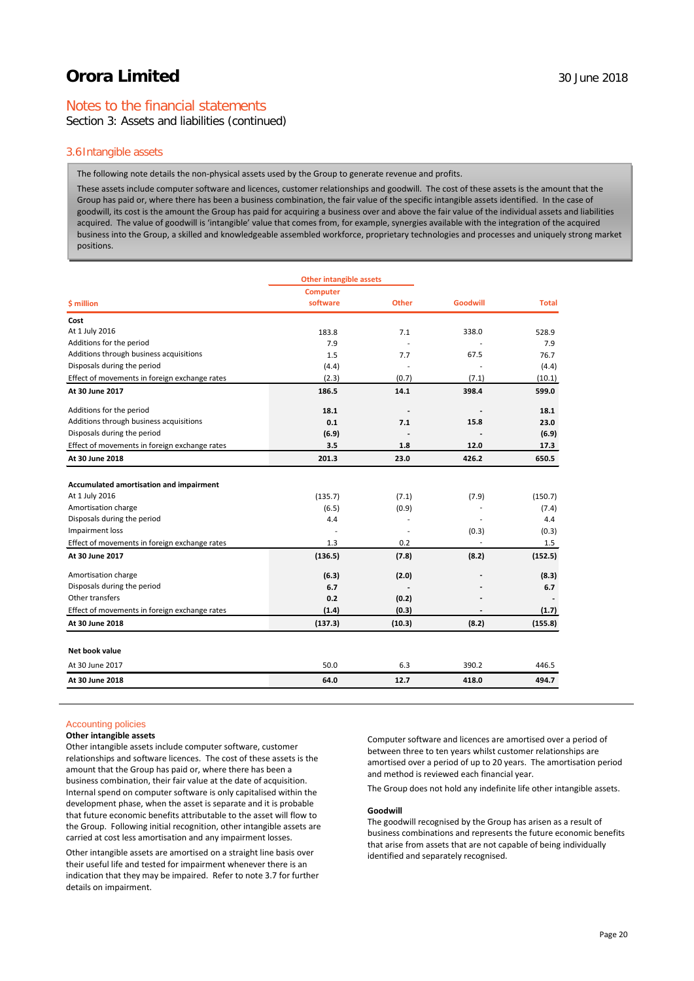## Notes to the financial statements

Section 3: Assets and liabilities (continued)

#### 3.6Intangible assets

The following note details the non-physical assets used by the Group to generate revenue and profits.

These assets include computer software and licences, customer relationships and goodwill. The cost of these assets is the amount that the Group has paid or, where there has been a business combination, the fair value of the specific intangible assets identified. In the case of goodwill, its cost is the amount the Group has paid for acquiring a business over and above the fair value of the individual assets and liabilities acquired. The value of goodwill is 'intangible' value that comes from, for example, synergies available with the integration of the acquired business into the Group, a skilled and knowledgeable assembled workforce, proprietary technologies and processes and uniquely strong market positions.

|                                               | <b>Other intangible assets</b> |              |                 |              |
|-----------------------------------------------|--------------------------------|--------------|-----------------|--------------|
|                                               | <b>Computer</b>                |              |                 |              |
| \$ million                                    | software                       | <b>Other</b> | <b>Goodwill</b> | <b>Total</b> |
| Cost                                          |                                |              |                 |              |
| At 1 July 2016                                | 183.8                          | 7.1          | 338.0           | 528.9        |
| Additions for the period                      | 7.9                            |              |                 | 7.9          |
| Additions through business acquisitions       | 1.5                            | 7.7          | 67.5            | 76.7         |
| Disposals during the period                   | (4.4)                          |              |                 | (4.4)        |
| Effect of movements in foreign exchange rates | (2.3)                          | (0.7)        | (7.1)           | (10.1)       |
| At 30 June 2017                               | 186.5                          | 14.1         | 398.4           | 599.0        |
| Additions for the period                      | 18.1                           |              |                 | 18.1         |
| Additions through business acquisitions       | 0.1                            | 7.1          | 15.8            | 23.0         |
| Disposals during the period                   | (6.9)                          |              |                 | (6.9)        |
| Effect of movements in foreign exchange rates | 3.5                            | 1.8          | 12.0            | 17.3         |
| At 30 June 2018                               | 201.3                          | 23.0         | 426.2           | 650.5        |
|                                               |                                |              |                 |              |
| Accumulated amortisation and impairment       |                                |              |                 |              |
| At 1 July 2016                                | (135.7)                        | (7.1)        | (7.9)           | (150.7)      |
| Amortisation charge                           | (6.5)                          | (0.9)        |                 | (7.4)        |
| Disposals during the period                   | 4.4                            | ٠            |                 | 4.4          |
| Impairment loss                               |                                |              | (0.3)           | (0.3)        |
| Effect of movements in foreign exchange rates | 1.3                            | 0.2          | ÷.              | 1.5          |
| At 30 June 2017                               | (136.5)                        | (7.8)        | (8.2)           | (152.5)      |
| Amortisation charge                           | (6.3)                          | (2.0)        |                 | (8.3)        |
| Disposals during the period                   | 6.7                            |              |                 | 6.7          |
| Other transfers                               | 0.2                            | (0.2)        |                 |              |
| Effect of movements in foreign exchange rates | (1.4)                          | (0.3)        |                 | (1.7)        |
| At 30 June 2018                               | (137.3)                        | (10.3)       | (8.2)           | (155.8)      |
| Net book value                                |                                |              |                 |              |
| At 30 June 2017                               | 50.0                           | 6.3          | 390.2           | 446.5        |
| At 30 June 2018                               | 64.0                           | 12.7         | 418.0           | 494.7        |

#### Accounting policies

#### **Other intangible assets**

Other intangible assets include computer software, customer relationships and software licences. The cost of these assets is the amount that the Group has paid or, where there has been a business combination, their fair value at the date of acquisition. Internal spend on computer software is only capitalised within the development phase, when the asset is separate and it is probable that future economic benefits attributable to the asset will flow to the Group. Following initial recognition, other intangible assets are carried at cost less amortisation and any impairment losses.

Other intangible assets are amortised on a straight line basis over their useful life and tested for impairment whenever there is an indication that they may be impaired. Refer to note 3.7 for further details on impairment.

Computer software and licences are amortised over a period of between three to ten years whilst customer relationships are amortised over a period of up to 20 years. The amortisation period and method is reviewed each financial year.

The Group does not hold any indefinite life other intangible assets.

#### **Goodwill**

The goodwill recognised by the Group has arisen as a result of business combinations and represents the future economic benefits that arise from assets that are not capable of being individually identified and separately recognised.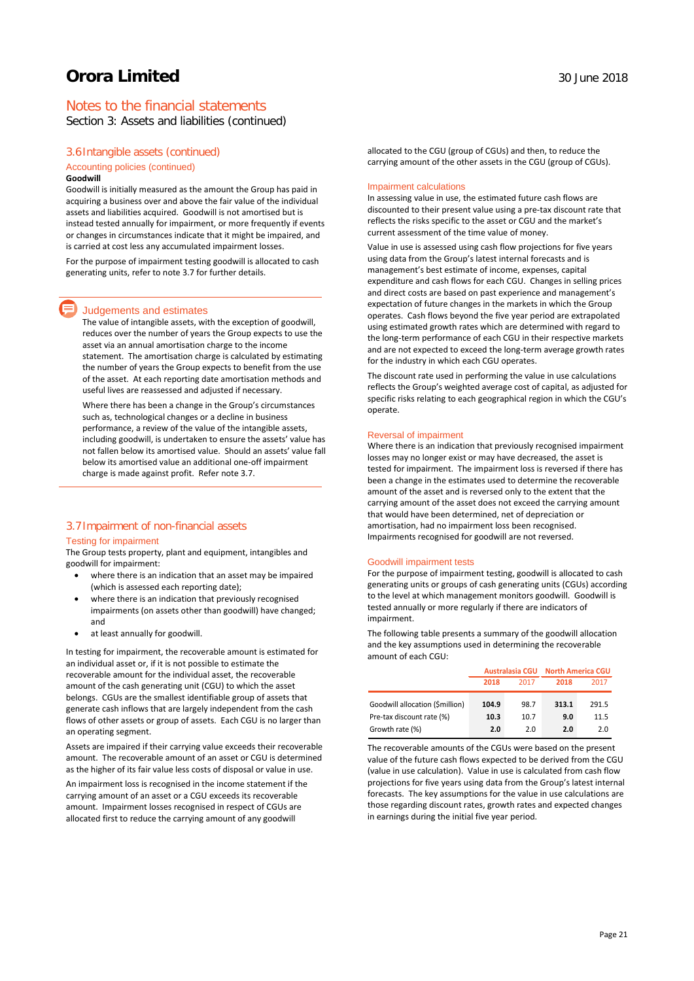## Notes to the financial statements

Section 3: Assets and liabilities (continued)

#### 3.6Intangible assets (continued)

## Accounting policies (continued)

#### **Goodwill**

Goodwill is initially measured as the amount the Group has paid in acquiring a business over and above the fair value of the individual assets and liabilities acquired. Goodwill is not amortised but is instead tested annually for impairment, or more frequently if events or changes in circumstances indicate that it might be impaired, and is carried at cost less any accumulated impairment losses.

For the purpose of impairment testing goodwill is allocated to cash generating units, refer to note 3.7 for further details.

#### Judgements and estimates

The value of intangible assets, with the exception of goodwill, reduces over the number of years the Group expects to use the asset via an annual amortisation charge to the income statement. The amortisation charge is calculated by estimating the number of years the Group expects to benefit from the use of the asset. At each reporting date amortisation methods and useful lives are reassessed and adjusted if necessary.

Where there has been a change in the Group's circumstances such as, technological changes or a decline in business performance, a review of the value of the intangible assets, including goodwill, is undertaken to ensure the assets' value has not fallen below its amortised value. Should an assets' value fall below its amortised value an additional one-off impairment charge is made against profit. Refer note 3.7.

#### 3.7Impairment of non-financial assets

#### Testing for impairment

The Group tests property, plant and equipment, intangibles and goodwill for impairment:

- where there is an indication that an asset may be impaired (which is assessed each reporting date);
- where there is an indication that previously recognised impairments (on assets other than goodwill) have changed; and
- at least annually for goodwill.

In testing for impairment, the recoverable amount is estimated for an individual asset or, if it is not possible to estimate the recoverable amount for the individual asset, the recoverable amount of the cash generating unit (CGU) to which the asset belongs. CGUs are the smallest identifiable group of assets that generate cash inflows that are largely independent from the cash flows of other assets or group of assets. Each CGU is no larger than an operating segment.

Assets are impaired if their carrying value exceeds their recoverable amount. The recoverable amount of an asset or CGU is determined as the higher of its fair value less costs of disposal or value in use.

An impairment loss is recognised in the income statement if the carrying amount of an asset or a CGU exceeds its recoverable amount. Impairment losses recognised in respect of CGUs are allocated first to reduce the carrying amount of any goodwill

allocated to the CGU (group of CGUs) and then, to reduce the carrying amount of the other assets in the CGU (group of CGUs).

#### Impairment calculations

In assessing value in use, the estimated future cash flows are discounted to their present value using a pre-tax discount rate that reflects the risks specific to the asset or CGU and the market's current assessment of the time value of money.

Value in use is assessed using cash flow projections for five years using data from the Group's latest internal forecasts and is management's best estimate of income, expenses, capital expenditure and cash flows for each CGU. Changes in selling prices and direct costs are based on past experience and management's expectation of future changes in the markets in which the Group operates. Cash flows beyond the five year period are extrapolated using estimated growth rates which are determined with regard to the long-term performance of each CGU in their respective markets and are not expected to exceed the long-term average growth rates for the industry in which each CGU operates.

The discount rate used in performing the value in use calculations reflects the Group's weighted average cost of capital, as adjusted for specific risks relating to each geographical region in which the CGU's operate.

#### Reversal of impairment

Where there is an indication that previously recognised impairment losses may no longer exist or may have decreased, the asset is tested for impairment. The impairment loss is reversed if there has been a change in the estimates used to determine the recoverable amount of the asset and is reversed only to the extent that the carrying amount of the asset does not exceed the carrying amount that would have been determined, net of depreciation or amortisation, had no impairment loss been recognised. Impairments recognised for goodwill are not reversed.

#### Goodwill impairment tests

For the purpose of impairment testing, goodwill is allocated to cash generating units or groups of cash generating units (CGUs) according to the level at which management monitors goodwill. Goodwill is tested annually or more regularly if there are indicators of impairment.

The following table presents a summary of the goodwill allocation and the key assumptions used in determining the recoverable amount of each CGU:

|                                 | <b>Australasia CGU</b> |      | <b>North America CGU</b> |       |
|---------------------------------|------------------------|------|--------------------------|-------|
|                                 | 2018                   | 2017 | 2018                     | 2017  |
| Goodwill allocation (\$million) | 104.9                  | 98.7 | 313.1                    | 291.5 |
| Pre-tax discount rate (%)       | 10.3                   | 10.7 | 9.0                      | 11.5  |
| Growth rate (%)                 | 2.0                    | 2.0  | 2.0                      | 2.0   |

The recoverable amounts of the CGUs were based on the present value of the future cash flows expected to be derived from the CGU (value in use calculation). Value in use is calculated from cash flow projections for five years using data from the Group's latest internal forecasts. The key assumptions for the value in use calculations are those regarding discount rates, growth rates and expected changes in earnings during the initial five year period.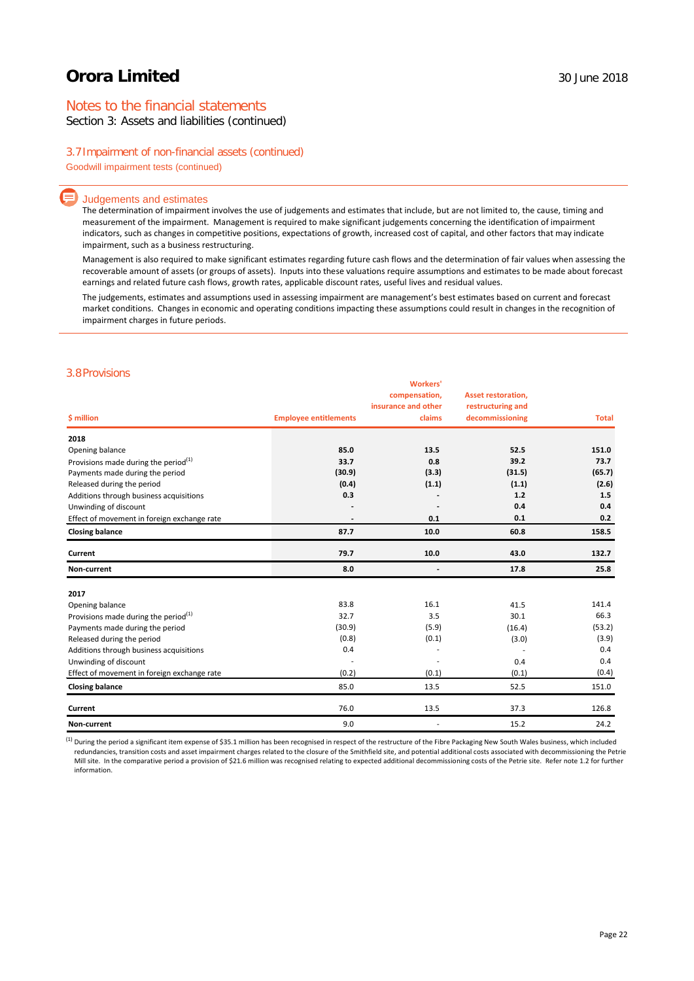## Notes to the financial statements

Section 3: Assets and liabilities (continued)

### 3.7Impairment of non-financial assets (continued)

Goodwill impairment tests (continued)

#### Judgements and estimates

The determination of impairment involves the use of judgements and estimates that include, but are not limited to, the cause, timing and measurement of the impairment. Management is required to make significant judgements concerning the identification of impairment indicators, such as changes in competitive positions, expectations of growth, increased cost of capital, and other factors that may indicate impairment, such as a business restructuring.

Management is also required to make significant estimates regarding future cash flows and the determination of fair values when assessing the recoverable amount of assets (or groups of assets). Inputs into these valuations require assumptions and estimates to be made about forecast earnings and related future cash flows, growth rates, applicable discount rates, useful lives and residual values.

The judgements, estimates and assumptions used in assessing impairment are management's best estimates based on current and forecast market conditions. Changes in economic and operating conditions impacting these assumptions could result in changes in the recognition of impairment charges in future periods.

### 3.8Provisions

| \$ million                                       | <b>Employee entitlements</b> | <b>Workers'</b><br>compensation,<br>insurance and other<br>claims | <b>Asset restoration,</b><br>restructuring and<br>decommissioning | <b>Total</b> |
|--------------------------------------------------|------------------------------|-------------------------------------------------------------------|-------------------------------------------------------------------|--------------|
| 2018                                             |                              |                                                                   |                                                                   |              |
| Opening balance                                  | 85.0                         | 13.5                                                              | 52.5                                                              | 151.0        |
| Provisions made during the period <sup>(1)</sup> | 33.7                         | 0.8                                                               | 39.2                                                              | 73.7         |
| Payments made during the period                  | (30.9)                       | (3.3)                                                             | (31.5)                                                            | (65.7)       |
| Released during the period                       | (0.4)                        | (1.1)                                                             | (1.1)                                                             | (2.6)        |
| Additions through business acquisitions          | 0.3                          |                                                                   | 1.2                                                               | 1.5          |
| Unwinding of discount                            |                              |                                                                   | 0.4                                                               | 0.4          |
| Effect of movement in foreign exchange rate      |                              | 0.1                                                               | 0.1                                                               | 0.2          |
| <b>Closing balance</b>                           | 87.7                         | 10.0                                                              | 60.8                                                              | 158.5        |
| Current                                          | 79.7                         | 10.0                                                              | 43.0                                                              | 132.7        |
| Non-current                                      | 8.0                          |                                                                   | 17.8                                                              | 25.8         |
| 2017                                             |                              |                                                                   |                                                                   |              |
| Opening balance                                  | 83.8                         | 16.1                                                              | 41.5                                                              | 141.4        |
| Provisions made during the period $(1)$          | 32.7                         | 3.5                                                               | 30.1                                                              | 66.3         |
| Payments made during the period                  | (30.9)                       | (5.9)                                                             | (16.4)                                                            | (53.2)       |
| Released during the period                       | (0.8)                        | (0.1)                                                             | (3.0)                                                             | (3.9)        |
| Additions through business acquisitions          | 0.4                          |                                                                   |                                                                   | 0.4          |
| Unwinding of discount                            |                              |                                                                   | 0.4                                                               | 0.4          |
| Effect of movement in foreign exchange rate      | (0.2)                        | (0.1)                                                             | (0.1)                                                             | (0.4)        |
| <b>Closing balance</b>                           | 85.0                         | 13.5                                                              | 52.5                                                              | 151.0        |
| Current                                          | 76.0                         | 13.5                                                              | 37.3                                                              | 126.8        |
| Non-current                                      | 9.0                          |                                                                   | 15.2                                                              | 24.2         |

<sup>(1)</sup> During the period a significant item expense of \$35.1 million has been recognised in respect of the restructure of the Fibre Packaging New South Wales business, which included redundancies, transition costs and asset impairment charges related to the closure of the Smithfield site, and potential additional costs associated with decommissioning the Petrie Mill site. In the comparative period a provision of \$21.6 million was recognised relating to expected additional decommissioning costs of the Petrie site. Refer note 1.2 for further information.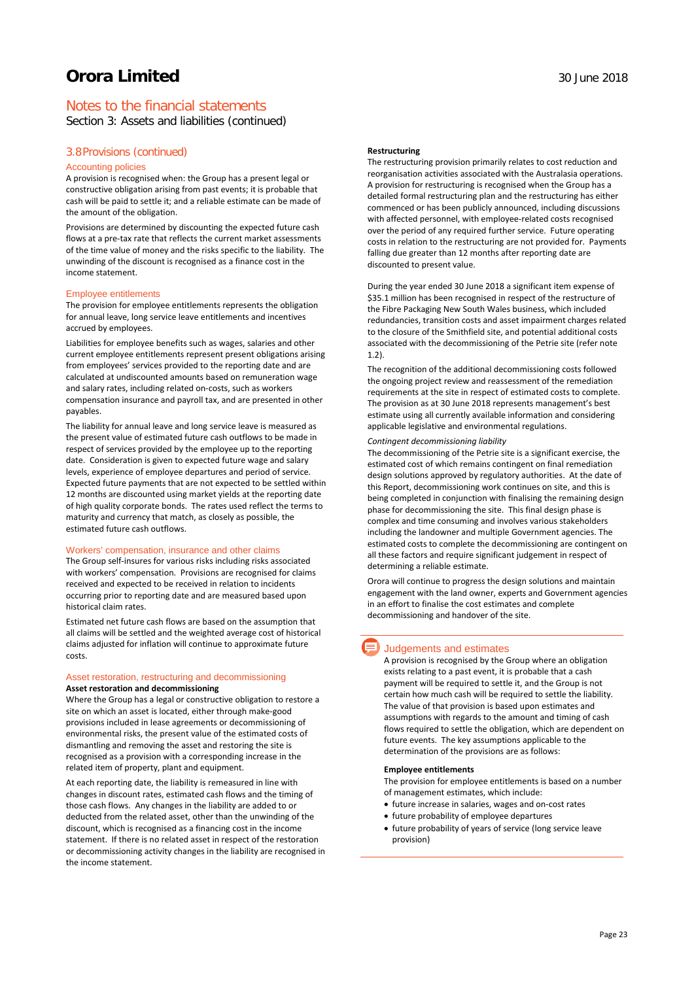## Notes to the financial statements

Section 3: Assets and liabilities (continued)

### 3.8Provisions (continued)

#### Accounting policies

A provision is recognised when: the Group has a present legal or constructive obligation arising from past events; it is probable that cash will be paid to settle it; and a reliable estimate can be made of the amount of the obligation.

Provisions are determined by discounting the expected future cash flows at a pre-tax rate that reflects the current market assessments of the time value of money and the risks specific to the liability. The unwinding of the discount is recognised as a finance cost in the income statement.

#### Employee entitlements

The provision for employee entitlements represents the obligation for annual leave, long service leave entitlements and incentives accrued by employees.

Liabilities for employee benefits such as wages, salaries and other current employee entitlements represent present obligations arising from employees' services provided to the reporting date and are calculated at undiscounted amounts based on remuneration wage and salary rates, including related on-costs, such as workers compensation insurance and payroll tax, and are presented in other payables.

The liability for annual leave and long service leave is measured as the present value of estimated future cash outflows to be made in respect of services provided by the employee up to the reporting date. Consideration is given to expected future wage and salary levels, experience of employee departures and period of service. Expected future payments that are not expected to be settled within 12 months are discounted using market yields at the reporting date of high quality corporate bonds. The rates used reflect the terms to maturity and currency that match, as closely as possible, the estimated future cash outflows.

#### Workers' compensation, insurance and other claims

The Group self-insures for various risks including risks associated with workers' compensation. Provisions are recognised for claims received and expected to be received in relation to incidents occurring prior to reporting date and are measured based upon historical claim rates.

Estimated net future cash flows are based on the assumption that all claims will be settled and the weighted average cost of historical claims adjusted for inflation will continue to approximate future costs.

#### Asset restoration, restructuring and decommissioning **Asset restoration and decommissioning**

Where the Group has a legal or constructive obligation to restore a site on which an asset is located, either through make-good provisions included in lease agreements or decommissioning of environmental risks, the present value of the estimated costs of dismantling and removing the asset and restoring the site is recognised as a provision with a corresponding increase in the related item of property, plant and equipment.

At each reporting date, the liability is remeasured in line with changes in discount rates, estimated cash flows and the timing of those cash flows. Any changes in the liability are added to or deducted from the related asset, other than the unwinding of the discount, which is recognised as a financing cost in the income statement. If there is no related asset in respect of the restoration or decommissioning activity changes in the liability are recognised in the income statement.

### **Restructuring**

The restructuring provision primarily relates to cost reduction and reorganisation activities associated with the Australasia operations. A provision for restructuring is recognised when the Group has a detailed formal restructuring plan and the restructuring has either commenced or has been publicly announced, including discussions with affected personnel, with employee-related costs recognised over the period of any required further service. Future operating costs in relation to the restructuring are not provided for. Payments falling due greater than 12 months after reporting date are discounted to present value.

During the year ended 30 June 2018 a significant item expense of \$35.1 million has been recognised in respect of the restructure of the Fibre Packaging New South Wales business, which included redundancies, transition costs and asset impairment charges related to the closure of the Smithfield site, and potential additional costs associated with the decommissioning of the Petrie site (refer note 1.2).

The recognition of the additional decommissioning costs followed the ongoing project review and reassessment of the remediation requirements at the site in respect of estimated costs to complete. The provision as at 30 June 2018 represents management's best estimate using all currently available information and considering applicable legislative and environmental regulations.

#### *Contingent decommissioning liability*

The decommissioning of the Petrie site is a significant exercise, the estimated cost of which remains contingent on final remediation design solutions approved by regulatory authorities. At the date of this Report, decommissioning work continues on site, and this is being completed in conjunction with finalising the remaining design phase for decommissioning the site. This final design phase is complex and time consuming and involves various stakeholders including the landowner and multiple Government agencies. The estimated costs to complete the decommissioning are contingent on all these factors and require significant judgement in respect of determining a reliable estimate.

Orora will continue to progress the design solutions and maintain engagement with the land owner, experts and Government agencies in an effort to finalise the cost estimates and complete decommissioning and handover of the site.

### Judgements and estimates

A provision is recognised by the Group where an obligation exists relating to a past event, it is probable that a cash payment will be required to settle it, and the Group is not certain how much cash will be required to settle the liability. The value of that provision is based upon estimates and assumptions with regards to the amount and timing of cash flows required to settle the obligation, which are dependent on future events. The key assumptions applicable to the determination of the provisions are as follows:

### **Employee entitlements**

The provision for employee entitlements is based on a number of management estimates, which include:

- future increase in salaries, wages and on-cost rates
- future probability of employee departures
- future probability of years of service (long service leave provision)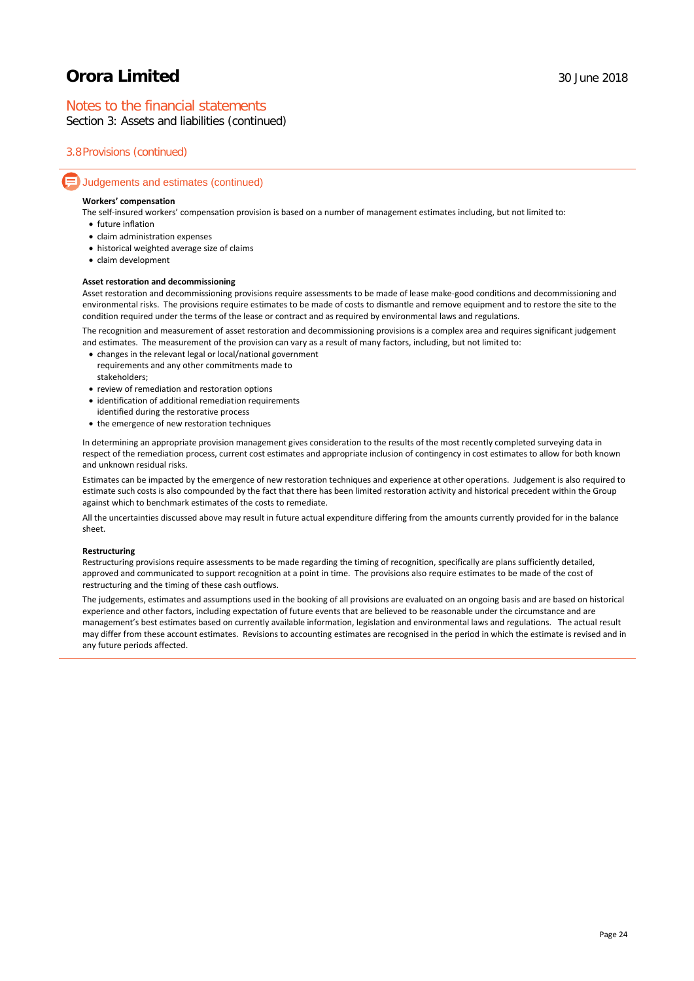## Notes to the financial statements

Section 3: Assets and liabilities (continued)

## 3.8Provisions (continued)

### Judgements and estimates (continued)

#### **Workers' compensation**

The self-insured workers' compensation provision is based on a number of management estimates including, but not limited to:

- future inflation
- claim administration expenses
- historical weighted average size of claims
- claim development

#### **Asset restoration and decommissioning**

Asset restoration and decommissioning provisions require assessments to be made of lease make-good conditions and decommissioning and environmental risks. The provisions require estimates to be made of costs to dismantle and remove equipment and to restore the site to the condition required under the terms of the lease or contract and as required by environmental laws and regulations.

The recognition and measurement of asset restoration and decommissioning provisions is a complex area and requires significant judgement and estimates. The measurement of the provision can vary as a result of many factors, including, but not limited to:

- changes in the relevant legal or local/national government requirements and any other commitments made to stakeholders;
- review of remediation and restoration options
- identification of additional remediation requirements
- identified during the restorative process
- the emergence of new restoration techniques

In determining an appropriate provision management gives consideration to the results of the most recently completed surveying data in respect of the remediation process, current cost estimates and appropriate inclusion of contingency in cost estimates to allow for both known and unknown residual risks.

Estimates can be impacted by the emergence of new restoration techniques and experience at other operations. Judgement is also required to estimate such costs is also compounded by the fact that there has been limited restoration activity and historical precedent within the Group against which to benchmark estimates of the costs to remediate.

All the uncertainties discussed above may result in future actual expenditure differing from the amounts currently provided for in the balance sheet.

#### **Restructuring**

Restructuring provisions require assessments to be made regarding the timing of recognition, specifically are plans sufficiently detailed, approved and communicated to support recognition at a point in time. The provisions also require estimates to be made of the cost of restructuring and the timing of these cash outflows.

The judgements, estimates and assumptions used in the booking of all provisions are evaluated on an ongoing basis and are based on historical experience and other factors, including expectation of future events that are believed to be reasonable under the circumstance and are management's best estimates based on currently available information, legislation and environmental laws and regulations. The actual result may differ from these account estimates. Revisions to accounting estimates are recognised in the period in which the estimate is revised and in any future periods affected.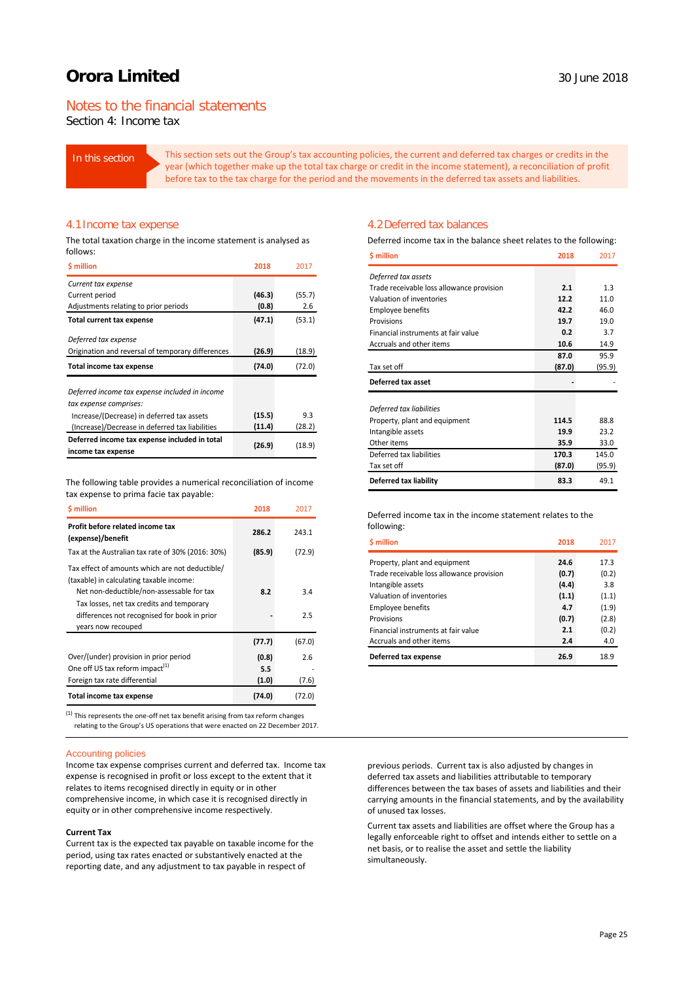## Notes to the financial statements

Section 4: Income tax

In this section This section sets out the Group's tax accounting policies, the current and deferred tax charges or credits in the year (which together make up the total tax charge or credit in the income statement), a reconciliation of profit before tax to the tax charge for the period and the movements in the deferred tax assets and liabilities.

#### 4.1Income tax expense

The total taxation charge in the income statement is analysed as follows:

| <b>S</b> million                                  | 2018   | 2017   |
|---------------------------------------------------|--------|--------|
| Current tax expense                               |        |        |
| Current period                                    | (46.3) | (55.7) |
| Adjustments relating to prior periods             | (0.8)  | 2.6    |
| Total current tax expense                         | (47.1) | (53.1) |
| Deferred tax expense                              |        |        |
| Origination and reversal of temporary differences | (26.9) | (18.9) |
| Total income tax expense                          | (74.0) | (72.0) |
|                                                   |        |        |
|                                                   |        |        |
| Deferred income tax expense included in income    |        |        |
| tax expense comprises:                            |        |        |
| Increase/(Decrease) in deferred tax assets        | (15.5) | 9.3    |
| (Increase)/Decrease in deferred tax liabilities   | (11.4) | (28.2) |
| Deferred income tax expense included in total     | (26.9) | (18.9) |

The following table provides a numerical reconciliation of income tax expense to prima facie tax payable:

| <b>S</b> million                                                                                                                         | 2018   | 2017   |
|------------------------------------------------------------------------------------------------------------------------------------------|--------|--------|
| Profit before related income tax<br>(expense)/benefit                                                                                    | 286.2  | 243.1  |
| Tax at the Australian tax rate of 30% (2016: 30%)                                                                                        | (85.9) | (72.9) |
| Tax effect of amounts which are not deductible/<br>(taxable) in calculating taxable income:<br>Net non-deductible/non-assessable for tax | 8.2    | 3.4    |
| Tax losses, net tax credits and temporary<br>differences not recognised for book in prior<br>years now recouped                          |        | 2.5    |
|                                                                                                                                          | (77.7) | (67.0) |
| Over/(under) provision in prior period                                                                                                   | (0.8)  | 2.6    |
| One off US tax reform impact <sup>(1)</sup>                                                                                              | 5.5    |        |
| Foreign tax rate differential                                                                                                            | (1.0)  | (7.6)  |
| Total income tax expense                                                                                                                 | (74.0) | (72.0) |

 $<sup>(1)</sup>$  This represents the one-off net tax benefit arising from tax reform changes</sup> relating to the Group's US operations that were enacted on 22 December 2017.

#### Accounting policies

Income tax expense comprises current and deferred tax. Income tax expense is recognised in profit or loss except to the extent that it relates to items recognised directly in equity or in other comprehensive income, in which case it is recognised directly in equity or in other comprehensive income respectively.

#### **Current Tax**

Current tax is the expected tax payable on taxable income for the period, using tax rates enacted or substantively enacted at the reporting date, and any adjustment to tax payable in respect of

#### 4.2Deferred tax balances

Deferred income tax in the balance sheet relates to the following:

| \$ million                                         | 2018   | 2017   |
|----------------------------------------------------|--------|--------|
| Deferred tax assets                                |        |        |
| Trade receivable loss allowance provision          | 2.1    | 1.3    |
| Valuation of inventories                           | 12.2   | 11.0   |
| <b>Employee benefits</b>                           | 42.2   | 46.0   |
| Provisions                                         | 19.7   | 19.0   |
| Financial instruments at fair value                | 0.2    | 3.7    |
| Accruals and other items                           | 10.6   | 14.9   |
|                                                    | 87.0   | 95.9   |
| Tax set off                                        | (87.0) | (95.9) |
| Deferred tax asset                                 |        |        |
|                                                    |        |        |
| Deferred tax liabilities                           | 114.5  | 88.8   |
| Property, plant and equipment<br>Intangible assets | 19.9   | 23.2   |
| Other items                                        | 35.9   | 33.0   |
| Deferred tax liabilities                           | 170.3  | 145.0  |
| Tax set off                                        | (87.0) | (95.9) |
| Deferred tax liability                             | 83.3   | 49.1   |

#### Deferred income tax in the income statement relates to the following:

| <b>S</b> million                          | 2018  | 2017  |
|-------------------------------------------|-------|-------|
| Property, plant and equipment             | 24.6  | 17.3  |
| Trade receivable loss allowance provision | (0.7) | (0.2) |
| Intangible assets                         | (4.4) | 3.8   |
| Valuation of inventories                  | (1.1) | (1.1) |
| <b>Employee benefits</b>                  | 4.7   | (1.9) |
| Provisions                                | (0.7) | (2.8) |
| Financial instruments at fair value       | 2.1   | (0.2) |
| Accruals and other items                  | 2.4   | 4.0   |
| Deferred tax expense                      | 26.9  | 18.9  |

previous periods. Current tax is also adjusted by changes in deferred tax assets and liabilities attributable to temporary differences between the tax bases of assets and liabilities and their carrying amounts in the financial statements, and by the availability of unused tax losses.

Current tax assets and liabilities are offset where the Group has a legally enforceable right to offset and intends either to settle on a net basis, or to realise the asset and settle the liability simultaneously.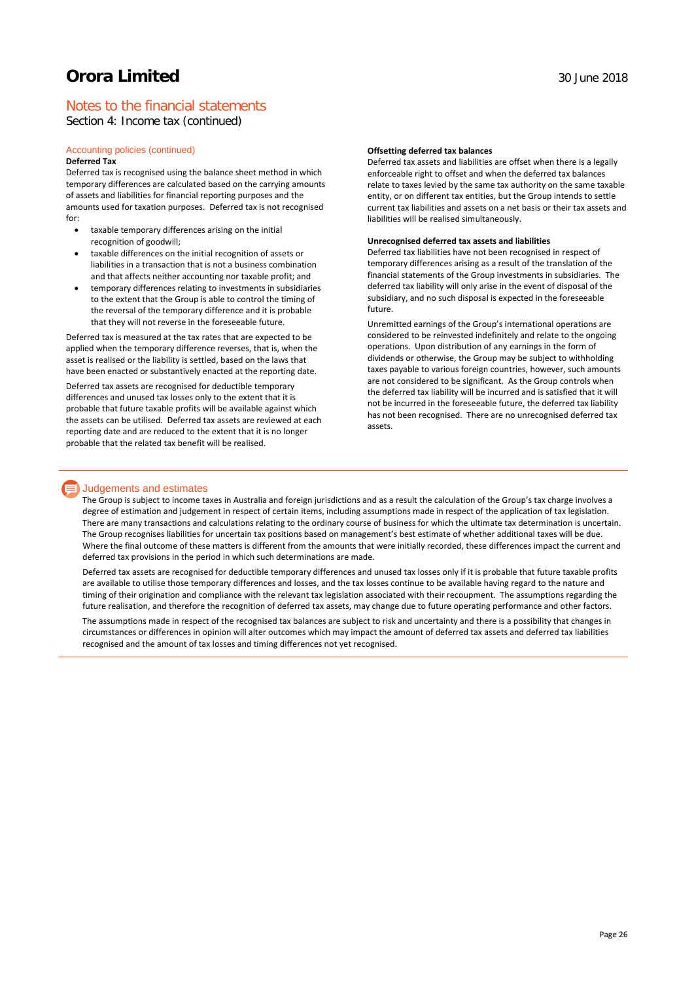## Notes to the financial statements

Section 4: Income tax (continued)

#### Accounting policies (continued) **Deferred Tax**

Deferred tax is recognised using the balance sheet method in which temporary differences are calculated based on the carrying amounts of assets and liabilities for financial reporting purposes and the amounts used for taxation purposes. Deferred tax is not recognised for:

- taxable temporary differences arising on the initial recognition of goodwill;
- taxable differences on the initial recognition of assets or liabilities in a transaction that is not a business combination and that affects neither accounting nor taxable profit; and
- temporary differences relating to investments in subsidiaries to the extent that the Group is able to control the timing of the reversal of the temporary difference and it is probable that they will not reverse in the foreseeable future.

Deferred tax is measured at the tax rates that are expected to be applied when the temporary difference reverses, that is, when the asset is realised or the liability is settled, based on the laws that have been enacted or substantively enacted at the reporting date.

Deferred tax assets are recognised for deductible temporary differences and unused tax losses only to the extent that it is probable that future taxable profits will be available against which the assets can be utilised. Deferred tax assets are reviewed at each reporting date and are reduced to the extent that it is no longer probable that the related tax benefit will be realised.

#### **Offsetting deferred tax balances**

Deferred tax assets and liabilities are offset when there is a legally enforceable right to offset and when the deferred tax balances relate to taxes levied by the same tax authority on the same taxable entity, or on different tax entities, but the Group intends to settle current tax liabilities and assets on a net basis or their tax assets and liabilities will be realised simultaneously.

#### **Unrecognised deferred tax assets and liabilities**

Deferred tax liabilities have not been recognised in respect of temporary differences arising as a result of the translation of the financial statements of the Group investments in subsidiaries. The deferred tax liability will only arise in the event of disposal of the subsidiary, and no such disposal is expected in the foreseeable future.

Unremitted earnings of the Group's international operations are considered to be reinvested indefinitely and relate to the ongoing operations. Upon distribution of any earnings in the form of dividends or otherwise, the Group may be subject to withholding taxes payable to various foreign countries, however, such amounts are not considered to be significant. As the Group controls when the deferred tax liability will be incurred and is satisfied that it will not be incurred in the foreseeable future, the deferred tax liability has not been recognised. There are no unrecognised deferred tax assets.

### **Judgements and estimates**

The Group is subject to income taxes in Australia and foreign jurisdictions and as a result the calculation of the Group's tax charge involves a degree of estimation and judgement in respect of certain items, including assumptions made in respect of the application of tax legislation. There are many transactions and calculations relating to the ordinary course of business for which the ultimate tax determination is uncertain. The Group recognises liabilities for uncertain tax positions based on management's best estimate of whether additional taxes will be due. Where the final outcome of these matters is different from the amounts that were initially recorded, these differences impact the current and deferred tax provisions in the period in which such determinations are made.

Deferred tax assets are recognised for deductible temporary differences and unused tax losses only if it is probable that future taxable profits are available to utilise those temporary differences and losses, and the tax losses continue to be available having regard to the nature and timing of their origination and compliance with the relevant tax legislation associated with their recoupment. The assumptions regarding the future realisation, and therefore the recognition of deferred tax assets, may change due to future operating performance and other factors.

The assumptions made in respect of the recognised tax balances are subject to risk and uncertainty and there is a possibility that changes in circumstances or differences in opinion will alter outcomes which may impact the amount of deferred tax assets and deferred tax liabilities recognised and the amount of tax losses and timing differences not yet recognised.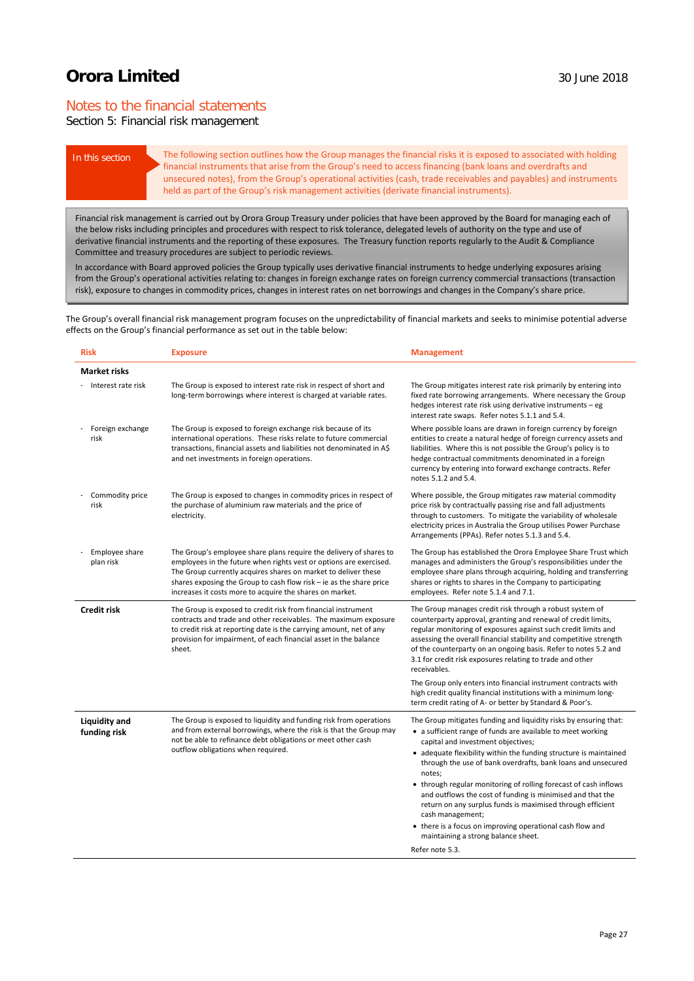## Notes to the financial statements

## Section 5: Financial risk management

In this section The following section outlines how the Group manages the financial risks it is exposed to associated with holding financial instruments that arise from the Group's need to access financing (bank loans and overdrafts and unsecured notes), from the Group's operational activities (cash, trade receivables and payables) and instruments held as part of the Group's risk management activities (derivate financial instruments).

Financial risk management is carried out by Orora Group Treasury under policies that have been approved by the Board for managing each of the below risks including principles and procedures with respect to risk tolerance, delegated levels of authority on the type and use of derivative financial instruments and the reporting of these exposures. The Treasury function reports regularly to the Audit & Compliance Committee and treasury procedures are subject to periodic reviews.

In accordance with Board approved policies the Group typically uses derivative financial instruments to hedge underlying exposures arising from the Group's operational activities relating to: changes in foreign exchange rates on foreign currency commercial transactions (transaction risk), exposure to changes in commodity prices, changes in interest rates on net borrowings and changes in the Company's share price.

The Group's overall financial risk management program focuses on the unpredictability of financial markets and seeks to minimise potential adverse effects on the Group's financial performance as set out in the table below:

| <b>Risk</b>                          | <b>Exposure</b>                                                                                                                                                                                                                                                                                                                               | <b>Management</b>                                                                                                                                                                                                                                                                                                                                                                                                                                                                                                                                                                                                                                                |
|--------------------------------------|-----------------------------------------------------------------------------------------------------------------------------------------------------------------------------------------------------------------------------------------------------------------------------------------------------------------------------------------------|------------------------------------------------------------------------------------------------------------------------------------------------------------------------------------------------------------------------------------------------------------------------------------------------------------------------------------------------------------------------------------------------------------------------------------------------------------------------------------------------------------------------------------------------------------------------------------------------------------------------------------------------------------------|
| <b>Market risks</b>                  |                                                                                                                                                                                                                                                                                                                                               |                                                                                                                                                                                                                                                                                                                                                                                                                                                                                                                                                                                                                                                                  |
| - Interest rate risk                 | The Group is exposed to interest rate risk in respect of short and<br>long-term borrowings where interest is charged at variable rates.                                                                                                                                                                                                       | The Group mitigates interest rate risk primarily by entering into<br>fixed rate borrowing arrangements. Where necessary the Group<br>hedges interest rate risk using derivative instruments - eg<br>interest rate swaps. Refer notes 5.1.1 and 5.4.                                                                                                                                                                                                                                                                                                                                                                                                              |
| Foreign exchange<br>risk             | The Group is exposed to foreign exchange risk because of its<br>international operations. These risks relate to future commercial<br>transactions, financial assets and liabilities not denominated in A\$<br>and net investments in foreign operations.                                                                                      | Where possible loans are drawn in foreign currency by foreign<br>entities to create a natural hedge of foreign currency assets and<br>liabilities. Where this is not possible the Group's policy is to<br>hedge contractual commitments denominated in a foreign<br>currency by entering into forward exchange contracts. Refer<br>notes 5.1.2 and 5.4.                                                                                                                                                                                                                                                                                                          |
| Commodity price<br>risk              | The Group is exposed to changes in commodity prices in respect of<br>the purchase of aluminium raw materials and the price of<br>electricity.                                                                                                                                                                                                 | Where possible, the Group mitigates raw material commodity<br>price risk by contractually passing rise and fall adjustments<br>through to customers. To mitigate the variability of wholesale<br>electricity prices in Australia the Group utilises Power Purchase<br>Arrangements (PPAs). Refer notes 5.1.3 and 5.4.                                                                                                                                                                                                                                                                                                                                            |
| Employee share<br>plan risk          | The Group's employee share plans require the delivery of shares to<br>employees in the future when rights vest or options are exercised.<br>The Group currently acquires shares on market to deliver these<br>shares exposing the Group to cash flow risk - ie as the share price<br>increases it costs more to acquire the shares on market. | The Group has established the Orora Employee Share Trust which<br>manages and administers the Group's responsibilities under the<br>employee share plans through acquiring, holding and transferring<br>shares or rights to shares in the Company to participating<br>employees. Refer note 5.1.4 and 7.1.                                                                                                                                                                                                                                                                                                                                                       |
| <b>Credit risk</b>                   | The Group is exposed to credit risk from financial instrument<br>contracts and trade and other receivables. The maximum exposure<br>to credit risk at reporting date is the carrying amount, net of any<br>provision for impairment, of each financial asset in the balance<br>sheet.                                                         | The Group manages credit risk through a robust system of<br>counterparty approval, granting and renewal of credit limits,<br>regular monitoring of exposures against such credit limits and<br>assessing the overall financial stability and competitive strength<br>of the counterparty on an ongoing basis. Refer to notes 5.2 and<br>3.1 for credit risk exposures relating to trade and other<br>receivables.                                                                                                                                                                                                                                                |
|                                      |                                                                                                                                                                                                                                                                                                                                               | The Group only enters into financial instrument contracts with<br>high credit quality financial institutions with a minimum long-<br>term credit rating of A- or better by Standard & Poor's.                                                                                                                                                                                                                                                                                                                                                                                                                                                                    |
| <b>Liquidity and</b><br>funding risk | The Group is exposed to liquidity and funding risk from operations<br>and from external borrowings, where the risk is that the Group may<br>not be able to refinance debt obligations or meet other cash<br>outflow obligations when required.                                                                                                | The Group mitigates funding and liquidity risks by ensuring that:<br>• a sufficient range of funds are available to meet working<br>capital and investment objectives;<br>• adequate flexibility within the funding structure is maintained<br>through the use of bank overdrafts, bank loans and unsecured<br>notes;<br>• through regular monitoring of rolling forecast of cash inflows<br>and outflows the cost of funding is minimised and that the<br>return on any surplus funds is maximised through efficient<br>cash management;<br>• there is a focus on improving operational cash flow and<br>maintaining a strong balance sheet.<br>Refer note 5.3. |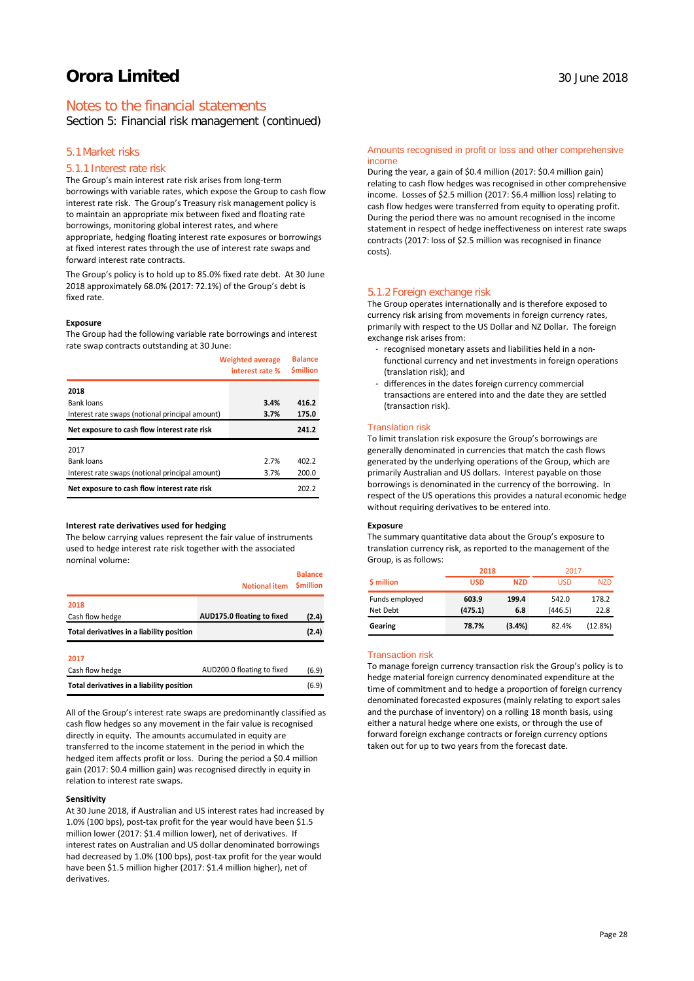## Notes to the financial statements

Section 5: Financial risk management (continued)

### 5.1Market risks

### 5.1.1 Interest rate risk

The Group's main interest rate risk arises from long-term borrowings with variable rates, which expose the Group to cash flow interest rate risk. The Group's Treasury risk management policy is to maintain an appropriate mix between fixed and floating rate borrowings, monitoring global interest rates, and where appropriate, hedging floating interest rate exposures or borrowings at fixed interest rates through the use of interest rate swaps and forward interest rate contracts.

The Group's policy is to hold up to 85.0% fixed rate debt. At 30 June 2018 approximately 68.0% (2017: 72.1%) of the Group's debt is fixed rate.

#### **Exposure**

The Group had the following variable rate borrowings and interest rate swap contracts outstanding at 30 June:

|                                                 | <b>Weighted average</b><br>interest rate % | <b>Balance</b><br><b>Smillion</b> |
|-------------------------------------------------|--------------------------------------------|-----------------------------------|
| 2018                                            |                                            |                                   |
| <b>Bank loans</b>                               | 3.4%                                       | 416.2                             |
| Interest rate swaps (notional principal amount) | 3.7%                                       | 175.0                             |
| Net exposure to cash flow interest rate risk    |                                            | 241.2                             |
| 2017                                            |                                            |                                   |
| Bank loans                                      | 2.7%                                       | 402.2                             |
| Interest rate swaps (notional principal amount) | 3.7%                                       | 200.0                             |
| Net exposure to cash flow interest rate risk    |                                            | 202.2                             |

#### **Interest rate derivatives used for hedging**

The below carrying values represent the fair value of instruments used to hedge interest rate risk together with the associated nominal volume:

|                                           | <b>Notional item</b>       | <b>Balance</b><br><b>Smillion</b> |
|-------------------------------------------|----------------------------|-----------------------------------|
| 2018                                      |                            |                                   |
| Cash flow hedge                           | AUD175.0 floating to fixed | (2.4)                             |
| Total derivatives in a liability position |                            | (2.4)                             |
| 2017                                      |                            |                                   |
| Cash flow hedge                           | AUD200.0 floating to fixed | (6.9)                             |
| Total derivatives in a liability position |                            | (6.9)                             |

All of the Group's interest rate swaps are predominantly classified as cash flow hedges so any movement in the fair value is recognised directly in equity. The amounts accumulated in equity are transferred to the income statement in the period in which the hedged item affects profit or loss. During the period a \$0.4 million gain (2017: \$0.4 million gain) was recognised directly in equity in relation to interest rate swaps.

#### **Sensitivity**

At 30 June 2018, if Australian and US interest rates had increased by 1.0% (100 bps), post-tax profit for the year would have been \$1.5 million lower (2017: \$1.4 million lower), net of derivatives. If interest rates on Australian and US dollar denominated borrowings had decreased by 1.0% (100 bps), post-tax profit for the year would have been \$1.5 million higher (2017: \$1.4 million higher), net of derivatives.

#### Amounts recognised in profit or loss and other comprehensive income

During the year, a gain of \$0.4 million (2017: \$0.4 million gain) relating to cash flow hedges was recognised in other comprehensive income. Losses of \$2.5 million (2017: \$6.4 million loss) relating to cash flow hedges were transferred from equity to operating profit. During the period there was no amount recognised in the income statement in respect of hedge ineffectiveness on interest rate swaps contracts (2017: loss of \$2.5 million was recognised in finance costs).

### 5.1.2 Foreign exchange risk

The Group operates internationally and is therefore exposed to currency risk arising from movements in foreign currency rates, primarily with respect to the US Dollar and NZ Dollar. The foreign exchange risk arises from:

- recognised monetary assets and liabilities held in a nonfunctional currency and net investments in foreign operations (translation risk); and
- differences in the dates foreign currency commercial transactions are entered into and the date they are settled (transaction risk).

#### Translation risk

To limit translation risk exposure the Group's borrowings are generally denominated in currencies that match the cash flows generated by the underlying operations of the Group, which are primarily Australian and US dollars. Interest payable on those borrowings is denominated in the currency of the borrowing. In respect of the US operations this provides a natural economic hedge without requiring derivatives to be entered into.

#### **Exposure**

The summary quantitative data about the Group's exposure to translation currency risk, as reported to the management of the Group, is as follows:

|                            | 2018             |              | 2017             |               |
|----------------------------|------------------|--------------|------------------|---------------|
| \$ million                 | <b>USD</b>       | <b>NZD</b>   | USD              | <b>NZD</b>    |
| Funds employed<br>Net Debt | 603.9<br>(475.1) | 199.4<br>6.8 | 542.0<br>(446.5) | 178.2<br>22.8 |
| Gearing                    | 78.7%            | (3.4%)       | 82.4%            | (12.8%)       |

#### Transaction risk

To manage foreign currency transaction risk the Group's policy is to hedge material foreign currency denominated expenditure at the time of commitment and to hedge a proportion of foreign currency denominated forecasted exposures (mainly relating to export sales and the purchase of inventory) on a rolling 18 month basis, using either a natural hedge where one exists, or through the use of forward foreign exchange contracts or foreign currency options taken out for up to two years from the forecast date.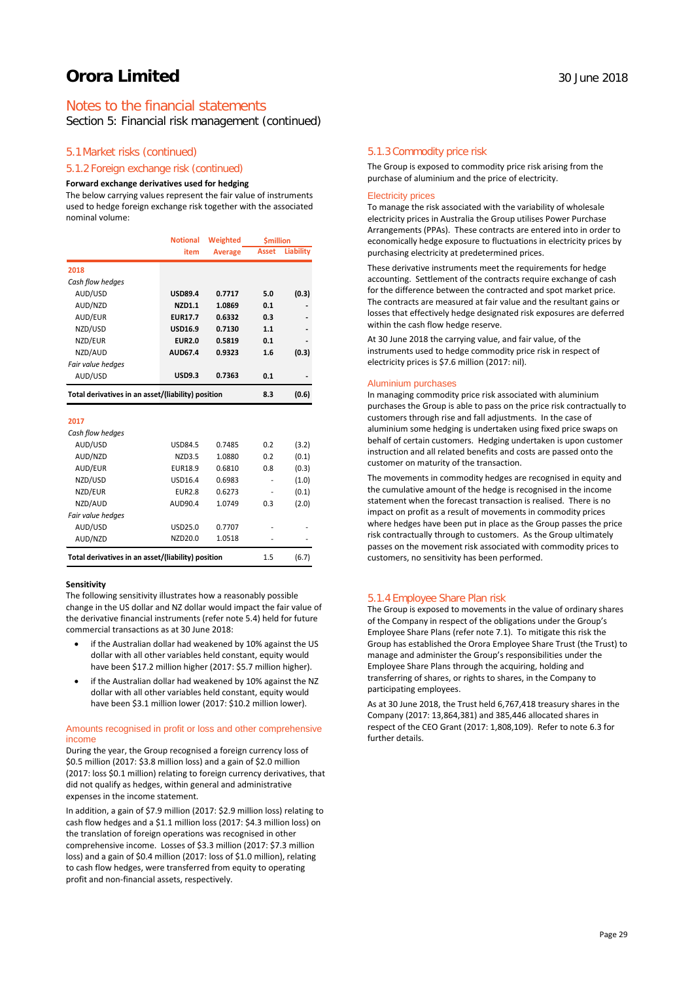## Notes to the financial statements

Section 5: Financial risk management (continued)

### 5.1Market risks (continued)

### 5.1.2 Foreign exchange risk (continued)

#### **Forward exchange derivatives used for hedging**

The below carrying values represent the fair value of instruments used to hedge foreign exchange risk together with the associated nominal volume:

|                                                    | <b>Notional</b> | Weighted       | <b><i><u>Smillion</u></i></b> |           |
|----------------------------------------------------|-----------------|----------------|-------------------------------|-----------|
|                                                    | item            | <b>Average</b> | <b>Asset</b>                  | Liability |
| 2018                                               |                 |                |                               |           |
| Cash flow hedges                                   |                 |                |                               |           |
| AUD/USD                                            | <b>USD89.4</b>  | 0.7717         | 5.0                           | (0.3)     |
| AUD/NZD                                            | NZD1.1          | 1.0869         | 0.1                           |           |
| AUD/EUR                                            | <b>EUR17.7</b>  | 0.6332         | 0.3                           |           |
| NZD/USD                                            | <b>USD16.9</b>  | 0.7130         | 1.1                           |           |
| NZD/EUR                                            | <b>EUR2.0</b>   | 0.5819         | 0.1                           |           |
| NZD/AUD                                            | AUD67.4         | 0.9323         | 1.6                           | (0.3)     |
| Fair value hedges                                  |                 |                |                               |           |
| AUD/USD                                            | <b>USD9.3</b>   | 0.7363         | 0.1                           |           |
| Total derivatives in an asset/(liability) position |                 |                | 8.3                           | (0.6)     |
| 2017                                               |                 |                |                               |           |
| Cash flow hedges                                   |                 |                |                               |           |
| AUD/USD                                            | <b>USD84.5</b>  | 0.7485         | 0.2                           | (3.2)     |
| AUD/NZD                                            | <b>NZD3.5</b>   | 1.0880         | 0.2                           | (0.1)     |
| AUD/EUR                                            | EUR18.9         | 0.6810         | 0.8                           | (0.3)     |
| NZD/USD                                            | USD16.4         | 0.6983         |                               | (1.0)     |
| NZD/EUR                                            | <b>EUR2.8</b>   | 0.6273         |                               | (0.1)     |
| NZD/AUD                                            | AUD90.4         | 1.0749         | 0.3                           | (2.0)     |
| Fair value hedges                                  |                 |                |                               |           |
| AUD/USD                                            | USD25.0         | 0.7707         |                               |           |
| AUD/NZD                                            | NZD20.0         | 1.0518         |                               |           |
| Total derivatives in an asset/(liability) position |                 |                | 1.5                           | (6.7)     |

#### **Sensitivity**

The following sensitivity illustrates how a reasonably possible change in the US dollar and NZ dollar would impact the fair value of the derivative financial instruments (refer note 5.4) held for future commercial transactions as at 30 June 2018:

- if the Australian dollar had weakened by 10% against the US dollar with all other variables held constant, equity would have been \$17.2 million higher (2017: \$5.7 million higher).
- if the Australian dollar had weakened by 10% against the NZ dollar with all other variables held constant, equity would have been \$3.1 million lower (2017: \$10.2 million lower).

#### Amounts recognised in profit or loss and other comprehensive income

During the year, the Group recognised a foreign currency loss of \$0.5 million (2017: \$3.8 million loss) and a gain of \$2.0 million (2017: loss \$0.1 million) relating to foreign currency derivatives, that did not qualify as hedges, within general and administrative expenses in the income statement.

In addition, a gain of \$7.9 million (2017: \$2.9 million loss) relating to cash flow hedges and a \$1.1 million loss (2017: \$4.3 million loss) on the translation of foreign operations was recognised in other comprehensive income. Losses of \$3.3 million (2017: \$7.3 million loss) and a gain of \$0.4 million (2017: loss of \$1.0 million), relating to cash flow hedges, were transferred from equity to operating profit and non-financial assets, respectively.

### 5.1.3 Commodity price risk

The Group is exposed to commodity price risk arising from the purchase of aluminium and the price of electricity.

#### Electricity prices

To manage the risk associated with the variability of wholesale electricity prices in Australia the Group utilises Power Purchase Arrangements (PPAs). These contracts are entered into in order to economically hedge exposure to fluctuations in electricity prices by purchasing electricity at predetermined prices.

These derivative instruments meet the requirements for hedge accounting. Settlement of the contracts require exchange of cash for the difference between the contracted and spot market price. The contracts are measured at fair value and the resultant gains or losses that effectively hedge designated risk exposures are deferred within the cash flow hedge reserve.

At 30 June 2018 the carrying value, and fair value, of the instruments used to hedge commodity price risk in respect of electricity prices is \$7.6 million (2017: nil).

#### Aluminium purchases

In managing commodity price risk associated with aluminium purchases the Group is able to pass on the price risk contractually to customers through rise and fall adjustments. In the case of aluminium some hedging is undertaken using fixed price swaps on behalf of certain customers. Hedging undertaken is upon customer instruction and all related benefits and costs are passed onto the customer on maturity of the transaction.

The movements in commodity hedges are recognised in equity and the cumulative amount of the hedge is recognised in the income statement when the forecast transaction is realised. There is no impact on profit as a result of movements in commodity prices where hedges have been put in place as the Group passes the price risk contractually through to customers. As the Group ultimately passes on the movement risk associated with commodity prices to customers, no sensitivity has been performed.

#### 5.1.4 Employee Share Plan risk

The Group is exposed to movements in the value of ordinary shares of the Company in respect of the obligations under the Group's Employee Share Plans (refer note 7.1). To mitigate this risk the Group has established the Orora Employee Share Trust (the Trust) to manage and administer the Group's responsibilities under the Employee Share Plans through the acquiring, holding and transferring of shares, or rights to shares, in the Company to participating employees.

As at 30 June 2018, the Trust held 6,767,418 treasury shares in the Company (2017: 13,864,381) and 385,446 allocated shares in respect of the CEO Grant (2017: 1,808,109). Refer to note 6.3 for further details.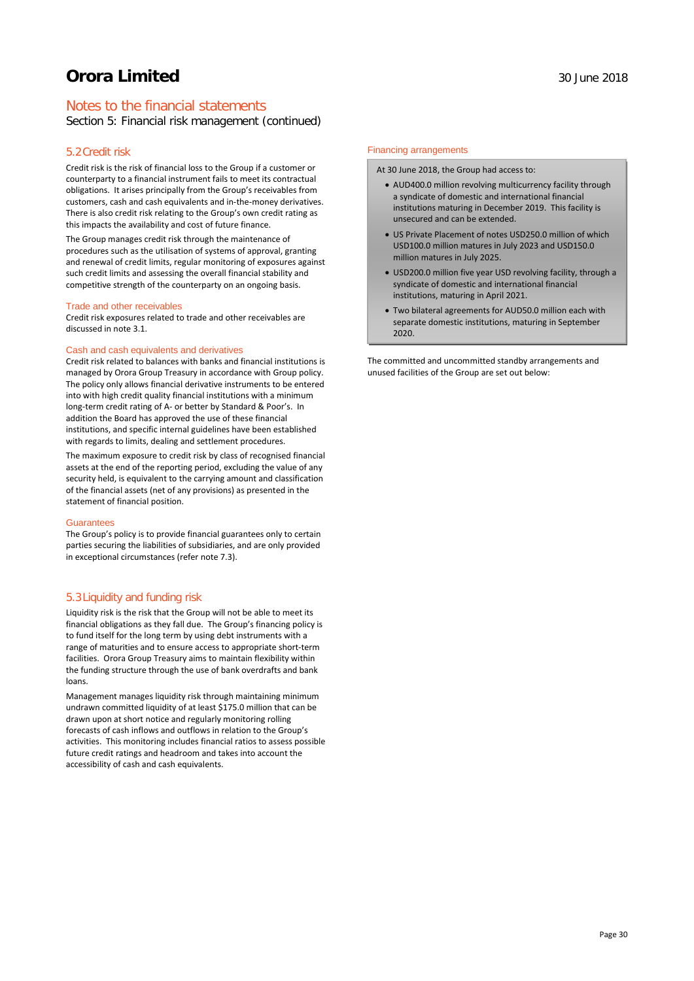## Notes to the financial statements

Section 5: Financial risk management (continued)

### 5.2Credit risk

Credit risk is the risk of financial loss to the Group if a customer or counterparty to a financial instrument fails to meet its contractual obligations. It arises principally from the Group's receivables from customers, cash and cash equivalents and in-the-money derivatives. There is also credit risk relating to the Group's own credit rating as this impacts the availability and cost of future finance.

The Group manages credit risk through the maintenance of procedures such as the utilisation of systems of approval, granting and renewal of credit limits, regular monitoring of exposures against such credit limits and assessing the overall financial stability and competitive strength of the counterparty on an ongoing basis.

#### Trade and other receivables

Credit risk exposures related to trade and other receivables are discussed in note 3.1.

#### Cash and cash equivalents and derivatives

Credit risk related to balances with banks and financial institutions is managed by Orora Group Treasury in accordance with Group policy. The policy only allows financial derivative instruments to be entered into with high credit quality financial institutions with a minimum long-term credit rating of A- or better by Standard & Poor's. In addition the Board has approved the use of these financial institutions, and specific internal guidelines have been established with regards to limits, dealing and settlement procedures.

The maximum exposure to credit risk by class of recognised financial assets at the end of the reporting period, excluding the value of any security held, is equivalent to the carrying amount and classification of the financial assets (net of any provisions) as presented in the statement of financial position.

#### Guarantees

The Group's policy is to provide financial guarantees only to certain parties securing the liabilities of subsidiaries, and are only provided in exceptional circumstances (refer note 7.3).

### 5.3Liquidity and funding risk

Liquidity risk is the risk that the Group will not be able to meet its financial obligations as they fall due. The Group's financing policy is to fund itself for the long term by using debt instruments with a range of maturities and to ensure access to appropriate short-term facilities. Orora Group Treasury aims to maintain flexibility within the funding structure through the use of bank overdrafts and bank loans.

Management manages liquidity risk through maintaining minimum undrawn committed liquidity of at least \$175.0 million that can be drawn upon at short notice and regularly monitoring rolling forecasts of cash inflows and outflows in relation to the Group's activities. This monitoring includes financial ratios to assess possible future credit ratings and headroom and takes into account the accessibility of cash and cash equivalents.

#### Financing arrangements

At 30 June 2018, the Group had access to:

- AUD400.0 million revolving multicurrency facility through a syndicate of domestic and international financial institutions maturing in December 2019. This facility is unsecured and can be extended.
- US Private Placement of notes USD250.0 million of which USD100.0 million matures in July 2023 and USD150.0 million matures in July 2025.
- USD200.0 million five year USD revolving facility, through a syndicate of domestic and international financial institutions, maturing in April 2021.
- Two bilateral agreements for AUD50.0 million each with separate domestic institutions, maturing in September 2020.

The committed and uncommitted standby arrangements and unused facilities of the Group are set out below: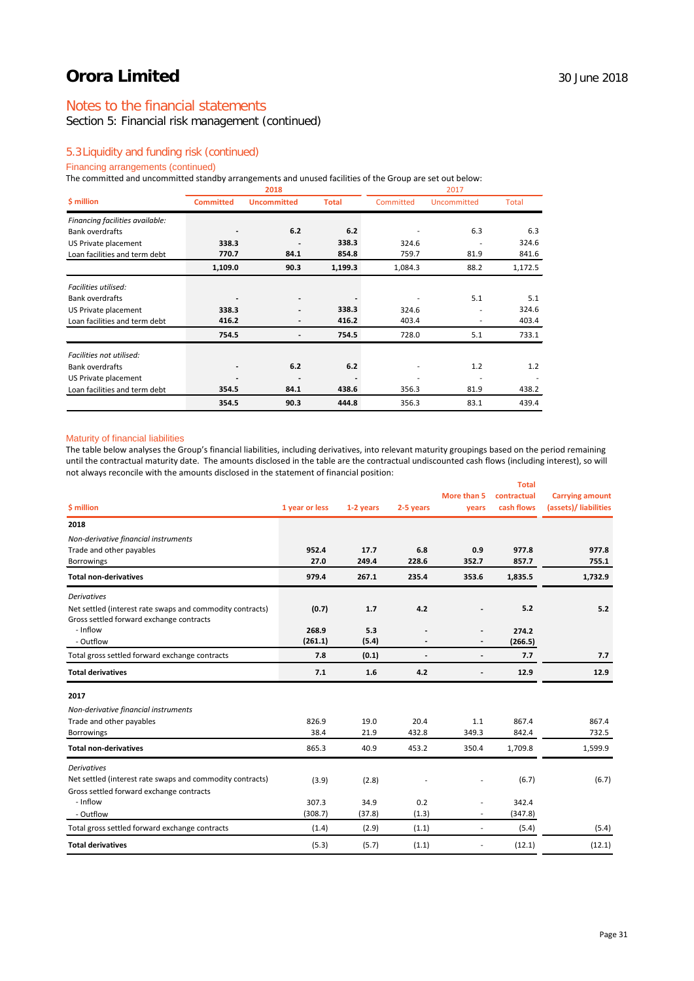## Notes to the financial statements

Section 5: Financial risk management (continued)

## 5.3Liquidity and funding risk (continued)

## Financing arrangements (continued)

The committed and uncommitted standby arrangements and unused facilities of the Group are set out below:

|                                 |                  | 2018                     |              |           |             |         |
|---------------------------------|------------------|--------------------------|--------------|-----------|-------------|---------|
| \$ million                      | <b>Committed</b> | <b>Uncommitted</b>       | <b>Total</b> | Committed | Uncommitted | Total   |
| Financing facilities available: |                  |                          |              |           |             |         |
| <b>Bank overdrafts</b>          |                  | 6.2                      | 6.2          |           | 6.3         | 6.3     |
| US Private placement            | 338.3            |                          | 338.3        | 324.6     |             | 324.6   |
| Loan facilities and term debt   | 770.7            | 84.1                     | 854.8        | 759.7     | 81.9        | 841.6   |
|                                 | 1,109.0          | 90.3                     | 1,199.3      | 1,084.3   | 88.2        | 1,172.5 |
| Facilities utilised:            |                  |                          |              |           |             |         |
| <b>Bank overdrafts</b>          |                  |                          |              |           | 5.1         | 5.1     |
| US Private placement            | 338.3            |                          | 338.3        | 324.6     |             | 324.6   |
| Loan facilities and term debt   | 416.2            |                          | 416.2        | 403.4     |             | 403.4   |
|                                 | 754.5            | $\overline{\phantom{0}}$ | 754.5        | 728.0     | 5.1         | 733.1   |
| Facilities not utilised:        |                  |                          |              |           |             |         |
| <b>Bank overdrafts</b>          |                  | 6.2                      | 6.2          |           | 1.2         | 1.2     |
| US Private placement            |                  |                          |              |           |             |         |
| Loan facilities and term debt   | 354.5            | 84.1                     | 438.6        | 356.3     | 81.9        | 438.2   |
|                                 | 354.5            | 90.3                     | 444.8        | 356.3     | 83.1        | 439.4   |

#### Maturity of financial liabilities

The table below analyses the Group's financial liabilities, including derivatives, into relevant maturity groupings based on the period remaining until the contractual maturity date. The amounts disclosed in the table are the contractual undiscounted cash flows (including interest), so will not always reconcile with the amounts disclosed in the statement of financial position:

|                                                           |                |           |                          |                          | <b>Total</b> |                        |
|-----------------------------------------------------------|----------------|-----------|--------------------------|--------------------------|--------------|------------------------|
|                                                           |                |           |                          | More than 5              | contractual  | <b>Carrying amount</b> |
| \$ million                                                | 1 year or less | 1-2 years | 2-5 years                | years                    | cash flows   | (assets)/ liabilities  |
| 2018                                                      |                |           |                          |                          |              |                        |
| Non-derivative financial instruments                      |                |           |                          |                          |              |                        |
| Trade and other payables                                  | 952.4          | 17.7      | 6.8                      | 0.9                      | 977.8        | 977.8                  |
| <b>Borrowings</b>                                         | 27.0           | 249.4     | 228.6                    | 352.7                    | 857.7        | 755.1                  |
| <b>Total non-derivatives</b>                              | 979.4          | 267.1     | 235.4                    | 353.6                    | 1,835.5      | 1,732.9                |
| <b>Derivatives</b>                                        |                |           |                          |                          |              |                        |
| Net settled (interest rate swaps and commodity contracts) | (0.7)          | 1.7       | 4.2                      |                          | 5.2          | 5.2                    |
| Gross settled forward exchange contracts                  |                |           |                          |                          |              |                        |
| - Inflow                                                  | 268.9          | 5.3       |                          | $\overline{a}$           | 274.2        |                        |
| - Outflow                                                 | (261.1)        | (5.4)     |                          |                          | (266.5)      |                        |
| Total gross settled forward exchange contracts            | 7.8            | (0.1)     | $\overline{\phantom{a}}$ | $\overline{\phantom{a}}$ | 7.7          | 7.7                    |
| <b>Total derivatives</b>                                  | 7.1            | 1.6       | 4.2                      | $\overline{\phantom{a}}$ | 12.9         | 12.9                   |
| 2017                                                      |                |           |                          |                          |              |                        |
| Non-derivative financial instruments                      |                |           |                          |                          |              |                        |
| Trade and other payables                                  | 826.9          | 19.0      | 20.4                     | 1.1                      | 867.4        | 867.4                  |
| Borrowings                                                | 38.4           | 21.9      | 432.8                    | 349.3                    | 842.4        | 732.5                  |
| <b>Total non-derivatives</b>                              | 865.3          | 40.9      | 453.2                    | 350.4                    | 1,709.8      | 1,599.9                |
| <b>Derivatives</b>                                        |                |           |                          |                          |              |                        |
| Net settled (interest rate swaps and commodity contracts) | (3.9)          | (2.8)     |                          |                          | (6.7)        | (6.7)                  |
| Gross settled forward exchange contracts                  |                |           |                          |                          |              |                        |
| - Inflow                                                  | 307.3          | 34.9      | 0.2                      | ÷,                       | 342.4        |                        |
| - Outflow                                                 | (308.7)        | (37.8)    | (1.3)                    | ٠                        | (347.8)      |                        |
| Total gross settled forward exchange contracts            | (1.4)          | (2.9)     | (1.1)                    | $\overline{a}$           | (5.4)        | (5.4)                  |
| <b>Total derivatives</b>                                  | (5.3)          | (5.7)     | (1.1)                    | ٠                        | (12.1)       | (12.1)                 |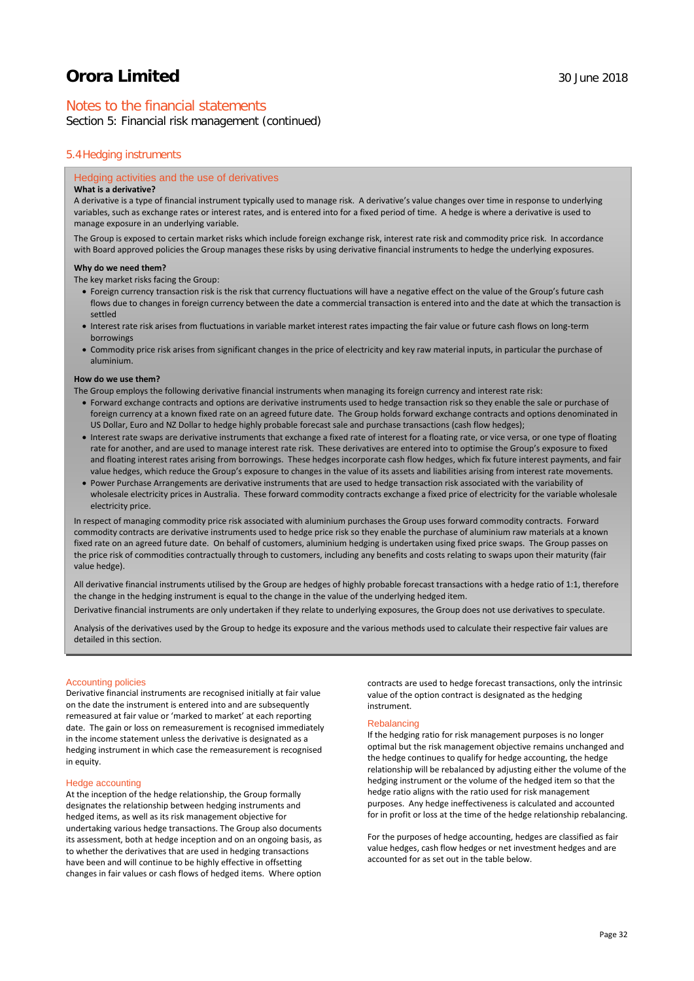## Notes to the financial statements

Section 5: Financial risk management (continued)

### 5.4Hedging instruments

#### Hedging activities and the use of derivatives

#### **What is a derivative?**

A derivative is a type of financial instrument typically used to manage risk. A derivative's value changes over time in response to underlying variables, such as exchange rates or interest rates, and is entered into for a fixed period of time. A hedge is where a derivative is used to manage exposure in an underlying variable.

The Group is exposed to certain market risks which include foreign exchange risk, interest rate risk and commodity price risk. In accordance with Board approved policies the Group manages these risks by using derivative financial instruments to hedge the underlying exposures.

#### **Why do we need them?**

The key market risks facing the Group:

- Foreign currency transaction risk is the risk that currency fluctuations will have a negative effect on the value of the Group's future cash flows due to changes in foreign currency between the date a commercial transaction is entered into and the date at which the transaction is settled
- Interest rate risk arises from fluctuations in variable market interest rates impacting the fair value or future cash flows on long-term borrowings
- Commodity price risk arises from significant changes in the price of electricity and key raw material inputs, in particular the purchase of aluminium.

#### **How do we use them?**

The Group employs the following derivative financial instruments when managing its foreign currency and interest rate risk:

- Forward exchange contracts and options are derivative instruments used to hedge transaction risk so they enable the sale or purchase of foreign currency at a known fixed rate on an agreed future date. The Group holds forward exchange contracts and options denominated in US Dollar, Euro and NZ Dollar to hedge highly probable forecast sale and purchase transactions (cash flow hedges);
- Interest rate swaps are derivative instruments that exchange a fixed rate of interest for a floating rate, or vice versa, or one type of floating rate for another, and are used to manage interest rate risk. These derivatives are entered into to optimise the Group's exposure to fixed and floating interest rates arising from borrowings. These hedges incorporate cash flow hedges, which fix future interest payments, and fair value hedges, which reduce the Group's exposure to changes in the value of its assets and liabilities arising from interest rate movements.
- Power Purchase Arrangements are derivative instruments that are used to hedge transaction risk associated with the variability of wholesale electricity prices in Australia. These forward commodity contracts exchange a fixed price of electricity for the variable wholesale electricity price.

In respect of managing commodity price risk associated with aluminium purchases the Group uses forward commodity contracts. Forward commodity contracts are derivative instruments used to hedge price risk so they enable the purchase of aluminium raw materials at a known fixed rate on an agreed future date. On behalf of customers, aluminium hedging is undertaken using fixed price swaps. The Group passes on the price risk of commodities contractually through to customers, including any benefits and costs relating to swaps upon their maturity (fair value hedge).

All derivative financial instruments utilised by the Group are hedges of highly probable forecast transactions with a hedge ratio of 1:1, therefore the change in the hedging instrument is equal to the change in the value of the underlying hedged item.

Derivative financial instruments are only undertaken if they relate to underlying exposures, the Group does not use derivatives to speculate.

Analysis of the derivatives used by the Group to hedge its exposure and the various methods used to calculate their respective fair values are detailed in this section.

#### Accounting policies

Derivative financial instruments are recognised initially at fair value on the date the instrument is entered into and are subsequently remeasured at fair value or 'marked to market' at each reporting date. The gain or loss on remeasurement is recognised immediately in the income statement unless the derivative is designated as a hedging instrument in which case the remeasurement is recognised in equity.

## Hedge accounting

At the inception of the hedge relationship, the Group formally designates the relationship between hedging instruments and hedged items, as well as its risk management objective for undertaking various hedge transactions. The Group also documents its assessment, both at hedge inception and on an ongoing basis, as to whether the derivatives that are used in hedging transactions have been and will continue to be highly effective in offsetting changes in fair values or cash flows of hedged items. Where option

contracts are used to hedge forecast transactions, only the intrinsic value of the option contract is designated as the hedging instrument.

#### **Rebalancing**

If the hedging ratio for risk management purposes is no longer optimal but the risk management objective remains unchanged and the hedge continues to qualify for hedge accounting, the hedge relationship will be rebalanced by adjusting either the volume of the hedging instrument or the volume of the hedged item so that the hedge ratio aligns with the ratio used for risk management purposes. Any hedge ineffectiveness is calculated and accounted for in profit or loss at the time of the hedge relationship rebalancing.

For the purposes of hedge accounting, hedges are classified as fair value hedges, cash flow hedges or net investment hedges and are accounted for as set out in the table below.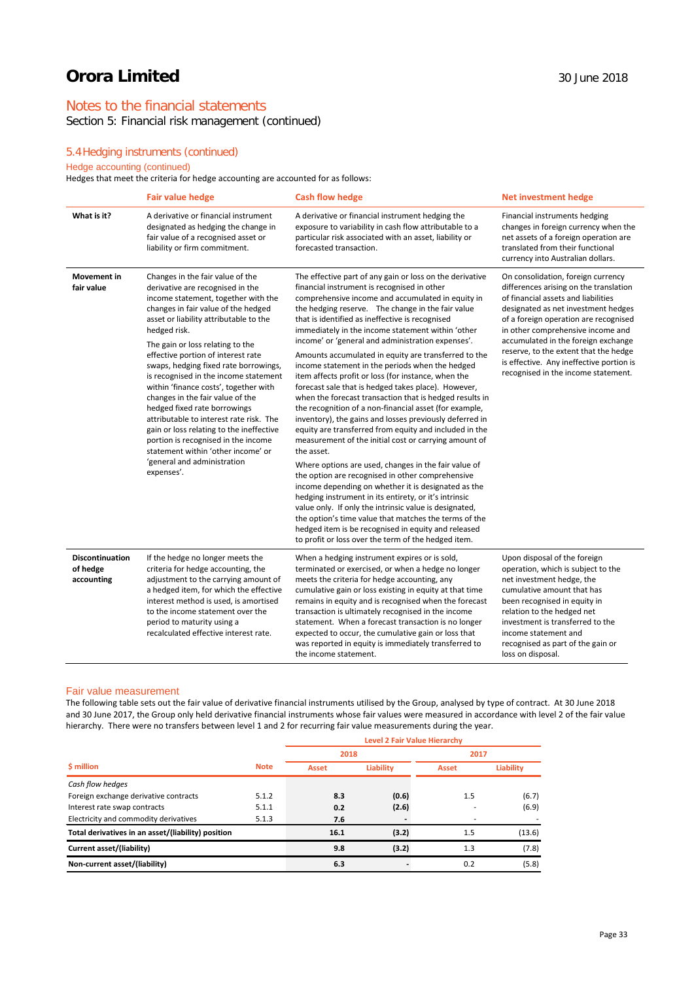## Notes to the financial statements

Section 5: Financial risk management (continued)

## 5.4Hedging instruments (continued)

## Hedge accounting (continued)

Hedges that meet the criteria for hedge accounting are accounted for as follows:

|                                                  | <b>Fair value hedge</b>                                                                                                                                                                                                                                                                                                                                                                                                                                                                                                                                                                                                                                                                                | <b>Cash flow hedge</b>                                                                                                                                                                                                                                                                                                                                                                                                                                                                                                                                                                                                                                                                                                                                                                                                                                                                                                                                                                                                                                                                                                                                                                                                                                                                                                                                                                | <b>Net investment hedge</b>                                                                                                                                                                                                                                                                                                                                                                                 |
|--------------------------------------------------|--------------------------------------------------------------------------------------------------------------------------------------------------------------------------------------------------------------------------------------------------------------------------------------------------------------------------------------------------------------------------------------------------------------------------------------------------------------------------------------------------------------------------------------------------------------------------------------------------------------------------------------------------------------------------------------------------------|---------------------------------------------------------------------------------------------------------------------------------------------------------------------------------------------------------------------------------------------------------------------------------------------------------------------------------------------------------------------------------------------------------------------------------------------------------------------------------------------------------------------------------------------------------------------------------------------------------------------------------------------------------------------------------------------------------------------------------------------------------------------------------------------------------------------------------------------------------------------------------------------------------------------------------------------------------------------------------------------------------------------------------------------------------------------------------------------------------------------------------------------------------------------------------------------------------------------------------------------------------------------------------------------------------------------------------------------------------------------------------------|-------------------------------------------------------------------------------------------------------------------------------------------------------------------------------------------------------------------------------------------------------------------------------------------------------------------------------------------------------------------------------------------------------------|
| What is it?                                      | A derivative or financial instrument<br>designated as hedging the change in<br>fair value of a recognised asset or<br>liability or firm commitment.                                                                                                                                                                                                                                                                                                                                                                                                                                                                                                                                                    | A derivative or financial instrument hedging the<br>exposure to variability in cash flow attributable to a<br>particular risk associated with an asset, liability or<br>forecasted transaction.                                                                                                                                                                                                                                                                                                                                                                                                                                                                                                                                                                                                                                                                                                                                                                                                                                                                                                                                                                                                                                                                                                                                                                                       | Financial instruments hedging<br>changes in foreign currency when the<br>net assets of a foreign operation are<br>translated from their functional<br>currency into Australian dollars.                                                                                                                                                                                                                     |
| <b>Movement</b> in<br>fair value                 | Changes in the fair value of the<br>derivative are recognised in the<br>income statement, together with the<br>changes in fair value of the hedged<br>asset or liability attributable to the<br>hedged risk.<br>The gain or loss relating to the<br>effective portion of interest rate<br>swaps, hedging fixed rate borrowings,<br>is recognised in the income statement<br>within 'finance costs', together with<br>changes in the fair value of the<br>hedged fixed rate borrowings<br>attributable to interest rate risk. The<br>gain or loss relating to the ineffective<br>portion is recognised in the income<br>statement within 'other income' or<br>'general and administration<br>expenses'. | The effective part of any gain or loss on the derivative<br>financial instrument is recognised in other<br>comprehensive income and accumulated in equity in<br>the hedging reserve. The change in the fair value<br>that is identified as ineffective is recognised<br>immediately in the income statement within 'other<br>income' or 'general and administration expenses'.<br>Amounts accumulated in equity are transferred to the<br>income statement in the periods when the hedged<br>item affects profit or loss (for instance, when the<br>forecast sale that is hedged takes place). However,<br>when the forecast transaction that is hedged results in<br>the recognition of a non-financial asset (for example,<br>inventory), the gains and losses previously deferred in<br>equity are transferred from equity and included in the<br>measurement of the initial cost or carrying amount of<br>the asset.<br>Where options are used, changes in the fair value of<br>the option are recognised in other comprehensive<br>income depending on whether it is designated as the<br>hedging instrument in its entirety, or it's intrinsic<br>value only. If only the intrinsic value is designated,<br>the option's time value that matches the terms of the<br>hedged item is be recognised in equity and released<br>to profit or loss over the term of the hedged item. | On consolidation, foreign currency<br>differences arising on the translation<br>of financial assets and liabilities<br>designated as net investment hedges<br>of a foreign operation are recognised<br>in other comprehensive income and<br>accumulated in the foreign exchange<br>reserve, to the extent that the hedge<br>is effective. Any ineffective portion is<br>recognised in the income statement. |
| <b>Discontinuation</b><br>of hedge<br>accounting | If the hedge no longer meets the<br>criteria for hedge accounting, the<br>adjustment to the carrying amount of<br>a hedged item, for which the effective<br>interest method is used, is amortised<br>to the income statement over the<br>period to maturity using a<br>recalculated effective interest rate.                                                                                                                                                                                                                                                                                                                                                                                           | When a hedging instrument expires or is sold,<br>terminated or exercised, or when a hedge no longer<br>meets the criteria for hedge accounting, any<br>cumulative gain or loss existing in equity at that time<br>remains in equity and is recognised when the forecast<br>transaction is ultimately recognised in the income<br>statement. When a forecast transaction is no longer<br>expected to occur, the cumulative gain or loss that<br>was reported in equity is immediately transferred to<br>the income statement.                                                                                                                                                                                                                                                                                                                                                                                                                                                                                                                                                                                                                                                                                                                                                                                                                                                          | Upon disposal of the foreign<br>operation, which is subject to the<br>net investment hedge, the<br>cumulative amount that has<br>been recognised in equity in<br>relation to the hedged net<br>investment is transferred to the<br>income statement and<br>recognised as part of the gain or<br>loss on disposal.                                                                                           |

### Fair value measurement

The following table sets out the fair value of derivative financial instruments utilised by the Group, analysed by type of contract. At 30 June 2018 and 30 June 2017, the Group only held derivative financial instruments whose fair values were measured in accordance with level 2 of the fair value hierarchy. There were no transfers between level 1 and 2 for recurring fair value measurements during the year.

|                                                    |             | Level 2 Fair Value Hierarchy |           |         |                  |  |  |
|----------------------------------------------------|-------------|------------------------------|-----------|---------|------------------|--|--|
|                                                    |             | 2018                         |           | 2017    |                  |  |  |
| \$ million                                         | <b>Note</b> | <b>Asset</b>                 | Liability | Asset   | <b>Liability</b> |  |  |
| Cash flow hedges                                   |             |                              |           |         |                  |  |  |
| Foreign exchange derivative contracts              | 5.1.2       | 8.3                          | (0.6)     | $1.5\,$ | (6.7)            |  |  |
| Interest rate swap contracts                       | 5.1.1       | 0.2                          | (2.6)     |         | (6.9)            |  |  |
| Electricity and commodity derivatives              | 5.1.3       | 7.6                          |           | ٠       |                  |  |  |
| Total derivatives in an asset/(liability) position |             | 16.1                         | (3.2)     | 1.5     | (13.6)           |  |  |
| Current asset/(liability)                          |             | 9.8                          | (3.2)     | 1.3     | (7.8)            |  |  |
| Non-current asset/(liability)                      |             | 6.3                          |           | 0.2     | (5.8)            |  |  |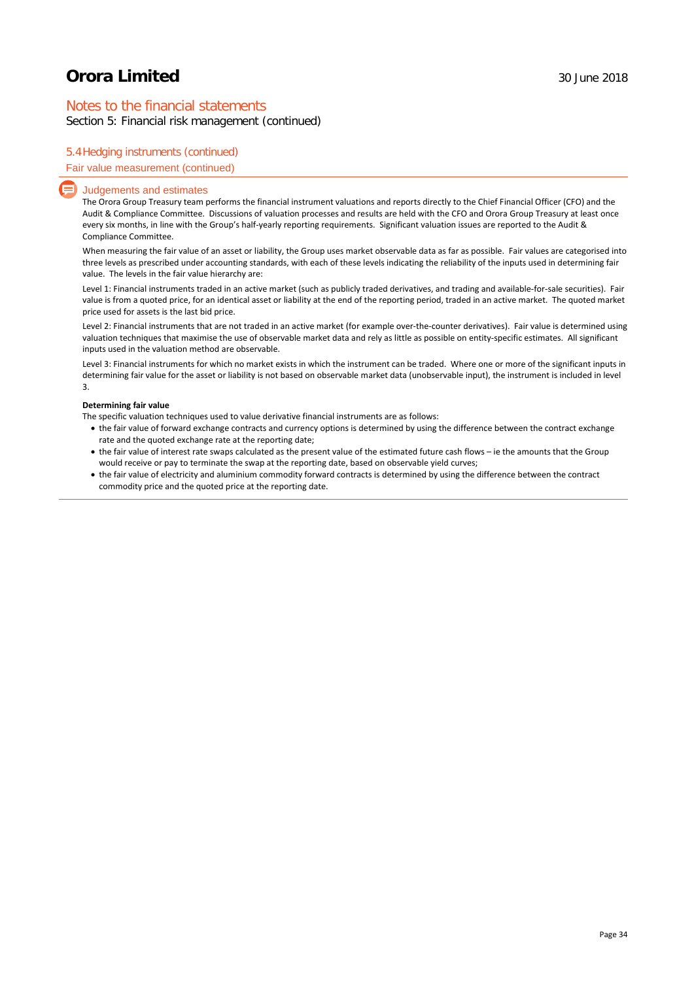## Notes to the financial statements

Section 5: Financial risk management (continued)

## 5.4Hedging instruments (continued)

#### Fair value measurement (continued)

#### Judgements and estimates

The Orora Group Treasury team performs the financial instrument valuations and reports directly to the Chief Financial Officer (CFO) and the Audit & Compliance Committee. Discussions of valuation processes and results are held with the CFO and Orora Group Treasury at least once every six months, in line with the Group's half-yearly reporting requirements. Significant valuation issues are reported to the Audit & Compliance Committee.

When measuring the fair value of an asset or liability, the Group uses market observable data as far as possible. Fair values are categorised into three levels as prescribed under accounting standards, with each of these levels indicating the reliability of the inputs used in determining fair value. The levels in the fair value hierarchy are:

Level 1: Financial instruments traded in an active market (such as publicly traded derivatives, and trading and available-for-sale securities). Fair value is from a quoted price, for an identical asset or liability at the end of the reporting period, traded in an active market. The quoted market price used for assets is the last bid price.

Level 2: Financial instruments that are not traded in an active market (for example over-the-counter derivatives). Fair value is determined using valuation techniques that maximise the use of observable market data and rely as little as possible on entity-specific estimates. All significant inputs used in the valuation method are observable.

Level 3: Financial instruments for which no market exists in which the instrument can be traded. Where one or more of the significant inputs in determining fair value for the asset or liability is not based on observable market data (unobservable input), the instrument is included in level 3.

#### **Determining fair value**

The specific valuation techniques used to value derivative financial instruments are as follows:

- the fair value of forward exchange contracts and currency options is determined by using the difference between the contract exchange rate and the quoted exchange rate at the reporting date;
- the fair value of interest rate swaps calculated as the present value of the estimated future cash flows ie the amounts that the Group would receive or pay to terminate the swap at the reporting date, based on observable yield curves;
- the fair value of electricity and aluminium commodity forward contracts is determined by using the difference between the contract commodity price and the quoted price at the reporting date.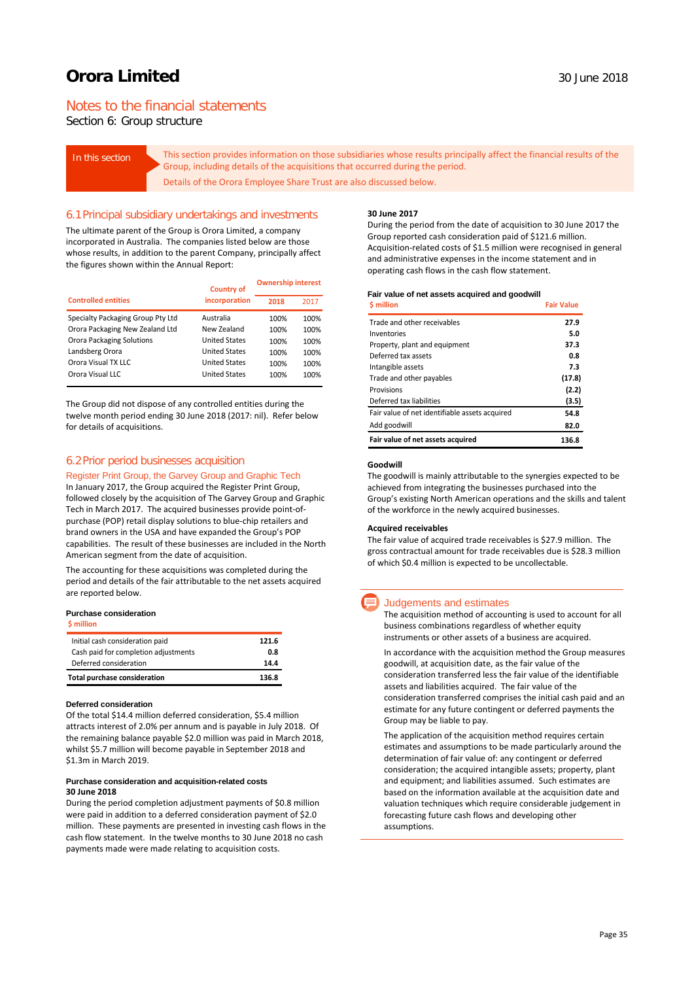## Notes to the financial statements

Section 6: Group structure

In this section **This section provides information on those subsidiaries whose results principally affect the financial results of the** Group, including details of the acquisitions that occurred during the period. Details of the Orora Employee Share Trust are also discussed below.

#### 6.1Principal subsidiary undertakings and investments

The ultimate parent of the Group is Orora Limited, a company incorporated in Australia. The companies listed below are those whose results, in addition to the parent Company, principally affect the figures shown within the Annual Report:

|                                   | <b>Country of</b>    | <b>Ownership interest</b> |      |
|-----------------------------------|----------------------|---------------------------|------|
| <b>Controlled entities</b>        | incorporation        | 2018                      | 2017 |
| Specialty Packaging Group Pty Ltd | Australia            | 100%                      | 100% |
| Orora Packaging New Zealand Ltd   | New Zealand          | 100%                      | 100% |
| <b>Orora Packaging Solutions</b>  | <b>United States</b> | 100%                      | 100% |
| Landsberg Orora                   | <b>United States</b> | 100%                      | 100% |
| Orora Visual TX LLC               | <b>United States</b> | 100%                      | 100% |
| Orora Visual LLC                  | <b>United States</b> | 100%                      | 100% |

The Group did not dispose of any controlled entities during the twelve month period ending 30 June 2018 (2017: nil). Refer below for details of acquisitions.

### 6.2Prior period businesses acquisition

#### Register Print Group, the Garvey Group and Graphic Tech

In January 2017, the Group acquired the Register Print Group, followed closely by the acquisition of The Garvey Group and Graphic Tech in March 2017. The acquired businesses provide point-ofpurchase (POP) retail display solutions to blue-chip retailers and brand owners in the USA and have expanded the Group's POP capabilities. The result of these businesses are included in the North American segment from the date of acquisition.

The accounting for these acquisitions was completed during the period and details of the fair attributable to the net assets acquired are reported below.

#### **Purchase consideration**

| \$ million                           |       |
|--------------------------------------|-------|
| Initial cash consideration paid      | 121.6 |
| Cash paid for completion adjustments | 0.8   |
| Deferred consideration               | 14.4  |
| <b>Total purchase consideration</b>  | 136.8 |

#### **Deferred consideration**

Of the total \$14.4 million deferred consideration, \$5.4 million attracts interest of 2.0% per annum and is payable in July 2018. Of the remaining balance payable \$2.0 million was paid in March 2018, whilst \$5.7 million will become payable in September 2018 and \$1.3m in March 2019.

#### **Purchase consideration and acquisition-related costs 30 June 2018**

During the period completion adjustment payments of \$0.8 million were paid in addition to a deferred consideration payment of \$2.0 million. These payments are presented in investing cash flows in the cash flow statement. In the twelve months to 30 June 2018 no cash payments made were made relating to acquisition costs.

#### **30 June 2017**

During the period from the date of acquisition to 30 June 2017 the Group reported cash consideration paid of \$121.6 million. Acquisition-related costs of \$1.5 million were recognised in general and administrative expenses in the income statement and in operating cash flows in the cash flow statement.

#### **Fair value of net assets acquired and goodwill**

| <b>S</b> million                               | <b>Fair Value</b> |
|------------------------------------------------|-------------------|
| Trade and other receivables                    | 27.9              |
| Inventories                                    | 5.0               |
| Property, plant and equipment                  | 37.3              |
| Deferred tax assets                            | 0.8               |
| Intangible assets                              | 7.3               |
| Trade and other payables                       | (17.8)            |
| Provisions                                     | (2.2)             |
| Deferred tax liabilities                       | (3.5)             |
| Fair value of net identifiable assets acquired | 54.8              |
| Add goodwill                                   | 82.0              |
| Fair value of net assets acquired              | 136.8             |

#### **Goodwill**

The goodwill is mainly attributable to the synergies expected to be achieved from integrating the businesses purchased into the Group's existing North American operations and the skills and talent of the workforce in the newly acquired businesses.

#### **Acquired receivables**

The fair value of acquired trade receivables is \$27.9 million. The gross contractual amount for trade receivables due is \$28.3 million of which \$0.4 million is expected to be uncollectable.

### Judgements and estimates

The acquisition method of accounting is used to account for all business combinations regardless of whether equity instruments or other assets of a business are acquired.

In accordance with the acquisition method the Group measures goodwill, at acquisition date, as the fair value of the consideration transferred less the fair value of the identifiable assets and liabilities acquired. The fair value of the consideration transferred comprises the initial cash paid and an estimate for any future contingent or deferred payments the Group may be liable to pay.

The application of the acquisition method requires certain estimates and assumptions to be made particularly around the determination of fair value of: any contingent or deferred consideration; the acquired intangible assets; property, plant and equipment; and liabilities assumed. Such estimates are based on the information available at the acquisition date and valuation techniques which require considerable judgement in forecasting future cash flows and developing other assumptions.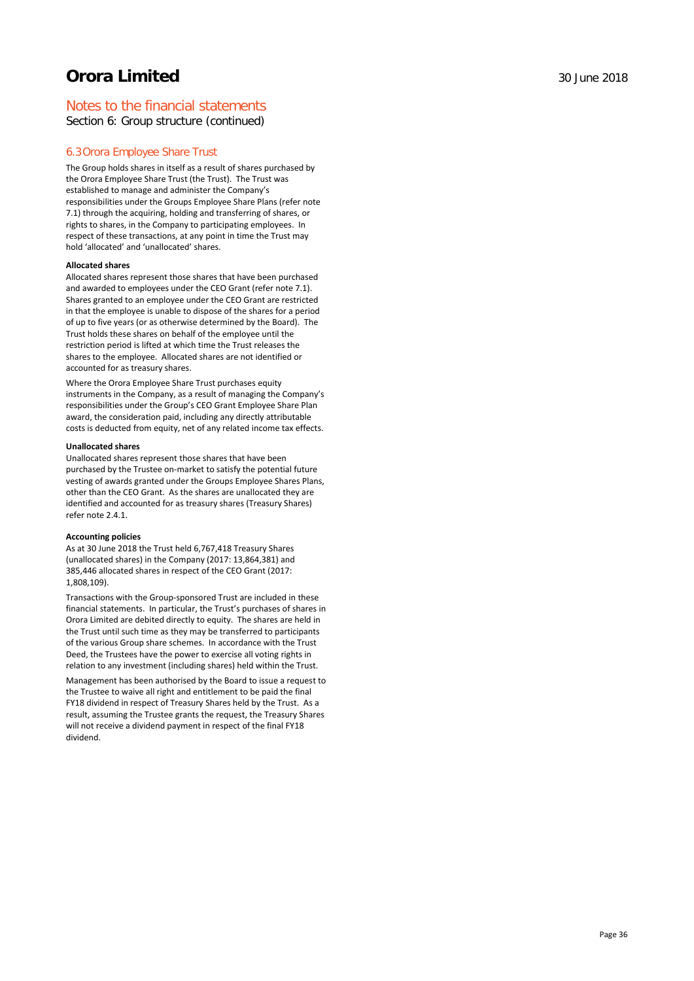## Notes to the financial statements

Section 6: Group structure (continued)

### 6.3Orora Employee Share Trust

The Group holds shares in itself as a result of shares purchased by the Orora Employee Share Trust (the Trust). The Trust was established to manage and administer the Company's responsibilities under the Groups Employee Share Plans (refer note 7.1) through the acquiring, holding and transferring of shares, or rights to shares, in the Company to participating employees. In respect of these transactions, at any point in time the Trust may hold 'allocated' and 'unallocated' shares.

#### **Allocated shares**

Allocated shares represent those shares that have been purchased and awarded to employees under the CEO Grant (refer note 7.1). Shares granted to an employee under the CEO Grant are restricted in that the employee is unable to dispose of the shares for a period of up to five years (or as otherwise determined by the Board). The Trust holds these shares on behalf of the employee until the restriction period is lifted at which time the Trust releases the shares to the employee. Allocated shares are not identified or accounted for as treasury shares.

Where the Orora Employee Share Trust purchases equity instruments in the Company, as a result of managing the Company's responsibilities under the Group's CEO Grant Employee Share Plan award, the consideration paid, including any directly attributable costs is deducted from equity, net of any related income tax effects.

#### **Unallocated shares**

Unallocated shares represent those shares that have been purchased by the Trustee on-market to satisfy the potential future vesting of awards granted under the Groups Employee Shares Plans, other than the CEO Grant. As the shares are unallocated they are identified and accounted for as treasury shares (Treasury Shares) refer note 2.4.1.

#### **Accounting policies**

As at 30 June 2018 the Trust held 6,767,418 Treasury Shares (unallocated shares) in the Company (2017: 13,864,381) and 385,446 allocated shares in respect of the CEO Grant (2017: 1,808,109).

Transactions with the Group-sponsored Trust are included in these financial statements. In particular, the Trust's purchases of shares in Orora Limited are debited directly to equity. The shares are held in the Trust until such time as they may be transferred to participants of the various Group share schemes. In accordance with the Trust Deed, the Trustees have the power to exercise all voting rights in relation to any investment (including shares) held within the Trust.

Management has been authorised by the Board to issue a request to the Trustee to waive all right and entitlement to be paid the final FY18 dividend in respect of Treasury Shares held by the Trust. As a result, assuming the Trustee grants the request, the Treasury Shares will not receive a dividend payment in respect of the final FY18 dividend.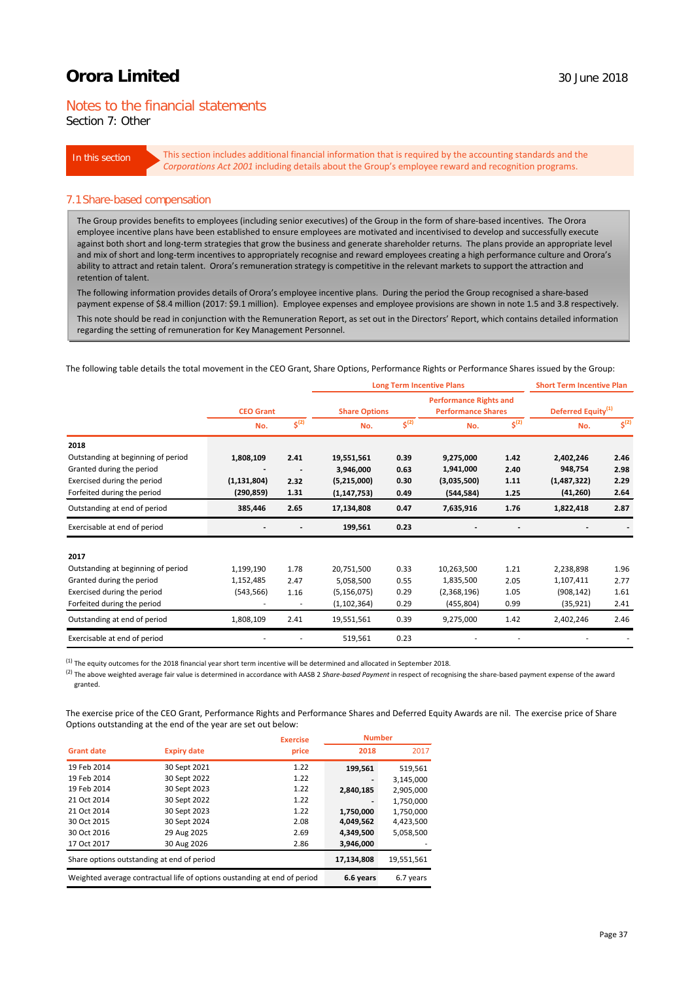## Notes to the financial statements

Section 7: Other

In this section This section includes additional financial information that is required by the accounting standards and the *Corporations Act 2001* including details about the Group's employee reward and recognition programs.

#### 7.1Share-based compensation

The Group provides benefits to employees (including senior executives) of the Group in the form of share-based incentives. The Orora employee incentive plans have been established to ensure employees are motivated and incentivised to develop and successfully execute against both short and long-term strategies that grow the business and generate shareholder returns. The plans provide an appropriate level and mix of short and long-term incentives to appropriately recognise and reward employees creating a high performance culture and Orora's ability to attract and retain talent. Orora's remuneration strategy is competitive in the relevant markets to support the attraction and retention of talent.

The following information provides details of Orora's employee incentive plans. During the period the Group recognised a share-based payment expense of \$8.4 million (2017: \$9.1 million). Employee expenses and employee provisions are shown in note 1.5 and 3.8 respectively.

This note should be read in conjunction with the Remuneration Report, as set out in the Directors' Report, which contains detailed information regarding the setting of remuneration for Key Management Personnel.

The following table details the total movement in the CEO Grant, Share Options, Performance Rights or Performance Shares issued by the Group:

|                                    |                  |                      | <b>Long Term Incentive Plans</b> |                    |                                                            | <b>Short Term Incentive Plan</b> |                                |                               |
|------------------------------------|------------------|----------------------|----------------------------------|--------------------|------------------------------------------------------------|----------------------------------|--------------------------------|-------------------------------|
|                                    | <b>CEO Grant</b> |                      | <b>Share Options</b>             |                    | <b>Performance Rights and</b><br><b>Performance Shares</b> |                                  | Deferred Equity <sup>(1)</sup> |                               |
|                                    | No.              | $\overline{s}^{(2)}$ | No.                              | $\mathsf{s}^{(2)}$ | No.                                                        | $\mathsf{s}^{(2)}$               | No.                            | $\overline{\mathsf{S}^{(2)}}$ |
| 2018                               |                  |                      |                                  |                    |                                                            |                                  |                                |                               |
| Outstanding at beginning of period | 1,808,109        | 2.41                 | 19,551,561                       | 0.39               | 9,275,000                                                  | 1.42                             | 2,402,246                      | 2.46                          |
| Granted during the period          |                  |                      | 3,946,000                        | 0.63               | 1,941,000                                                  | 2.40                             | 948,754                        | 2.98                          |
| Exercised during the period        | (1, 131, 804)    | 2.32                 | (5,215,000)                      | 0.30               | (3,035,500)                                                | 1.11                             | (1,487,322)                    | 2.29                          |
| Forfeited during the period        | (290, 859)       | 1.31                 | (1, 147, 753)                    | 0.49               | (544, 584)                                                 | 1.25                             | (41, 260)                      | 2.64                          |
| Outstanding at end of period       | 385,446          | 2.65                 | 17,134,808                       | 0.47               | 7,635,916                                                  | 1.76                             | 1,822,418                      | 2.87                          |
| Exercisable at end of period       |                  |                      | 199,561                          | 0.23               |                                                            |                                  |                                |                               |
| 2017                               |                  |                      |                                  |                    |                                                            |                                  |                                |                               |
| Outstanding at beginning of period | 1,199,190        | 1.78                 | 20,751,500                       | 0.33               | 10,263,500                                                 | 1.21                             | 2,238,898                      | 1.96                          |
| Granted during the period          | 1,152,485        | 2.47                 | 5,058,500                        | 0.55               | 1,835,500                                                  | 2.05                             | 1,107,411                      | 2.77                          |
| Exercised during the period        | (543, 566)       | 1.16                 | (5, 156, 075)                    | 0.29               | (2,368,196)                                                | 1.05                             | (908, 142)                     | 1.61                          |
| Forfeited during the period        |                  |                      | (1, 102, 364)                    | 0.29               | (455, 804)                                                 | 0.99                             | (35, 921)                      | 2.41                          |
| Outstanding at end of period       | 1,808,109        | 2.41                 | 19,551,561                       | 0.39               | 9,275,000                                                  | 1.42                             | 2,402,246                      | 2.46                          |
| Exercisable at end of period       |                  |                      | 519,561                          | 0.23               |                                                            |                                  |                                |                               |

(1) The equity outcomes for the 2018 financial year short term incentive will be determined and allocated in September 2018.

(2) The above weighted average fair value is determined in accordance with AASB 2 *Share-based Payment* in respect of recognising the share-based payment expense of the award granted.

The exercise price of the CEO Grant, Performance Rights and Performance Shares and Deferred Equity Awards are nil. The exercise price of Share Options outstanding at the end of the year are set out below:

|                   | <b>Exercise</b>                                                          |       | <b>Number</b> |            |
|-------------------|--------------------------------------------------------------------------|-------|---------------|------------|
| <b>Grant date</b> | <b>Expiry date</b>                                                       | price | 2018          | 2017       |
| 19 Feb 2014       | 30 Sept 2021                                                             | 1.22  | 199,561       | 519,561    |
| 19 Feb 2014       | 30 Sept 2022                                                             | 1.22  |               | 3,145,000  |
| 19 Feb 2014       | 30 Sept 2023                                                             | 1.22  | 2,840,185     | 2,905,000  |
| 21 Oct 2014       | 30 Sept 2022                                                             | 1.22  |               | 1,750,000  |
| 21 Oct 2014       | 30 Sept 2023                                                             | 1.22  | 1,750,000     | 1,750,000  |
| 30 Oct 2015       | 30 Sept 2024                                                             | 2.08  | 4,049,562     | 4,423,500  |
| 30 Oct 2016       | 29 Aug 2025                                                              | 2.69  | 4.349.500     | 5,058,500  |
| 17 Oct 2017       | 30 Aug 2026                                                              | 2.86  | 3,946,000     |            |
|                   | Share options outstanding at end of period                               |       | 17,134,808    | 19,551,561 |
|                   | Weighted average contractual life of options oustanding at end of period |       | 6.6 years     | 6.7 years  |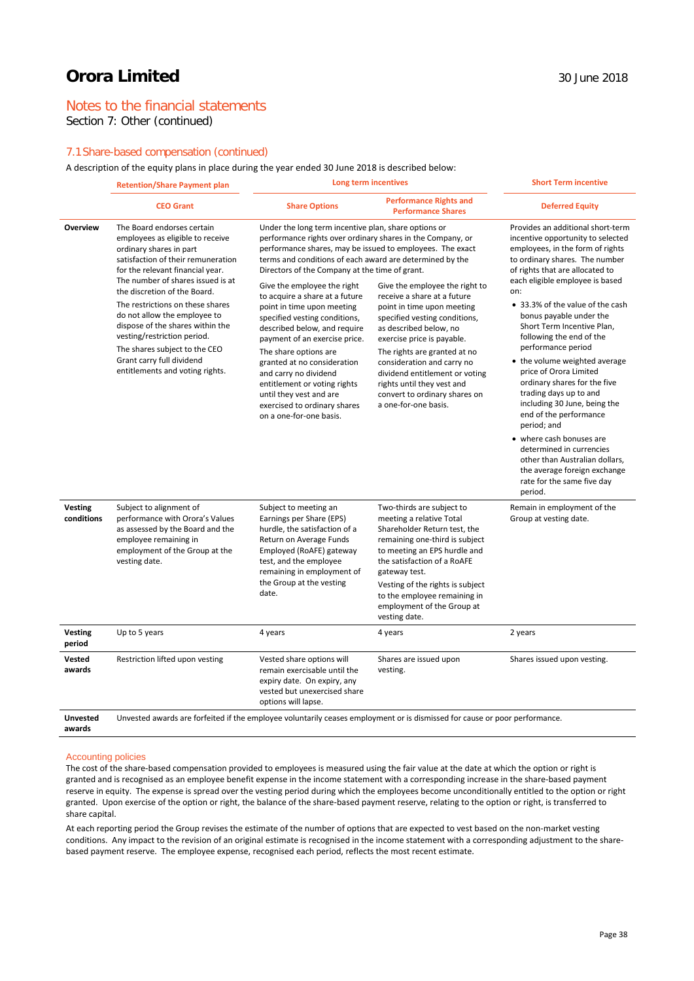## Notes to the financial statements

Section 7: Other (continued)

### 7.1Share-based compensation (continued)

A description of the equity plans in place during the year ended 30 June 2018 is described below:

|                              | <b>Retention/Share Payment plan</b>                                                                                                                                                                                                                                                                                                                                                                                                                                              | Long term incentives                                                                                                                                                                                                                                                                                                                                                                                                                                                                                                                                                                                                                                                                                  |                                                                                                                                                                                                                                                                                                                                                                             | <b>Short Term incentive</b>                                                                                                                                                                                                                                                                                                                                                                                                                                                                                                                                                                                                                                                                                                               |  |
|------------------------------|----------------------------------------------------------------------------------------------------------------------------------------------------------------------------------------------------------------------------------------------------------------------------------------------------------------------------------------------------------------------------------------------------------------------------------------------------------------------------------|-------------------------------------------------------------------------------------------------------------------------------------------------------------------------------------------------------------------------------------------------------------------------------------------------------------------------------------------------------------------------------------------------------------------------------------------------------------------------------------------------------------------------------------------------------------------------------------------------------------------------------------------------------------------------------------------------------|-----------------------------------------------------------------------------------------------------------------------------------------------------------------------------------------------------------------------------------------------------------------------------------------------------------------------------------------------------------------------------|-------------------------------------------------------------------------------------------------------------------------------------------------------------------------------------------------------------------------------------------------------------------------------------------------------------------------------------------------------------------------------------------------------------------------------------------------------------------------------------------------------------------------------------------------------------------------------------------------------------------------------------------------------------------------------------------------------------------------------------------|--|
|                              | <b>CEO Grant</b>                                                                                                                                                                                                                                                                                                                                                                                                                                                                 | <b>Share Options</b>                                                                                                                                                                                                                                                                                                                                                                                                                                                                                                                                                                                                                                                                                  | <b>Performance Rights and</b><br><b>Performance Shares</b>                                                                                                                                                                                                                                                                                                                  | <b>Deferred Equity</b>                                                                                                                                                                                                                                                                                                                                                                                                                                                                                                                                                                                                                                                                                                                    |  |
| Overview                     | The Board endorses certain<br>employees as eligible to receive<br>ordinary shares in part<br>satisfaction of their remuneration<br>for the relevant financial year.<br>The number of shares issued is at<br>the discretion of the Board.<br>The restrictions on these shares<br>do not allow the employee to<br>dispose of the shares within the<br>vesting/restriction period.<br>The shares subject to the CEO<br>Grant carry full dividend<br>entitlements and voting rights. | Under the long term incentive plan, share options or<br>performance rights over ordinary shares in the Company, or<br>performance shares, may be issued to employees. The exact<br>terms and conditions of each award are determined by the<br>Directors of the Company at the time of grant.<br>Give the employee the right<br>to acquire a share at a future<br>point in time upon meeting<br>specified vesting conditions,<br>described below, and require<br>payment of an exercise price.<br>The share options are<br>granted at no consideration<br>and carry no dividend<br>entitlement or voting rights<br>until they vest and are<br>exercised to ordinary shares<br>on a one-for-one basis. | Give the employee the right to<br>receive a share at a future<br>point in time upon meeting<br>specified vesting conditions,<br>as described below, no<br>exercise price is payable.<br>The rights are granted at no<br>consideration and carry no<br>dividend entitlement or voting<br>rights until they vest and<br>convert to ordinary shares on<br>a one-for-one basis. | Provides an additional short-term<br>incentive opportunity to selected<br>employees, in the form of rights<br>to ordinary shares. The number<br>of rights that are allocated to<br>each eligible employee is based<br>on:<br>• 33.3% of the value of the cash<br>bonus payable under the<br>Short Term Incentive Plan,<br>following the end of the<br>performance period<br>• the volume weighted average<br>price of Orora Limited<br>ordinary shares for the five<br>trading days up to and<br>including 30 June, being the<br>end of the performance<br>period; and<br>• where cash bonuses are<br>determined in currencies<br>other than Australian dollars,<br>the average foreign exchange<br>rate for the same five day<br>period. |  |
| <b>Vesting</b><br>conditions | Subject to alignment of<br>performance with Orora's Values<br>as assessed by the Board and the<br>employee remaining in<br>employment of the Group at the<br>vesting date.                                                                                                                                                                                                                                                                                                       | Subject to meeting an<br>Earnings per Share (EPS)<br>hurdle, the satisfaction of a<br>Return on Average Funds<br>Employed (RoAFE) gateway<br>test, and the employee<br>remaining in employment of<br>the Group at the vesting<br>date.                                                                                                                                                                                                                                                                                                                                                                                                                                                                | Two-thirds are subject to<br>meeting a relative Total<br>Shareholder Return test, the<br>remaining one-third is subject<br>to meeting an EPS hurdle and<br>the satisfaction of a RoAFE<br>gateway test.<br>Vesting of the rights is subject<br>to the employee remaining in<br>employment of the Group at<br>vesting date.                                                  | Remain in employment of the<br>Group at vesting date.                                                                                                                                                                                                                                                                                                                                                                                                                                                                                                                                                                                                                                                                                     |  |
| <b>Vesting</b><br>period     | Up to 5 years                                                                                                                                                                                                                                                                                                                                                                                                                                                                    | 4 years                                                                                                                                                                                                                                                                                                                                                                                                                                                                                                                                                                                                                                                                                               | 4 years                                                                                                                                                                                                                                                                                                                                                                     | 2 years                                                                                                                                                                                                                                                                                                                                                                                                                                                                                                                                                                                                                                                                                                                                   |  |
| Vested<br>awards             | Restriction lifted upon vesting                                                                                                                                                                                                                                                                                                                                                                                                                                                  | Vested share options will<br>remain exercisable until the<br>expiry date. On expiry, any<br>vested but unexercised share<br>options will lapse.                                                                                                                                                                                                                                                                                                                                                                                                                                                                                                                                                       | Shares are issued upon<br>vesting.                                                                                                                                                                                                                                                                                                                                          | Shares issued upon vesting.                                                                                                                                                                                                                                                                                                                                                                                                                                                                                                                                                                                                                                                                                                               |  |
| <b>Unvested</b><br>awards    | Unvested awards are forfeited if the employee voluntarily ceases employment or is dismissed for cause or poor performance.                                                                                                                                                                                                                                                                                                                                                       |                                                                                                                                                                                                                                                                                                                                                                                                                                                                                                                                                                                                                                                                                                       |                                                                                                                                                                                                                                                                                                                                                                             |                                                                                                                                                                                                                                                                                                                                                                                                                                                                                                                                                                                                                                                                                                                                           |  |

#### Accounting policies

The cost of the share-based compensation provided to employees is measured using the fair value at the date at which the option or right is granted and is recognised as an employee benefit expense in the income statement with a corresponding increase in the share-based payment reserve in equity. The expense is spread over the vesting period during which the employees become unconditionally entitled to the option or right granted. Upon exercise of the option or right, the balance of the share-based payment reserve, relating to the option or right, is transferred to share capital.

At each reporting period the Group revises the estimate of the number of options that are expected to vest based on the non-market vesting conditions. Any impact to the revision of an original estimate is recognised in the income statement with a corresponding adjustment to the sharebased payment reserve. The employee expense, recognised each period, reflects the most recent estimate.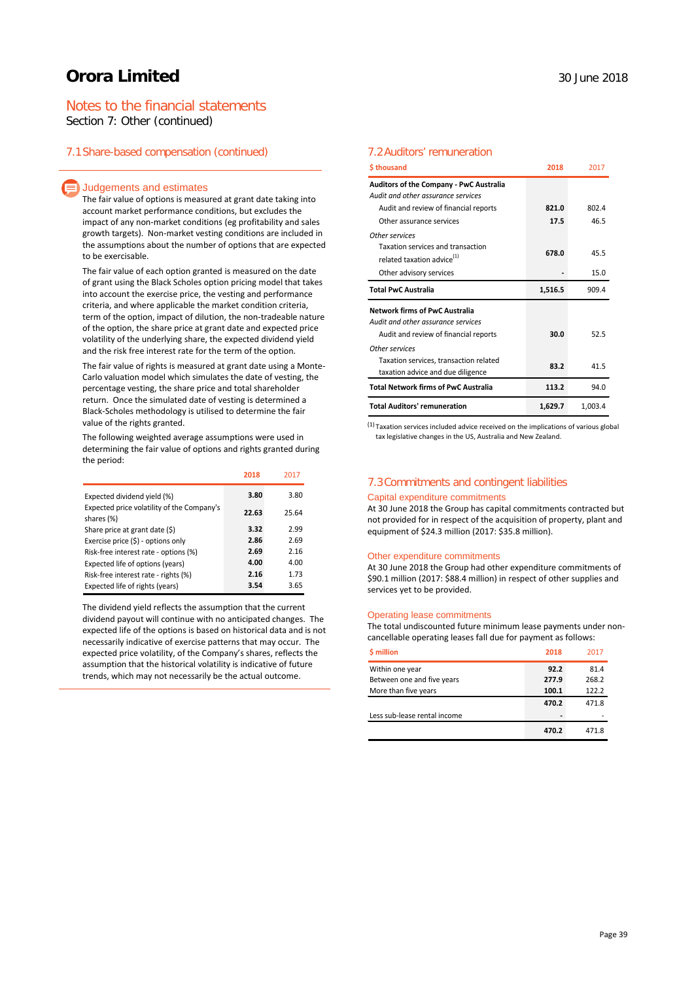## Notes to the financial statements

Section 7: Other (continued)

### 7.1Share-based compensation (continued)

#### $\equiv$  Judgements and estimates

The fair value of options is measured at grant date taking into account market performance conditions, but excludes the impact of any non-market conditions (eg profitability and sales growth targets). Non-market vesting conditions are included in the assumptions about the number of options that are expected to be exercisable.

The fair value of each option granted is measured on the date of grant using the Black Scholes option pricing model that takes into account the exercise price, the vesting and performance criteria, and where applicable the market condition criteria, term of the option, impact of dilution, the non-tradeable nature of the option, the share price at grant date and expected price volatility of the underlying share, the expected dividend yield and the risk free interest rate for the term of the option.

The fair value of rights is measured at grant date using a Monte-Carlo valuation model which simulates the date of vesting, the percentage vesting, the share price and total shareholder return. Once the simulated date of vesting is determined a Black-Scholes methodology is utilised to determine the fair value of the rights granted.

The following weighted average assumptions were used in determining the fair value of options and rights granted during the period:

|                                                          | 2018  | 2017  |
|----------------------------------------------------------|-------|-------|
| Expected dividend yield (%)                              | 3.80  | 3.80  |
| Expected price volatility of the Company's<br>shares (%) | 22.63 | 25.64 |
| Share price at grant date (\$)                           | 3.32  | 2.99  |
| Exercise price $(\xi)$ - options only                    | 2.86  | 2.69  |
| Risk-free interest rate - options (%)                    | 2.69  | 2.16  |
| Expected life of options (years)                         | 4.00  | 4.00  |
| Risk-free interest rate - rights (%)                     | 2.16  | 1.73  |
| Expected life of rights (years)                          | 3.54  | 3.65  |

The dividend yield reflects the assumption that the current dividend payout will continue with no anticipated changes. The expected life of the options is based on historical data and is not necessarily indicative of exercise patterns that may occur. The expected price volatility, of the Company's shares, reflects the assumption that the historical volatility is indicative of future trends, which may not necessarily be the actual outcome.

#### 7.2Auditors' remuneration

| \$thousand                                                                  | 2018    | 2017    |
|-----------------------------------------------------------------------------|---------|---------|
| <b>Auditors of the Company - PwC Australia</b>                              |         |         |
| Audit and other assurance services                                          |         |         |
| Audit and review of financial reports                                       | 821.0   | 802.4   |
| Other assurance services                                                    | 17.5    | 46.5    |
| Other services                                                              |         |         |
| Taxation services and transaction<br>related taxation advice <sup>(1)</sup> | 678.0   | 45.5    |
| Other advisory services                                                     |         | 15.0    |
| <b>Total PwC Australia</b>                                                  | 1,516.5 | 909.4   |
| <b>Network firms of PwC Australia</b>                                       |         |         |
| Audit and other assurance services                                          |         |         |
| Audit and review of financial reports                                       | 30.0    | 52.5    |
| Other services                                                              |         |         |
| Taxation services, transaction related                                      | 83.2    | 41.5    |
| taxation advice and due diligence                                           |         |         |
| <b>Total Network firms of PwC Australia</b>                                 | 113.2   | 94.0    |
| <b>Total Auditors' remuneration</b>                                         | 1,629.7 | 1,003.4 |

 $(1)$  Taxation services included advice received on the implications of various global tax legislative changes in the US, Australia and New Zealand.

### 7.3Commitments and contingent liabilities

#### Capital expenditure commitments

At 30 June 2018 the Group has capital commitments contracted but not provided for in respect of the acquisition of property, plant and equipment of \$24.3 million (2017: \$35.8 million).

#### Other expenditure commitments

At 30 June 2018 the Group had other expenditure commitments of \$90.1 million (2017: \$88.4 million) in respect of other supplies and services yet to be provided.

#### Operating lease commitments

The total undiscounted future minimum lease payments under noncancellable operating leases fall due for payment as follows:

| \$ million                   | 2018  | 2017  |
|------------------------------|-------|-------|
| Within one year              | 92.2  | 81.4  |
| Between one and five years   | 277.9 | 268.2 |
| More than five years         | 100.1 | 122.2 |
|                              | 470.2 | 471.8 |
| Less sub-lease rental income |       |       |
|                              | 470.2 | 471.8 |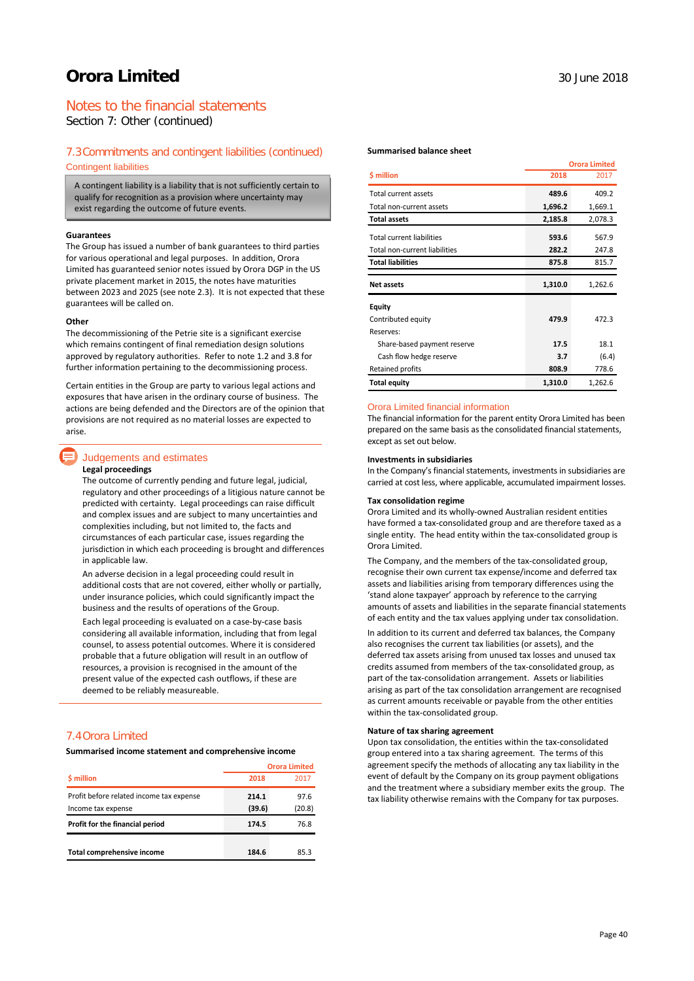## Notes to the financial statements

Section 7: Other (continued)

#### 7.3Commitments and contingent liabilities (continued)

Contingent liabilities

A contingent liability is a liability that is not sufficiently certain to qualify for recognition as a provision where uncertainty may exist regarding the outcome of future events.

#### **Guarantees**

The Group has issued a number of bank guarantees to third parties for various operational and legal purposes. In addition, Orora Limited has guaranteed senior notes issued by Orora DGP in the US private placement market in 2015, the notes have maturities between 2023 and 2025 (see note 2.3). It is not expected that these guarantees will be called on.

#### **Other**

The decommissioning of the Petrie site is a significant exercise which remains contingent of final remediation design solutions approved by regulatory authorities. Refer to note 1.2 and 3.8 for further information pertaining to the decommissioning process.

Certain entities in the Group are party to various legal actions and exposures that have arisen in the ordinary course of business. The actions are being defended and the Directors are of the opinion that provisions are not required as no material losses are expected to arise.

### Judgements and estimates

#### **Legal proceedings**

The outcome of currently pending and future legal, judicial, regulatory and other proceedings of a litigious nature cannot be predicted with certainty. Legal proceedings can raise difficult and complex issues and are subject to many uncertainties and complexities including, but not limited to, the facts and circumstances of each particular case, issues regarding the jurisdiction in which each proceeding is brought and differences in applicable law.

An adverse decision in a legal proceeding could result in additional costs that are not covered, either wholly or partially, under insurance policies, which could significantly impact the business and the results of operations of the Group.

Each legal proceeding is evaluated on a case-by-case basis considering all available information, including that from legal counsel, to assess potential outcomes. Where it is considered probable that a future obligation will result in an outflow of resources, a provision is recognised in the amount of the present value of the expected cash outflows, if these are deemed to be reliably measureable.

## 7.4Orora Limited

**Summarised income statement and comprehensive income**

|                                          | <b>Orora Limited</b> |        |
|------------------------------------------|----------------------|--------|
| \$ million                               | 2018                 | 2017   |
| Profit before related income tax expense | 214.1                | 97.6   |
| Income tax expense                       | (39.6)               | (20.8) |
| Profit for the financial period          | 174.5                | 76.8   |
|                                          |                      |        |
| Total comprehensive income               | 184.6                | 85.3   |

#### **Summarised balance sheet**

|                                  |         | <b>Orora Limited</b> |  |
|----------------------------------|---------|----------------------|--|
| \$ million                       | 2018    | 2017                 |  |
| Total current assets             | 489.6   | 409.2                |  |
| Total non-current assets         | 1,696.2 | 1,669.1              |  |
| <b>Total assets</b>              | 2,185.8 | 2,078.3              |  |
| <b>Total current liabilities</b> | 593.6   | 567.9                |  |
| Total non-current liabilities    | 282.2   | 247.8                |  |
| <b>Total liabilities</b>         | 875.8   | 815.7                |  |
| <b>Net assets</b>                | 1,310.0 | 1,262.6              |  |
|                                  |         |                      |  |
| Equity                           |         |                      |  |
| Contributed equity               | 479.9   | 472.3                |  |
| Reserves:                        |         |                      |  |
| Share-based payment reserve      | 17.5    | 18.1                 |  |
| Cash flow hedge reserve          | 3.7     | (6.4)                |  |
| Retained profits                 | 808.9   | 778.6                |  |

#### Orora Limited financial information

The financial information for the parent entity Orora Limited has been prepared on the same basis as the consolidated financial statements, except as set out below.

#### **Investments in subsidiaries**

In the Company's financial statements, investments in subsidiaries are carried at cost less, where applicable, accumulated impairment losses.

#### **Tax consolidation regime**

Orora Limited and its wholly-owned Australian resident entities have formed a tax-consolidated group and are therefore taxed as a single entity. The head entity within the tax-consolidated group is Orora Limited.

The Company, and the members of the tax-consolidated group, recognise their own current tax expense/income and deferred tax assets and liabilities arising from temporary differences using the 'stand alone taxpayer' approach by reference to the carrying amounts of assets and liabilities in the separate financial statements of each entity and the tax values applying under tax consolidation.

In addition to its current and deferred tax balances, the Company also recognises the current tax liabilities (or assets), and the deferred tax assets arising from unused tax losses and unused tax credits assumed from members of the tax-consolidated group, as part of the tax-consolidation arrangement. Assets or liabilities arising as part of the tax consolidation arrangement are recognised as current amounts receivable or payable from the other entities within the tax-consolidated group.

#### **Nature of tax sharing agreement**

Upon tax consolidation, the entities within the tax-consolidated group entered into a tax sharing agreement. The terms of this agreement specify the methods of allocating any tax liability in the event of default by the Company on its group payment obligations and the treatment where a subsidiary member exits the group. The tax liability otherwise remains with the Company for tax purposes.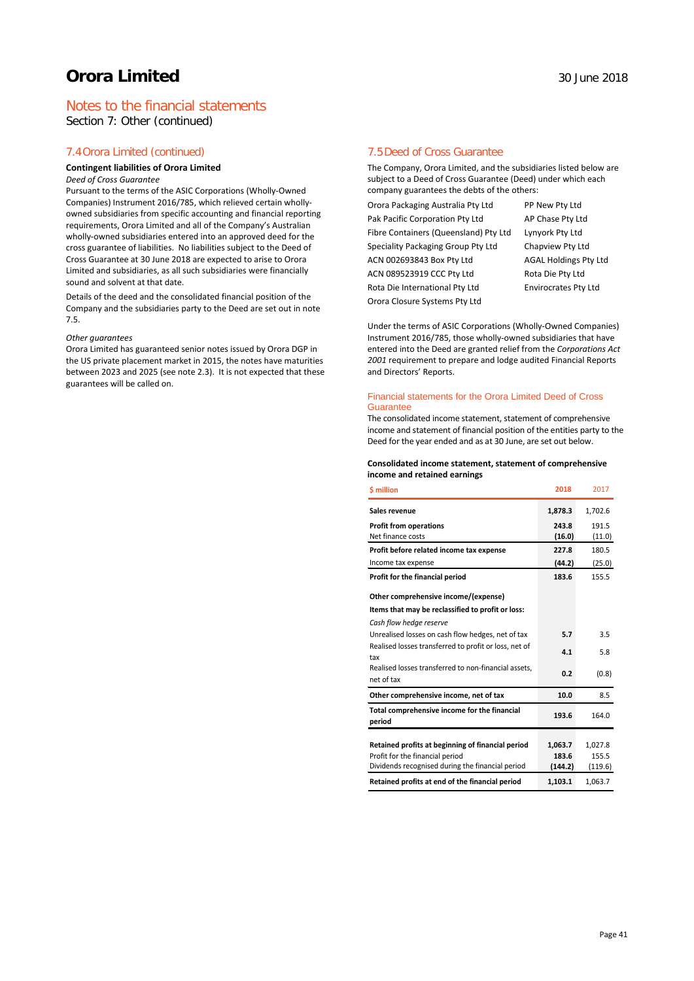## Notes to the financial statements

Section 7: Other (continued)

### 7.4Orora Limited (continued)

#### **Contingent liabilities of Orora Limited**

#### *Deed of Cross Guarantee*

Pursuant to the terms of the ASIC Corporations (Wholly-Owned Companies) Instrument 2016/785, which relieved certain whollyowned subsidiaries from specific accounting and financial reporting requirements, Orora Limited and all of the Company's Australian wholly-owned subsidiaries entered into an approved deed for the cross guarantee of liabilities. No liabilities subject to the Deed of Cross Guarantee at 30 June 2018 are expected to arise to Orora Limited and subsidiaries, as all such subsidiaries were financially sound and solvent at that date.

Details of the deed and the consolidated financial position of the Company and the subsidiaries party to the Deed are set out in note 7.5.

#### *Other guarantees*

Orora Limited has guaranteed senior notes issued by Orora DGP in the US private placement market in 2015, the notes have maturities between 2023 and 2025 (see note 2.3). It is not expected that these guarantees will be called on.

## 7.5Deed of Cross Guarantee

The Company, Orora Limited, and the subsidiaries listed below are subject to a Deed of Cross Guarantee (Deed) under which each company guarantees the debts of the others:

Orora Packaging Australia Pty Ltd PP New Pty Ltd Pak Pacific Corporation Pty Ltd AP Chase Pty Ltd Fibre Containers (Queensland) Pty Ltd Lynyork Pty Ltd Speciality Packaging Group Pty Ltd Chapview Pty Ltd ACN 002693843 Box Pty Ltd AGAL Holdings Pty Ltd ACN 089523919 CCC Pty Ltd Rota Die Pty Ltd Rota Die International Pty Ltd Envirocrates Pty Ltd Orora Closure Systems Pty Ltd

Under the terms of ASIC Corporations (Wholly-Owned Companies) Instrument 2016/785, those wholly-owned subsidiaries that have entered into the Deed are granted relief from the *Corporations Act 2001* requirement to prepare and lodge audited Financial Reports and Directors' Reports.

#### Financial statements for the Orora Limited Deed of Cross **Guarantee**

The consolidated income statement, statement of comprehensive income and statement of financial position of the entities party to the Deed for the year ended and as at 30 June, are set out below.

#### **Consolidated income statement, statement of comprehensive income and retained earnings**

| <b>S</b> million                                                                    | 2018             | 2017             |
|-------------------------------------------------------------------------------------|------------------|------------------|
| Sales revenue                                                                       | 1,878.3          | 1,702.6          |
| <b>Profit from operations</b><br>Net finance costs                                  | 243.8<br>(16.0)  | 191.5<br>(11.0)  |
| Profit before related income tax expense                                            | 227.8            | 180.5            |
| Income tax expense                                                                  | (44.2)           | (25.0)           |
| Profit for the financial period                                                     | 183.6            | 155.5            |
| Other comprehensive income/(expense)                                                |                  |                  |
| Items that may be reclassified to profit or loss:                                   |                  |                  |
| Cash flow hedge reserve                                                             |                  |                  |
| Unrealised losses on cash flow hedges, net of tax                                   | 5.7              | 3.5              |
| Realised losses transferred to profit or loss, net of<br>tax                        | 4.1              | 5.8              |
| Realised losses transferred to non-financial assets,<br>net of tax                  | 0.2              | (0.8)            |
| Other comprehensive income, net of tax                                              | 10.0             | 8.5              |
| Total comprehensive income for the financial<br>period                              | 193.6            | 164.0            |
|                                                                                     |                  |                  |
| Retained profits at beginning of financial period                                   | 1,063.7          | 1,027.8          |
| Profit for the financial period<br>Dividends recognised during the financial period | 183.6<br>(144.2) | 155.5<br>(119.6) |
|                                                                                     |                  |                  |
| Retained profits at end of the financial period                                     | 1,103.1          | 1,063.7          |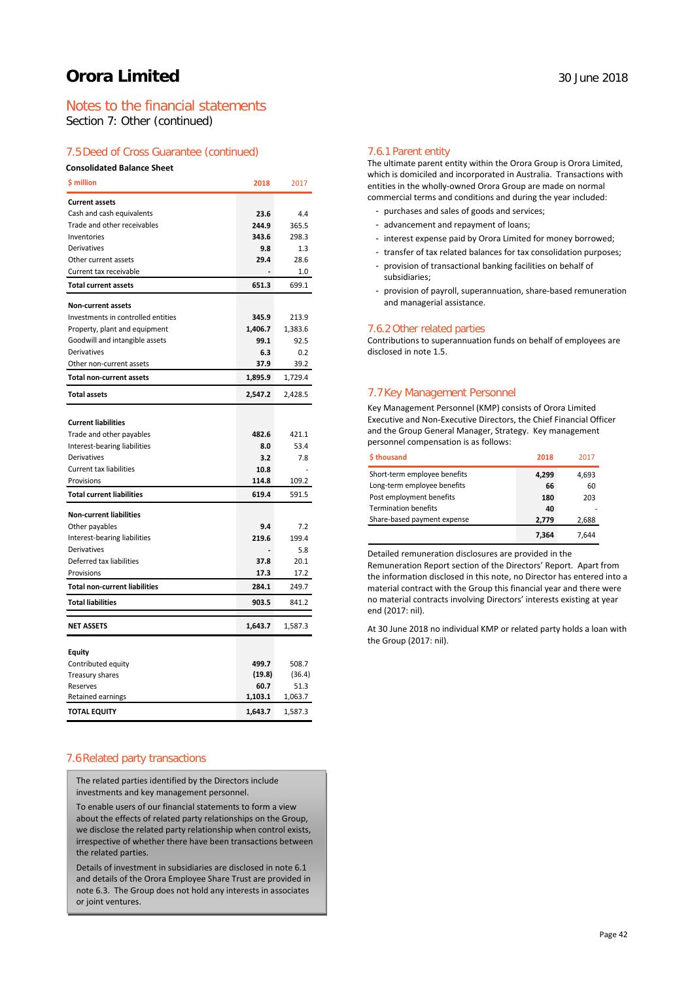## Notes to the financial statements

Section 7: Other (continued)

### 7.5Deed of Cross Guarantee (continued)

#### **Consolidated Balance Sheet**

| <b>S</b> million                     | 2018    | 2017    |
|--------------------------------------|---------|---------|
| <b>Current assets</b>                |         |         |
| Cash and cash equivalents            | 23.6    | 4.4     |
| Trade and other receivables          | 244.9   | 365.5   |
| Inventories                          | 343.6   | 298.3   |
| Derivatives                          | 9.8     | 1.3     |
| Other current assets                 | 29.4    | 28.6    |
| Current tax receivable               |         | 1.0     |
| <b>Total current assets</b>          | 651.3   | 699.1   |
| <b>Non-current assets</b>            |         |         |
| Investments in controlled entities   | 345.9   | 213.9   |
| Property, plant and equipment        | 1,406.7 | 1,383.6 |
| Goodwill and intangible assets       | 99.1    | 92.5    |
| Derivatives                          | 6.3     | 0.2     |
| Other non-current assets             | 37.9    | 39.2    |
| <b>Total non-current assets</b>      | 1,895.9 | 1,729.4 |
| <b>Total assets</b>                  | 2,547.2 | 2,428.5 |
|                                      |         |         |
| <b>Current liabilities</b>           |         |         |
| Trade and other payables             | 482.6   | 421.1   |
| Interest-bearing liabilities         | 8.0     | 53.4    |
| <b>Derivatives</b>                   | 3.2     | 7.8     |
| <b>Current tax liabilities</b>       | 10.8    |         |
| Provisions                           | 114.8   | 109.2   |
| <b>Total current liabilities</b>     | 619.4   | 591.5   |
| <b>Non-current liabilities</b>       |         |         |
| Other payables                       | 9.4     | 7.2     |
| Interest-bearing liabilities         | 219.6   | 199.4   |
| Derivatives                          |         | 5.8     |
| Deferred tax liabilities             | 37.8    | 20.1    |
| Provisions                           | 17.3    | 17.2    |
| <b>Total non-current liabilities</b> | 284.1   | 249.7   |
| <b>Total liabilities</b>             | 903.5   | 841.2   |
| <b>NET ASSETS</b>                    | 1,643.7 | 1,587.3 |
|                                      |         |         |
| <b>Equity</b>                        |         |         |
| Contributed equity                   | 499.7   | 508.7   |
| Treasury shares                      | (19.8)  | (36.4)  |
| Reserves                             | 60.7    | 51.3    |
| Retained earnings                    | 1,103.1 | 1,063.7 |
| <b>TOTAL EQUITY</b>                  | 1,643.7 | 1,587.3 |

## 7.6Related party transactions

The related parties identified by the Directors include investments and key management personnel.

To enable users of our financial statements to form a view about the effects of related party relationships on the Group, we disclose the related party relationship when control exists, irrespective of whether there have been transactions between the related parties.

Details of investment in subsidiaries are disclosed in note 6.1 and details of the Orora Employee Share Trust are provided in note 6.3. The Group does not hold any interests in associates or joint ventures.

#### 7.6.1 Parent entity

The ultimate parent entity within the Orora Group is Orora Limited, which is domiciled and incorporated in Australia. Transactions with entities in the wholly-owned Orora Group are made on normal commercial terms and conditions and during the year included:

- purchases and sales of goods and services;
- advancement and repayment of loans;
- interest expense paid by Orora Limited for money borrowed;
- transfer of tax related balances for tax consolidation purposes;
- provision of transactional banking facilities on behalf of subsidiaries;
- provision of payroll, superannuation, share-based remuneration and managerial assistance.

#### 7.6.2 Other related parties

Contributions to superannuation funds on behalf of employees are disclosed in note 1.5.

## 7.7Key Management Personnel

Key Management Personnel (KMP) consists of Orora Limited Executive and Non-Executive Directors, the Chief Financial Officer and the Group General Manager, Strategy. Key management personnel compensation is as follows:

| \$thousand                   | 2018  | 2017  |
|------------------------------|-------|-------|
| Short-term employee benefits | 4,299 | 4,693 |
| Long-term employee benefits  | 66    | 60    |
| Post employment benefits     | 180   | 203   |
| <b>Termination benefits</b>  | 40    |       |
| Share-based payment expense  | 2.779 | 2,688 |
|                              | 7.364 | 7.644 |

Detailed remuneration disclosures are provided in the

Remuneration Report section of the Directors' Report. Apart from the information disclosed in this note, no Director has entered into a material contract with the Group this financial year and there were no material contracts involving Directors' interests existing at year end (2017: nil).

At 30 June 2018 no individual KMP or related party holds a loan with the Group (2017: nil).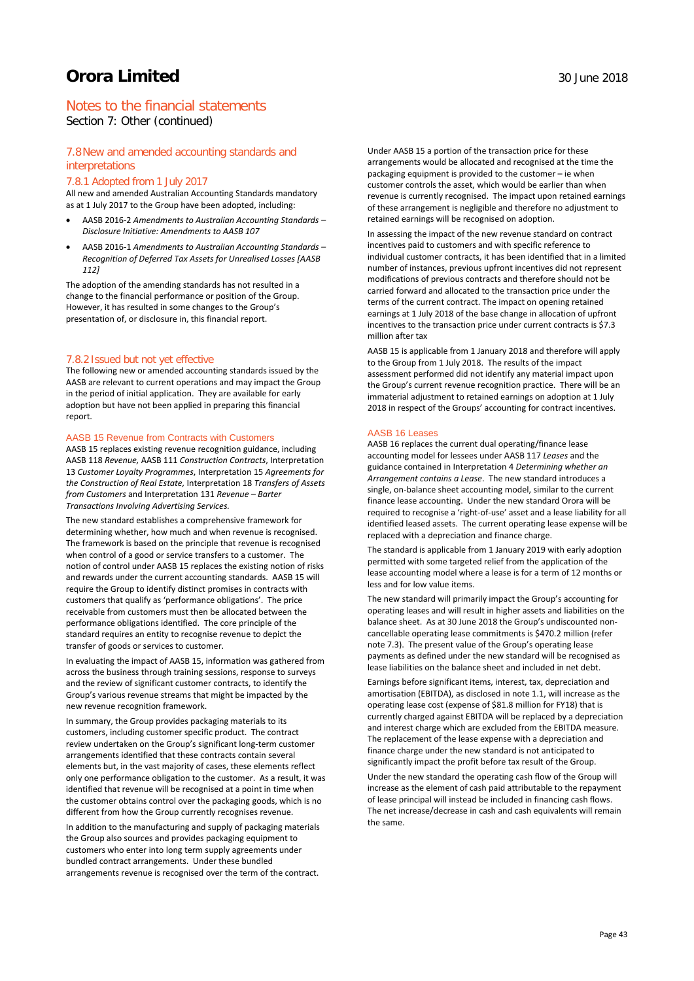## Notes to the financial statements

Section 7: Other (continued)

### 7.8New and amended accounting standards and interpretations

### 7.8.1 Adopted from 1 July 2017

All new and amended Australian Accounting Standards mandatory as at 1 July 2017 to the Group have been adopted, including:

- AASB 2016-2 *Amendments to Australian Accounting Standards – Disclosure Initiative: Amendments to AASB 107*
- AASB 2016-1 *Amendments to Australian Accounting Standards – Recognition of Deferred Tax Assets for Unrealised Losses [AASB 112]*

The adoption of the amending standards has not resulted in a change to the financial performance or position of the Group. However, it has resulted in some changes to the Group's presentation of, or disclosure in, this financial report.

### 7.8.2 Issued but not yet effective

The following new or amended accounting standards issued by the AASB are relevant to current operations and may impact the Group in the period of initial application. They are available for early adoption but have not been applied in preparing this financial report.

#### AASB 15 Revenue from Contracts with Customers

AASB 15 replaces existing revenue recognition guidance, including AASB 118 *Revenue,* AASB 111 *Construction Contracts*, Interpretation 13 *Customer Loyalty Programmes*, Interpretation 15 *Agreements for the Construction of Real Estate,* Interpretation 18 *Transfers of Assets from Customers* and Interpretation 131 *Revenue – Barter Transactions Involving Advertising Services.* 

The new standard establishes a comprehensive framework for determining whether, how much and when revenue is recognised. The framework is based on the principle that revenue is recognised when control of a good or service transfers to a customer. The notion of control under AASB 15 replaces the existing notion of risks and rewards under the current accounting standards. AASB 15 will require the Group to identify distinct promises in contracts with customers that qualify as 'performance obligations'. The price receivable from customers must then be allocated between the performance obligations identified. The core principle of the standard requires an entity to recognise revenue to depict the transfer of goods or services to customer.

In evaluating the impact of AASB 15, information was gathered from across the business through training sessions, response to surveys and the review of significant customer contracts, to identify the Group's various revenue streams that might be impacted by the new revenue recognition framework.

In summary, the Group provides packaging materials to its customers, including customer specific product. The contract review undertaken on the Group's significant long-term customer arrangements identified that these contracts contain several elements but, in the vast majority of cases, these elements reflect only one performance obligation to the customer. As a result, it was identified that revenue will be recognised at a point in time when the customer obtains control over the packaging goods, which is no different from how the Group currently recognises revenue.

In addition to the manufacturing and supply of packaging materials the Group also sources and provides packaging equipment to customers who enter into long term supply agreements under bundled contract arrangements. Under these bundled arrangements revenue is recognised over the term of the contract.

Under AASB 15 a portion of the transaction price for these arrangements would be allocated and recognised at the time the packaging equipment is provided to the customer – ie when customer controls the asset, which would be earlier than when revenue is currently recognised. The impact upon retained earnings of these arrangement is negligible and therefore no adjustment to retained earnings will be recognised on adoption.

In assessing the impact of the new revenue standard on contract incentives paid to customers and with specific reference to individual customer contracts, it has been identified that in a limited number of instances, previous upfront incentives did not represent modifications of previous contracts and therefore should not be carried forward and allocated to the transaction price under the terms of the current contract. The impact on opening retained earnings at 1 July 2018 of the base change in allocation of upfront incentives to the transaction price under current contracts is \$7.3 million after tax

AASB 15 is applicable from 1 January 2018 and therefore will apply to the Group from 1 July 2018. The results of the impact assessment performed did not identify any material impact upon the Group's current revenue recognition practice. There will be an immaterial adjustment to retained earnings on adoption at 1 July 2018 in respect of the Groups' accounting for contract incentives.

#### AASB 16 Leases

AASB 16 replaces the current dual operating/finance lease accounting model for lessees under AASB 117 *Leases* and the guidance contained in Interpretation 4 *Determining whether an Arrangement contains a Lease*.The new standard introduces a single, on-balance sheet accounting model, similar to the current finance lease accounting. Under the new standard Orora will be required to recognise a 'right-of-use' asset and a lease liability for all identified leased assets. The current operating lease expense will be replaced with a depreciation and finance charge.

The standard is applicable from 1 January 2019 with early adoption permitted with some targeted relief from the application of the lease accounting model where a lease is for a term of 12 months or less and for low value items.

The new standard will primarily impact the Group's accounting for operating leases and will result in higher assets and liabilities on the balance sheet. As at 30 June 2018 the Group's undiscounted noncancellable operating lease commitments is \$470.2 million (refer note 7.3). The present value of the Group's operating lease payments as defined under the new standard will be recognised as lease liabilities on the balance sheet and included in net debt.

Earnings before significant items, interest, tax, depreciation and amortisation (EBITDA), as disclosed in note 1.1, will increase as the operating lease cost (expense of \$81.8 million for FY18) that is currently charged against EBITDA will be replaced by a depreciation and interest charge which are excluded from the EBITDA measure. The replacement of the lease expense with a depreciation and finance charge under the new standard is not anticipated to significantly impact the profit before tax result of the Group.

Under the new standard the operating cash flow of the Group will increase as the element of cash paid attributable to the repayment of lease principal will instead be included in financing cash flows. The net increase/decrease in cash and cash equivalents will remain the same.